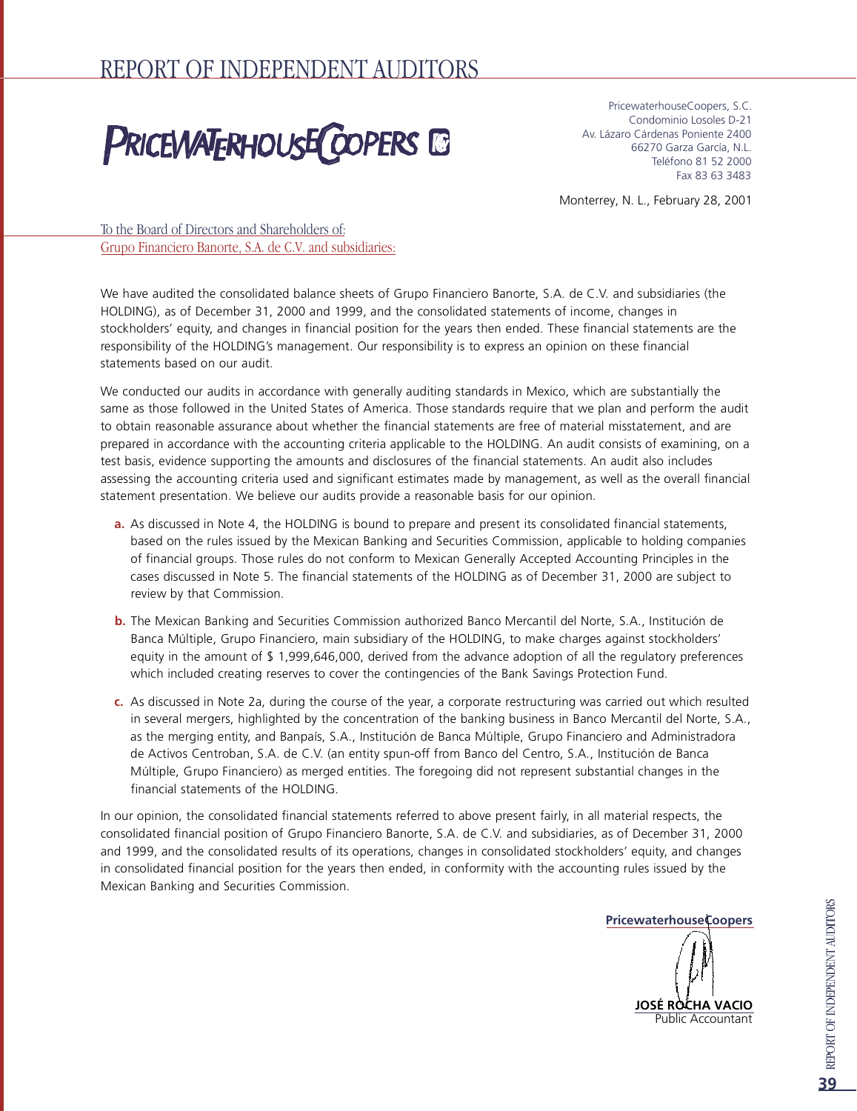# **PRICEWATERHOUSE COPERS IS**

PricewaterhouseCoopers, S.C. Condominio Losoles D-21 Av. Lázaro Cárdenas Poniente 2400 66270 Garza García, N.L. Teléfono 81 52 2000 Fax 83 63 3483

Monterrey, N. L., February 28, 2001

To the Board of Directors and Shareholders of: Grupo Financiero Banorte, S.A. de C.V. and subsidiaries:

We have audited the consolidated balance sheets of Grupo Financiero Banorte, S.A. de C.V. and subsidiaries (the HOLDING), as of December 31, 2000 and 1999, and the consolidated statements of income, changes in stockholders' equity, and changes in financial position for the years then ended. These financial statements are the responsibility of the HOLDING's management. Our responsibility is to express an opinion on these financial statements based on our audit.

We conducted our audits in accordance with generally auditing standards in Mexico, which are substantially the same as those followed in the United States of America. Those standards require that we plan and perform the audit to obtain reasonable assurance about whether the financial statements are free of material misstatement, and are prepared in accordance with the accounting criteria applicable to the HOLDING. An audit consists of examining, on a test basis, evidence supporting the amounts and disclosures of the financial statements. An audit also includes assessing the accounting criteria used and significant estimates made by management, as well as the overall financial statement presentation. We believe our audits provide a reasonable basis for our opinion.

- **a.** As discussed in Note 4, the HOLDING is bound to prepare and present its consolidated financial statements, based on the rules issued by the Mexican Banking and Securities Commission, applicable to holding companies of financial groups. Those rules do not conform to Mexican Generally Accepted Accounting Principles in the cases discussed in Note 5. The financial statements of the HOLDING as of December 31, 2000 are subject to review by that Commission.
- **b.** The Mexican Banking and Securities Commission authorized Banco Mercantil del Norte, S.A., Institución de Banca Múltiple, Grupo Financiero, main subsidiary of the HOLDING, to make charges against stockholders' equity in the amount of  $$ 1,999,646,000$ , derived from the advance adoption of all the regulatory preferences which included creating reserves to cover the contingencies of the Bank Savings Protection Fund.
- c. As discussed in Note 2a, during the course of the year, a corporate restructuring was carried out which resulted in several mergers, highlighted by the concentration of the banking business in Banco Mercantil del Norte, S.A., as the merging entity, and Banpaís, S.A., Institución de Banca Múltiple, Grupo Financiero and Administradora de Activos Centroban, S.A. de C.V. (an entity spun-off from Banco del Centro, S.A., Institución de Banca Múltiple, Grupo Financiero) as merged entities. The foregoing did not represent substantial changes in the financial statements of the HOLDING.

In our opinion, the consolidated financial statements referred to above present fairly, in all material respects, the consolidated financial position of Grupo Financiero Banorte, S.A. de C.V. and subsidiaries, as of December 31, 2000 and 1999, and the consolidated results of its operations, changes in consolidated stockholders' equity, and changes in consolidated financial position for the years then ended, in conformity with the accounting rules issued by the Mexican Banking and Securities Commission.

**PricewaterhouseCoopers**

**JOSÉ ROCHA VACIO** Public Accountant

**39**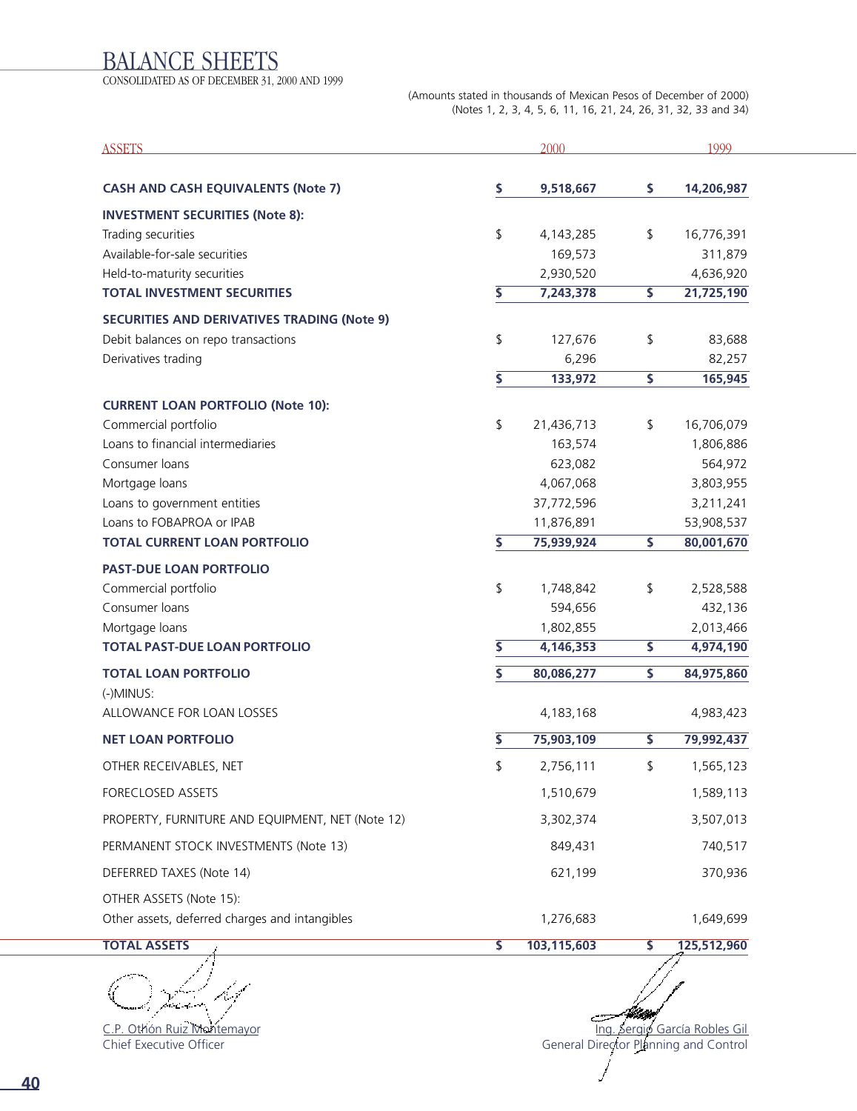### BALANCE SHEETS

CONSOLIDATED AS OF DECEMBER 31, 2000 AND 1999

(Amounts stated in thousands of Mexican Pesos of December of 2000) (Notes 1, 2, 3, 4, 5, 6, 11, 16, 21, 24, 26, 31, 32, 33 and 34)

| <b>ASSETS</b>                                      |                         | 2000        |                         | 1999        |
|----------------------------------------------------|-------------------------|-------------|-------------------------|-------------|
| <b>CASH AND CASH EQUIVALENTS (Note 7)</b>          | \$                      | 9,518,667   | \$                      | 14,206,987  |
| <b>INVESTMENT SECURITIES (Note 8):</b>             |                         |             |                         |             |
| Trading securities                                 | \$                      | 4,143,285   | \$                      | 16,776,391  |
| Available-for-sale securities                      |                         | 169,573     |                         | 311,879     |
| Held-to-maturity securities                        |                         | 2,930,520   |                         | 4,636,920   |
| <b>TOTAL INVESTMENT SECURITIES</b>                 | \$                      | 7,243,378   | \$                      | 21,725,190  |
| <b>SECURITIES AND DERIVATIVES TRADING (Note 9)</b> |                         |             |                         |             |
| Debit balances on repo transactions                | \$                      | 127,676     | \$                      | 83,688      |
| Derivatives trading                                |                         | 6,296       |                         | 82,257      |
|                                                    | \$                      | 133,972     | \$                      | 165,945     |
| <b>CURRENT LOAN PORTFOLIO (Note 10):</b>           |                         |             |                         |             |
| Commercial portfolio                               | \$                      | 21,436,713  | \$                      | 16,706,079  |
| Loans to financial intermediaries                  |                         | 163,574     |                         | 1,806,886   |
| Consumer loans                                     |                         | 623,082     |                         | 564,972     |
| Mortgage loans                                     |                         | 4,067,068   |                         | 3,803,955   |
| Loans to government entities                       |                         | 37,772,596  |                         | 3,211,241   |
| Loans to FOBAPROA or IPAB                          |                         | 11,876,891  |                         | 53,908,537  |
| <b>TOTAL CURRENT LOAN PORTFOLIO</b>                | \$                      | 75,939,924  | \$                      | 80,001,670  |
| <b>PAST-DUE LOAN PORTFOLIO</b>                     |                         |             |                         |             |
| Commercial portfolio                               | \$                      | 1,748,842   | \$                      | 2,528,588   |
| Consumer loans                                     |                         | 594,656     |                         | 432,136     |
| Mortgage loans                                     |                         | 1,802,855   |                         | 2,013,466   |
| <b>TOTAL PAST-DUE LOAN PORTFOLIO</b>               | \$                      | 4,146,353   | $\overline{\mathsf{s}}$ | 4,974,190   |
| <b>TOTAL LOAN PORTFOLIO</b><br>(-)MINUS:           | $\overline{\mathsf{s}}$ | 80,086,277  | \$                      | 84,975,860  |
| ALLOWANCE FOR LOAN LOSSES                          |                         | 4,183,168   |                         | 4,983,423   |
| <b>NET LOAN PORTFOLIO</b>                          | \$                      | 75,903,109  | \$                      | 79,992,437  |
| OTHER RECEIVABLES, NET                             | \$                      | 2,756,111   | \$                      | 1,565,123   |
| FORECLOSED ASSETS                                  |                         | 1,510,679   |                         | 1,589,113   |
| PROPERTY, FURNITURE AND EQUIPMENT, NET (Note 12)   |                         | 3,302,374   |                         | 3,507,013   |
| PERMANENT STOCK INVESTMENTS (Note 13)              |                         | 849,431     |                         | 740,517     |
| DEFERRED TAXES (Note 14)                           |                         | 621,199     |                         | 370,936     |
| OTHER ASSETS (Note 15):                            |                         |             |                         |             |
| Other assets, deferred charges and intangibles     |                         | 1,276,683   |                         | 1,649,699   |
| <b>TOTAL ASSETS</b>                                | \$                      | 103,115,603 | \$                      | 125,512,960 |

C.P. Othón Ruiz Montemayor

Chief Executive Officer

U. Ing. Sergio García Robles Gil General Director Planning and Control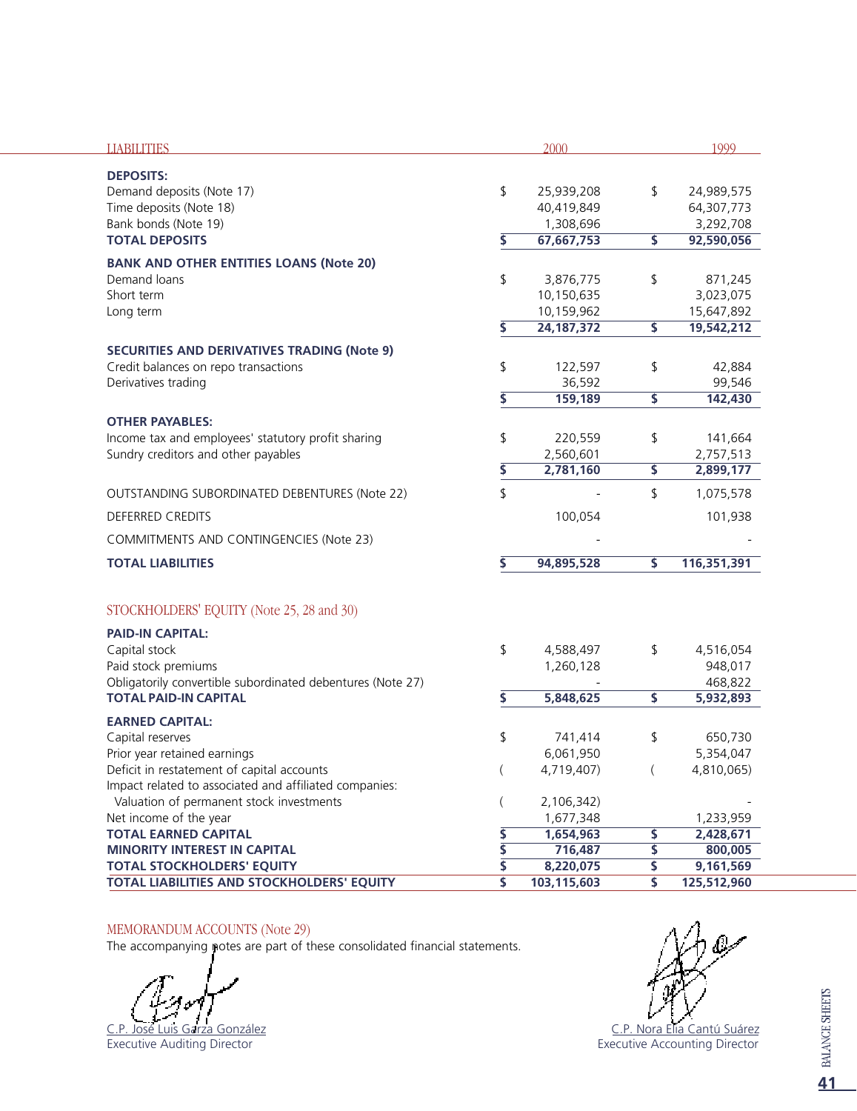| <b>LIABILITIES</b>                                         |                          | 2000                   |                         | 1999                 |
|------------------------------------------------------------|--------------------------|------------------------|-------------------------|----------------------|
| <b>DEPOSITS:</b>                                           |                          |                        |                         |                      |
| Demand deposits (Note 17)                                  | \$                       | 25,939,208             | \$                      | 24,989,575           |
| Time deposits (Note 18)                                    |                          | 40,419,849             |                         | 64,307,773           |
| Bank bonds (Note 19)                                       |                          | 1,308,696              |                         | 3,292,708            |
| <b>TOTAL DEPOSITS</b>                                      | \$                       | 67,667,753             | $\overline{\mathsf{s}}$ | 92,590,056           |
| <b>BANK AND OTHER ENTITIES LOANS (Note 20)</b>             |                          |                        |                         |                      |
| Demand loans                                               | \$                       | 3,876,775              | \$                      | 871,245              |
| Short term                                                 |                          | 10,150,635             |                         | 3,023,075            |
| Long term                                                  |                          | 10,159,962             |                         | 15,647,892           |
|                                                            | \$                       | 24, 187, 372           | \$                      | 19,542,212           |
| <b>SECURITIES AND DERIVATIVES TRADING (Note 9)</b>         |                          |                        |                         |                      |
| Credit balances on repo transactions                       | \$                       | 122,597                | \$                      | 42,884               |
| Derivatives trading                                        |                          | 36,592                 |                         | 99,546               |
|                                                            | \$                       | 159,189                | \$                      | 142,430              |
| <b>OTHER PAYABLES:</b>                                     |                          |                        |                         |                      |
| Income tax and employees' statutory profit sharing         | \$                       | 220,559                | \$                      | 141,664              |
| Sundry creditors and other payables                        |                          | 2,560,601              |                         | 2,757,513            |
|                                                            | \$                       | 2,781,160              | \$                      | 2,899,177            |
| OUTSTANDING SUBORDINATED DEBENTURES (Note 22)              | \$                       |                        | \$                      | 1,075,578            |
| <b>DEFERRED CREDITS</b>                                    |                          | 100,054                |                         | 101,938              |
| COMMITMENTS AND CONTINGENCIES (Note 23)                    |                          |                        |                         |                      |
| <b>TOTAL LIABILITIES</b>                                   | \$                       | 94,895,528             | $\overline{\mathsf{s}}$ | 116,351,391          |
| STOCKHOLDERS' EQUITY (Note 25, 28 and 30)                  |                          |                        |                         |                      |
|                                                            |                          |                        |                         |                      |
| <b>PAID-IN CAPITAL:</b>                                    |                          |                        |                         |                      |
| Capital stock<br>Paid stock premiums                       | \$                       | 4,588,497<br>1,260,128 | \$                      | 4,516,054<br>948,017 |
| Obligatorily convertible subordinated debentures (Note 27) |                          |                        |                         | 468,822              |
| <b>TOTAL PAID-IN CAPITAL</b>                               | \$                       | 5,848,625              | \$                      | 5,932,893            |
| <b>EARNED CAPITAL:</b>                                     |                          |                        |                         |                      |
| Capital reserves                                           | \$                       | 741,414                | \$                      | 650,730              |
| Prior year retained earnings                               |                          | 6,061,950              |                         | 5,354,047            |
| Deficit in restatement of capital accounts                 | $\overline{\phantom{a}}$ | 4,719,407)             |                         | 4,810,065)           |
| Impact related to associated and affiliated companies:     |                          |                        |                         |                      |
| Valuation of permanent stock investments                   |                          | 2,106,342)             |                         |                      |
| Net income of the year                                     |                          | 1,677,348              |                         | 1,233,959            |
| <b>TOTAL EARNED CAPITAL</b>                                | \$                       | 1,654,963              | \$                      | 2,428,671            |
| <b>MINORITY INTEREST IN CAPITAL</b>                        | \$                       | 716,487                | \$                      | 800,005              |
| <b>TOTAL STOCKHOLDERS' EQUITY</b>                          | \$                       | 8,220,075              | \$                      | 9,161,569            |
| TOTAL LIABILITIES AND STOCKHOLDERS' EQUITY                 | \$                       | 103,115,603            | \$                      | 125,512,960          |

#### MEMORANDUM ACCOUNTS (Note 29)

The accompanying notes are part of these consolidated financial statements.

C.P. José Luis Garza González

Executive Auditing Director



<u>C.P. Nora Elia Cantú Suárez</u> Executive Accounting Director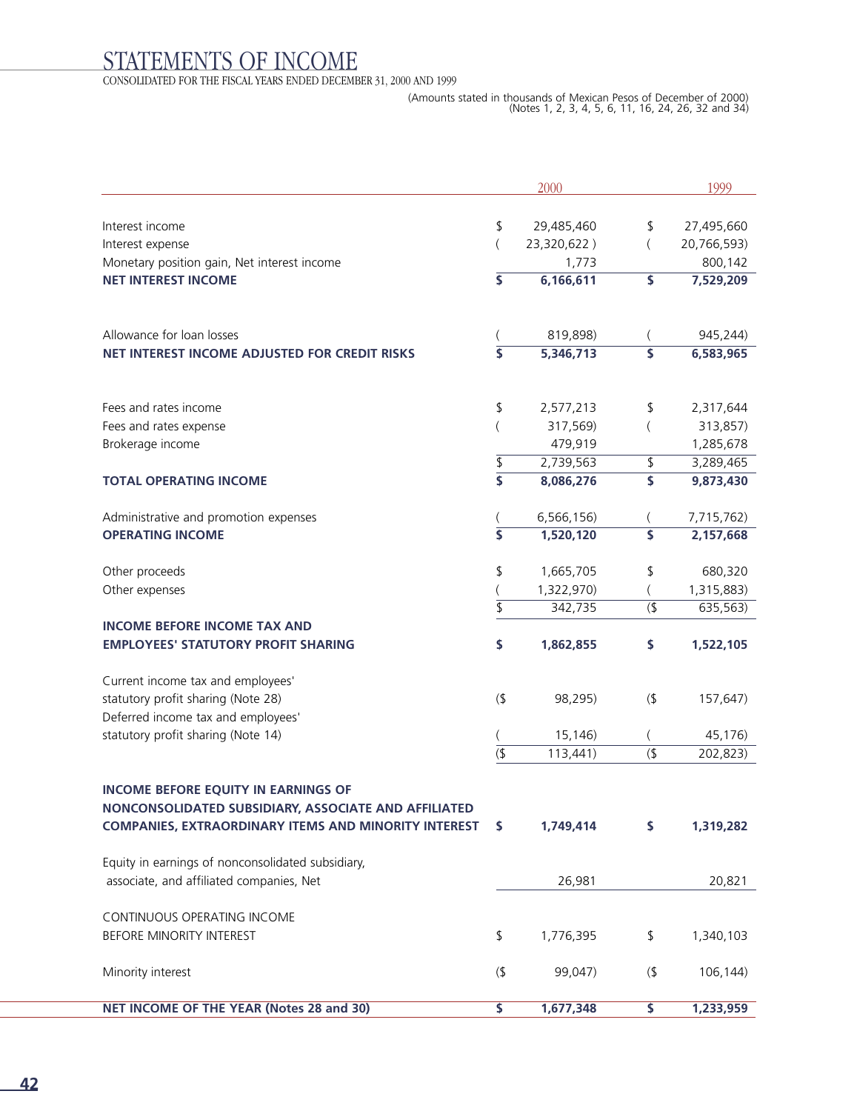# STATEMENTS OF INCOME

CONSOLIDATED FOR THE FISCAL YEARS ENDED DECEMBER 31, 2000 AND 1999

|                                                                 |                           | 2000                 |                         | 1999                 |
|-----------------------------------------------------------------|---------------------------|----------------------|-------------------------|----------------------|
|                                                                 |                           |                      |                         |                      |
| Interest income                                                 | \$                        | 29,485,460           | \$                      | 27,495,660           |
| Interest expense<br>Monetary position gain, Net interest income | (                         | 23,320,622)<br>1,773 | $\left($                | 20,766,593)          |
| <b>NET INTEREST INCOME</b>                                      | \$                        | 6,166,611            | \$                      | 800,142<br>7,529,209 |
|                                                                 |                           |                      |                         |                      |
| Allowance for loan losses                                       |                           | 819,898)             |                         | 945,244)             |
| NET INTEREST INCOME ADJUSTED FOR CREDIT RISKS                   |                           | 5,346,713            |                         | 6,583,965            |
| Fees and rates income                                           | \$                        | 2,577,213            | \$                      | 2,317,644            |
| Fees and rates expense                                          |                           | 317,569)             |                         | 313,857)             |
| Brokerage income                                                |                           | 479,919              |                         | 1,285,678            |
|                                                                 | \$                        | 2,739,563            | \$                      | 3,289,465            |
| <b>TOTAL OPERATING INCOME</b>                                   | $\overline{\mathsf{s}}$   | 8,086,276            | \$                      | 9,873,430            |
| Administrative and promotion expenses                           |                           | 6,566,156)           |                         | 7,715,762)           |
| <b>OPERATING INCOME</b>                                         | $\overline{\mathsf{s}}$   | 1,520,120            | \$                      | 2,157,668            |
| Other proceeds                                                  | \$                        | 1,665,705            | \$                      | 680,320              |
| Other expenses                                                  |                           | 1,322,970)           |                         | 1,315,883)           |
|                                                                 | $\overline{\mathsf{S}}$   | 342,735              | (                       | 635,563)             |
| <b>INCOME BEFORE INCOME TAX AND</b>                             |                           |                      |                         |                      |
| <b>EMPLOYEES' STATUTORY PROFIT SHARING</b>                      | \$                        | 1,862,855            | \$                      | 1,522,105            |
| Current income tax and employees'                               |                           |                      |                         |                      |
| statutory profit sharing (Note 28)                              | $($ \$                    | 98,295)              | (                       | 157,647)             |
| Deferred income tax and employees'                              |                           |                      |                         |                      |
| statutory profit sharing (Note 14)                              |                           | 15,146)              |                         | 45,176)              |
|                                                                 | $\overline{\mathfrak{s}}$ | 113,441)             | $($ \$                  | 202,823)             |
| <b>INCOME BEFORE EQUITY IN EARNINGS OF</b>                      |                           |                      |                         |                      |
| NONCONSOLIDATED SUBSIDIARY, ASSOCIATE AND AFFILIATED            |                           |                      |                         |                      |
| <b>COMPANIES, EXTRAORDINARY ITEMS AND MINORITY INTEREST</b>     | \$                        | 1,749,414            | \$                      | 1,319,282            |
| Equity in earnings of nonconsolidated subsidiary,               |                           |                      |                         |                      |
| associate, and affiliated companies, Net                        |                           | 26,981               |                         | 20,821               |
| CONTINUOUS OPERATING INCOME                                     |                           |                      |                         |                      |
| BEFORE MINORITY INTEREST                                        | \$                        | 1,776,395            | \$                      | 1,340,103            |
| Minority interest                                               | (                         | 99,047)              | (                       | 106,144)             |
| NET INCOME OF THE YEAR (Notes 28 and 30)                        | $\overline{\mathsf{s}}$   | 1,677,348            | $\overline{\mathsf{s}}$ | 1,233,959            |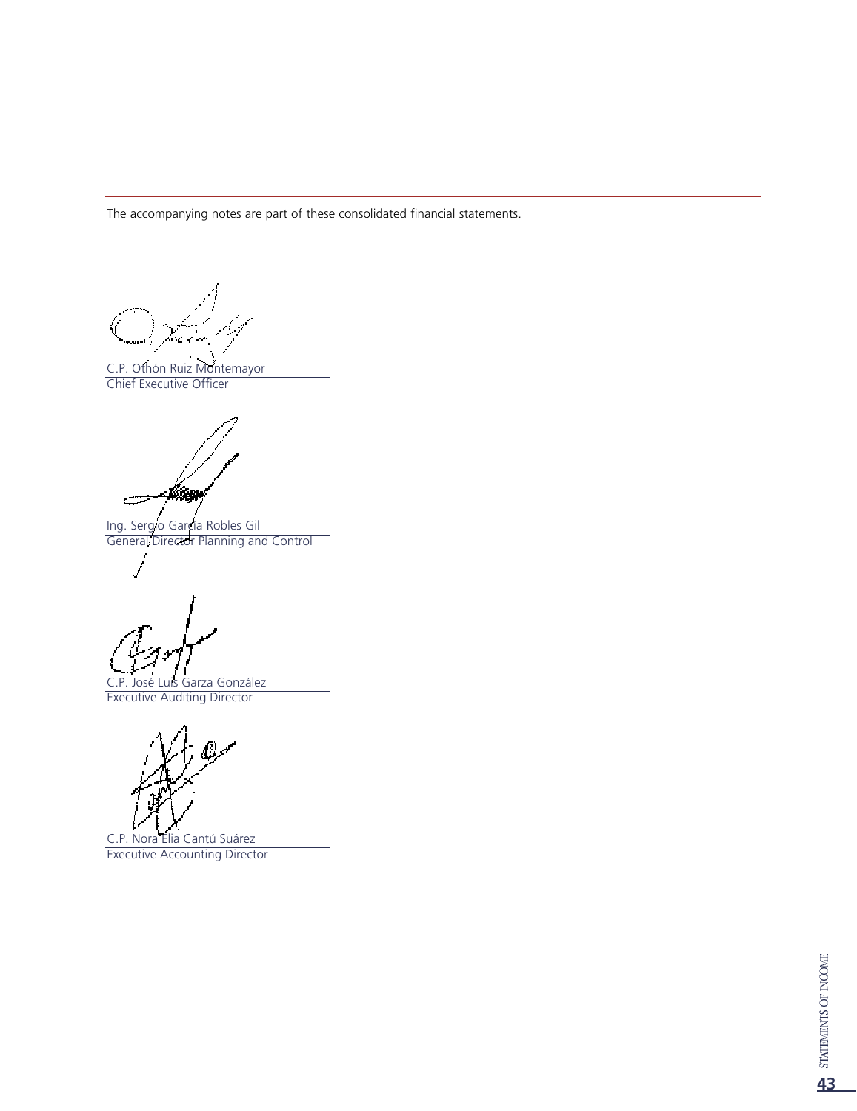The accompanying notes are part of these consolidated financial statements.

C.P. Othón Ruiz Montemayor Chief Executive Officer

Mag خت Ing. Sergio García Robles Gil

General Director Planning and Control

C.P. José Luis Garza González Executive Auditing Director

C.P. Nora Elia Cantú Suárez

Executive Accounting Director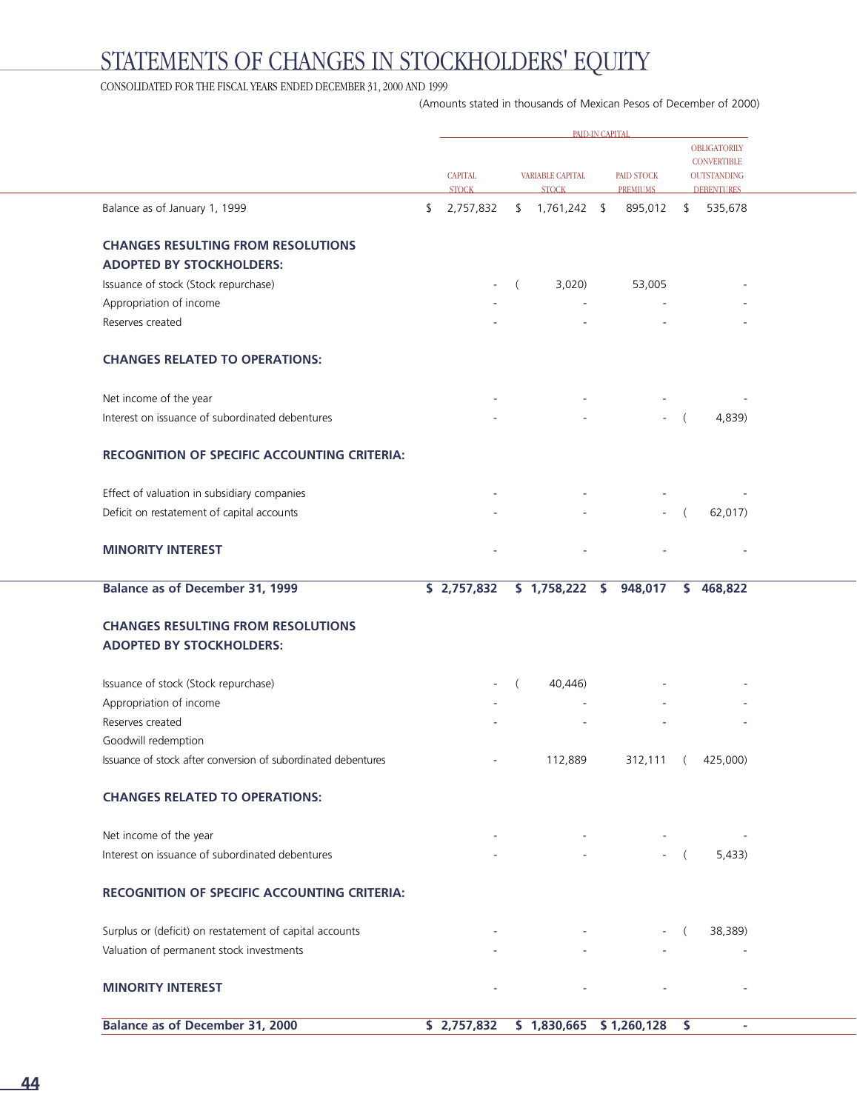# STATEMENTS OF CHANGES IN STOCKHOLDERS' EQUITY

#### CONSOLIDATED FOR THE FISCAL YEARS ENDED DECEMBER  $31, \, 2000$  AND  $1999$

(Amounts stated in thousands of Mexican Pesos of December of 2000)

| OBLIGATORILY<br><b>CONVERTIBLE</b><br><b>CAPITAL</b><br>PAID STOCK<br>VARIABLE CAPITAL<br><b>OUTSTANDING</b><br><b>STOCK</b><br><b>STOCK</b><br><b>PREMIUMS</b><br><b>DEBENTURES</b><br>Balance as of January 1, 1999<br>$$1,761,242$ \$<br>535,678<br>2,757,832<br>895,012<br>\$<br>s.<br><b>CHANGES RESULTING FROM RESOLUTIONS</b><br><b>ADOPTED BY STOCKHOLDERS:</b><br>Issuance of stock (Stock repurchase)<br>3,020<br>$\left($<br>53,005<br>Appropriation of income<br>Reserves created<br><b>CHANGES RELATED TO OPERATIONS:</b><br>Net income of the year<br>Interest on issuance of subordinated debentures<br>4,839)<br>$-$ (<br>RECOGNITION OF SPECIFIC ACCOUNTING CRITERIA:<br>Effect of valuation in subsidiary companies<br>Deficit on restatement of capital accounts<br>62,017)<br>$\left($<br><b>MINORITY INTEREST</b><br><b>Balance as of December 31, 1999</b><br>\$1,758,222 \$948,017<br>\$2,757,832<br>\$468,822<br><b>CHANGES RESULTING FROM RESOLUTIONS</b><br><b>ADOPTED BY STOCKHOLDERS:</b><br>Issuance of stock (Stock repurchase)<br>40,446) |  |
|--------------------------------------------------------------------------------------------------------------------------------------------------------------------------------------------------------------------------------------------------------------------------------------------------------------------------------------------------------------------------------------------------------------------------------------------------------------------------------------------------------------------------------------------------------------------------------------------------------------------------------------------------------------------------------------------------------------------------------------------------------------------------------------------------------------------------------------------------------------------------------------------------------------------------------------------------------------------------------------------------------------------------------------------------------------------------|--|
|                                                                                                                                                                                                                                                                                                                                                                                                                                                                                                                                                                                                                                                                                                                                                                                                                                                                                                                                                                                                                                                                          |  |
|                                                                                                                                                                                                                                                                                                                                                                                                                                                                                                                                                                                                                                                                                                                                                                                                                                                                                                                                                                                                                                                                          |  |
|                                                                                                                                                                                                                                                                                                                                                                                                                                                                                                                                                                                                                                                                                                                                                                                                                                                                                                                                                                                                                                                                          |  |
|                                                                                                                                                                                                                                                                                                                                                                                                                                                                                                                                                                                                                                                                                                                                                                                                                                                                                                                                                                                                                                                                          |  |
|                                                                                                                                                                                                                                                                                                                                                                                                                                                                                                                                                                                                                                                                                                                                                                                                                                                                                                                                                                                                                                                                          |  |
|                                                                                                                                                                                                                                                                                                                                                                                                                                                                                                                                                                                                                                                                                                                                                                                                                                                                                                                                                                                                                                                                          |  |
|                                                                                                                                                                                                                                                                                                                                                                                                                                                                                                                                                                                                                                                                                                                                                                                                                                                                                                                                                                                                                                                                          |  |
|                                                                                                                                                                                                                                                                                                                                                                                                                                                                                                                                                                                                                                                                                                                                                                                                                                                                                                                                                                                                                                                                          |  |
|                                                                                                                                                                                                                                                                                                                                                                                                                                                                                                                                                                                                                                                                                                                                                                                                                                                                                                                                                                                                                                                                          |  |
|                                                                                                                                                                                                                                                                                                                                                                                                                                                                                                                                                                                                                                                                                                                                                                                                                                                                                                                                                                                                                                                                          |  |
|                                                                                                                                                                                                                                                                                                                                                                                                                                                                                                                                                                                                                                                                                                                                                                                                                                                                                                                                                                                                                                                                          |  |
|                                                                                                                                                                                                                                                                                                                                                                                                                                                                                                                                                                                                                                                                                                                                                                                                                                                                                                                                                                                                                                                                          |  |
|                                                                                                                                                                                                                                                                                                                                                                                                                                                                                                                                                                                                                                                                                                                                                                                                                                                                                                                                                                                                                                                                          |  |
|                                                                                                                                                                                                                                                                                                                                                                                                                                                                                                                                                                                                                                                                                                                                                                                                                                                                                                                                                                                                                                                                          |  |
|                                                                                                                                                                                                                                                                                                                                                                                                                                                                                                                                                                                                                                                                                                                                                                                                                                                                                                                                                                                                                                                                          |  |
|                                                                                                                                                                                                                                                                                                                                                                                                                                                                                                                                                                                                                                                                                                                                                                                                                                                                                                                                                                                                                                                                          |  |
|                                                                                                                                                                                                                                                                                                                                                                                                                                                                                                                                                                                                                                                                                                                                                                                                                                                                                                                                                                                                                                                                          |  |
|                                                                                                                                                                                                                                                                                                                                                                                                                                                                                                                                                                                                                                                                                                                                                                                                                                                                                                                                                                                                                                                                          |  |
| Appropriation of income                                                                                                                                                                                                                                                                                                                                                                                                                                                                                                                                                                                                                                                                                                                                                                                                                                                                                                                                                                                                                                                  |  |
| Reserves created                                                                                                                                                                                                                                                                                                                                                                                                                                                                                                                                                                                                                                                                                                                                                                                                                                                                                                                                                                                                                                                         |  |
| Goodwill redemption                                                                                                                                                                                                                                                                                                                                                                                                                                                                                                                                                                                                                                                                                                                                                                                                                                                                                                                                                                                                                                                      |  |
| Issuance of stock after conversion of subordinated debentures<br>112,889<br>312,111 (<br>425,000)                                                                                                                                                                                                                                                                                                                                                                                                                                                                                                                                                                                                                                                                                                                                                                                                                                                                                                                                                                        |  |
| <b>CHANGES RELATED TO OPERATIONS:</b>                                                                                                                                                                                                                                                                                                                                                                                                                                                                                                                                                                                                                                                                                                                                                                                                                                                                                                                                                                                                                                    |  |
| Net income of the year                                                                                                                                                                                                                                                                                                                                                                                                                                                                                                                                                                                                                                                                                                                                                                                                                                                                                                                                                                                                                                                   |  |
| Interest on issuance of subordinated debentures<br>5,433)<br>$-$ (                                                                                                                                                                                                                                                                                                                                                                                                                                                                                                                                                                                                                                                                                                                                                                                                                                                                                                                                                                                                       |  |
| RECOGNITION OF SPECIFIC ACCOUNTING CRITERIA:                                                                                                                                                                                                                                                                                                                                                                                                                                                                                                                                                                                                                                                                                                                                                                                                                                                                                                                                                                                                                             |  |
| Surplus or (deficit) on restatement of capital accounts<br>38,389)<br>$\left($                                                                                                                                                                                                                                                                                                                                                                                                                                                                                                                                                                                                                                                                                                                                                                                                                                                                                                                                                                                           |  |
| Valuation of permanent stock investments                                                                                                                                                                                                                                                                                                                                                                                                                                                                                                                                                                                                                                                                                                                                                                                                                                                                                                                                                                                                                                 |  |
| <b>MINORITY INTEREST</b>                                                                                                                                                                                                                                                                                                                                                                                                                                                                                                                                                                                                                                                                                                                                                                                                                                                                                                                                                                                                                                                 |  |
| <b>Balance as of December 31, 2000</b><br>\$2,757,832<br>$$1,830,665$ $$1,260,128$<br>\$                                                                                                                                                                                                                                                                                                                                                                                                                                                                                                                                                                                                                                                                                                                                                                                                                                                                                                                                                                                 |  |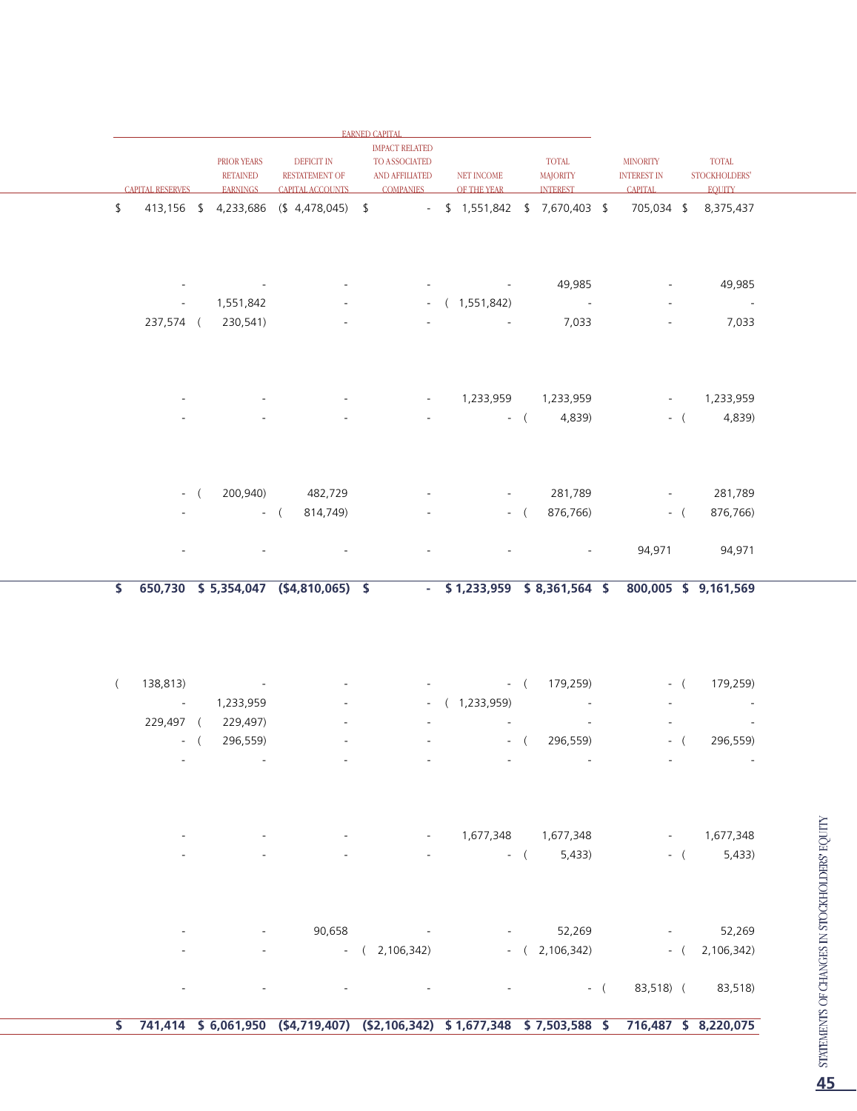|              |                         |                     |                    |                                                                                               | <b>EARNED CAPITAL</b>    |                          |                     |                                  |                              |       |                                                   |                                         |
|--------------|-------------------------|---------------------|--------------------|-----------------------------------------------------------------------------------------------|--------------------------|--------------------------|---------------------|----------------------------------|------------------------------|-------|---------------------------------------------------|-----------------------------------------|
|              |                         |                     |                    |                                                                                               | <b>IMPACT RELATED</b>    |                          |                     |                                  |                              |       |                                                   |                                         |
|              |                         |                     | PRIOR YEARS        | <b>DEFICIT IN</b>                                                                             | TO ASSOCIATED            |                          |                     | <b>TOTAL</b>                     | <b>MINORITY</b>              |       | TOTAL                                             |                                         |
|              |                         |                     | <b>RETAINED</b>    | <b>RESTATEMENT OF</b>                                                                         | AND AFFILIATED           | NET INCOME               |                     | <b>MAJORITY</b>                  | <b>INTEREST IN</b>           |       | STOCKHOLDERS'                                     |                                         |
|              | <b>CAPITAL RESERVES</b> |                     | <b>EARNINGS</b>    | <b>CAPITAL ACCOUNTS</b>                                                                       | <b>COMPANIES</b>         | OF THE YEAR              |                     | <b>INTEREST</b>                  | <b>CAPITAL</b>               |       | <b>EQUITY</b>                                     |                                         |
| \$           |                         |                     |                    | 413,156 \$ 4,233,686 (\$ 4,478,045) \$                                                        |                          |                          |                     | $-$ \$ 1,551,842 \$ 7,670,403 \$ |                              |       | 705,034 \$ 8,375,437                              |                                         |
|              |                         |                     |                    |                                                                                               |                          |                          |                     |                                  |                              |       |                                                   |                                         |
|              |                         |                     |                    |                                                                                               |                          |                          |                     |                                  |                              |       |                                                   |                                         |
|              |                         |                     |                    |                                                                                               |                          |                          |                     |                                  |                              |       |                                                   |                                         |
|              |                         |                     |                    |                                                                                               |                          |                          |                     |                                  |                              |       |                                                   |                                         |
|              |                         |                     |                    |                                                                                               |                          | <b>Contract Contract</b> |                     | 49,985                           | $\qquad \qquad \blacksquare$ |       | 49,985                                            |                                         |
|              |                         | $\sigma_{\rm{max}}$ | 1,551,842          |                                                                                               |                          | $-$ ( 1,551,842)         |                     | $\sim 10^{-10}$                  |                              |       | $\sim 10^{-10}$                                   |                                         |
|              |                         |                     | 237,574 ( 230,541) |                                                                                               |                          |                          |                     | 7,033                            |                              |       | 7,033                                             |                                         |
|              |                         |                     |                    |                                                                                               |                          |                          |                     |                                  |                              |       |                                                   |                                         |
|              |                         |                     |                    |                                                                                               |                          |                          |                     |                                  |                              |       |                                                   |                                         |
|              |                         |                     |                    |                                                                                               |                          |                          |                     |                                  |                              |       |                                                   |                                         |
|              |                         |                     |                    |                                                                                               |                          |                          |                     |                                  |                              |       |                                                   |                                         |
|              |                         |                     |                    |                                                                                               | $\overline{\phantom{a}}$ |                          |                     |                                  | $\blacksquare$               |       | 1,233,959                                         |                                         |
|              |                         |                     |                    |                                                                                               |                          |                          |                     | 4,839)<br>$-$ (                  |                              |       | $-$ ( 4,839)                                      |                                         |
|              |                         |                     |                    |                                                                                               |                          |                          |                     |                                  |                              |       |                                                   |                                         |
|              |                         |                     |                    |                                                                                               |                          |                          |                     |                                  |                              |       |                                                   |                                         |
|              |                         |                     |                    |                                                                                               |                          |                          |                     |                                  |                              |       |                                                   |                                         |
|              |                         |                     |                    |                                                                                               |                          |                          |                     |                                  |                              |       |                                                   |                                         |
|              |                         |                     |                    | 200,940) 482,729                                                                              |                          |                          | $\sigma_{\rm{max}}$ | 281,789                          | $\blacksquare$               |       | 281,789                                           |                                         |
|              |                         |                     |                    | 814,749)<br>$-$ (                                                                             |                          |                          |                     | 876,766)                         |                              | $-$ ( | 876,766)                                          |                                         |
|              |                         |                     |                    |                                                                                               |                          |                          |                     |                                  |                              |       |                                                   |                                         |
|              |                         |                     |                    |                                                                                               |                          |                          |                     |                                  |                              |       |                                                   |                                         |
|              |                         |                     |                    |                                                                                               |                          |                          |                     |                                  | 94,971                       |       | 94,971                                            |                                         |
|              |                         |                     |                    |                                                                                               |                          |                          |                     |                                  |                              |       |                                                   |                                         |
| \$           |                         |                     |                    | 650,730 \$5,354,047 (\$4,810,065) \$                                                          |                          |                          |                     |                                  |                              |       | $-$ \$1,233,959 \$8,361,564 \$800,005 \$9,161,569 |                                         |
|              |                         |                     |                    |                                                                                               |                          |                          |                     |                                  |                              |       |                                                   |                                         |
|              |                         |                     |                    |                                                                                               |                          |                          |                     |                                  |                              |       |                                                   |                                         |
|              |                         |                     |                    |                                                                                               |                          |                          |                     |                                  |                              |       |                                                   |                                         |
|              |                         |                     |                    |                                                                                               |                          |                          |                     |                                  |                              |       |                                                   |                                         |
|              |                         |                     |                    |                                                                                               |                          |                          |                     |                                  |                              |       |                                                   |                                         |
| $\left($     | 138,813)                |                     |                    |                                                                                               |                          |                          |                     | $-$ ( 179,259)                   |                              | $-$ ( | 179,259)                                          |                                         |
|              | $\sim 100$ km s $^{-1}$ |                     | 1,233,959          |                                                                                               | $\sim$                   | (1,233,959)              |                     |                                  |                              |       | $\overline{\phantom{a}}$                          |                                         |
|              | 229,497 (               |                     | 229,497)           |                                                                                               |                          |                          |                     |                                  |                              |       |                                                   |                                         |
|              |                         | $-$ (               | 296,559)           |                                                                                               |                          |                          | $-$ (               | 296,559)                         |                              | $-$ ( | 296,559)                                          |                                         |
|              |                         |                     |                    |                                                                                               |                          |                          |                     |                                  |                              |       |                                                   |                                         |
|              |                         |                     |                    |                                                                                               |                          |                          |                     |                                  |                              |       |                                                   |                                         |
|              |                         |                     |                    |                                                                                               |                          |                          |                     |                                  |                              |       |                                                   |                                         |
|              |                         |                     |                    |                                                                                               |                          |                          |                     |                                  |                              |       |                                                   |                                         |
|              |                         |                     |                    |                                                                                               |                          |                          |                     |                                  |                              |       |                                                   |                                         |
|              |                         |                     |                    |                                                                                               | $\sim$                   |                          |                     | 1,677,348 1,677,348              |                              |       | $-1,677,348$                                      |                                         |
|              |                         |                     |                    |                                                                                               |                          |                          |                     |                                  |                              |       |                                                   |                                         |
|              |                         |                     |                    |                                                                                               |                          |                          |                     | $-$ ( $5,433$ )                  |                              |       | $-$ ( 5,433)                                      |                                         |
|              |                         |                     |                    |                                                                                               |                          |                          |                     |                                  |                              |       |                                                   |                                         |
|              |                         |                     |                    |                                                                                               |                          |                          |                     |                                  |                              |       |                                                   |                                         |
|              |                         |                     |                    |                                                                                               |                          |                          |                     |                                  |                              |       |                                                   |                                         |
|              |                         |                     |                    | 90,658                                                                                        |                          |                          |                     | $-52,269$                        |                              |       | $-52,269$                                         |                                         |
|              |                         |                     |                    |                                                                                               |                          |                          |                     |                                  |                              |       |                                                   |                                         |
|              |                         |                     |                    |                                                                                               | $-$ ( 2,106,342)         |                          |                     | $-$ ( 2,106,342)                 |                              |       | $-$ ( 2,106,342)                                  |                                         |
|              |                         |                     |                    |                                                                                               |                          |                          |                     |                                  |                              |       |                                                   |                                         |
|              |                         |                     |                    |                                                                                               |                          |                          |                     |                                  | $-$ ( 83,518) (              |       | 83,518)                                           |                                         |
|              |                         |                     |                    |                                                                                               |                          |                          |                     |                                  |                              |       |                                                   |                                         |
| $\mathsf{S}$ |                         |                     |                    | 741,414 \$6,061,950 (\$4,719,407) (\$2,106,342) \$1,677,348 \$7,503,588 \$716,487 \$8,220,075 |                          |                          |                     |                                  |                              |       |                                                   | ENTS OF CHANGES IN STOCKHOLDERS' EQUITY |
|              |                         |                     |                    |                                                                                               |                          |                          |                     |                                  |                              |       |                                                   |                                         |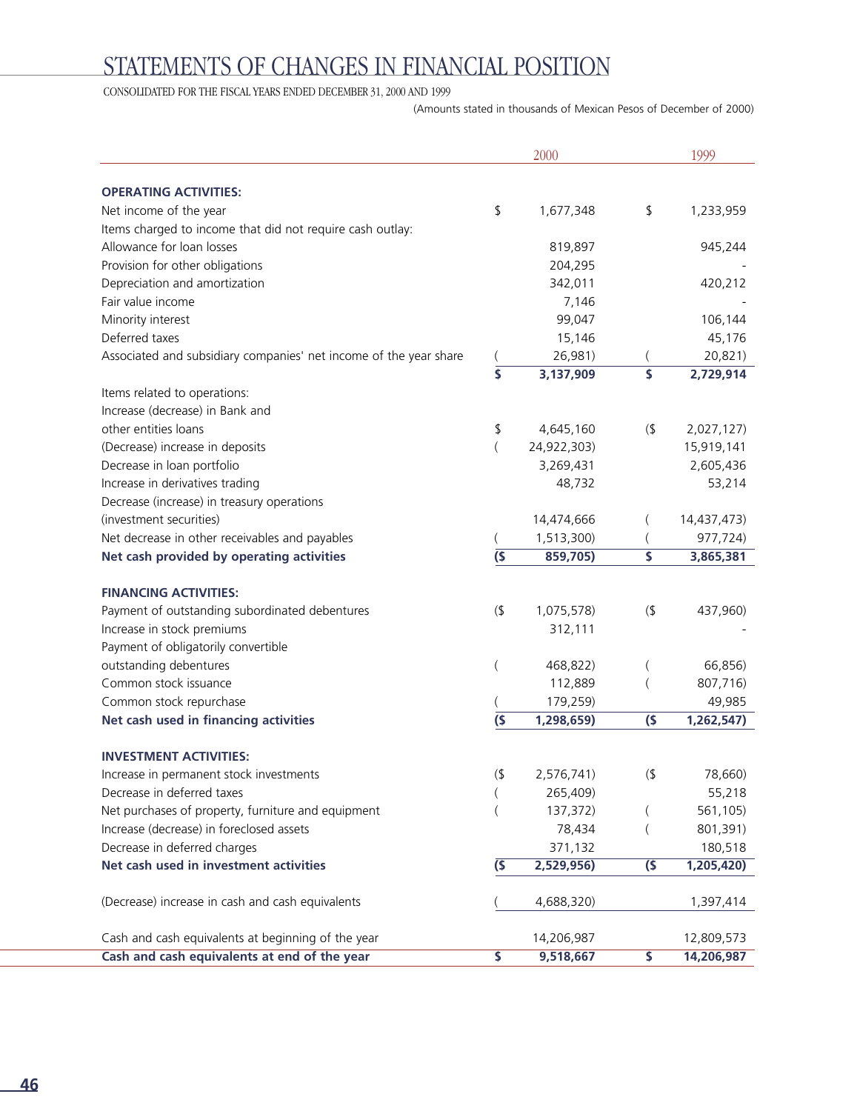# STATEMENTS OF CHANGES IN FINANCIAL POSITION

CONSOLIDATED FOR THE FISCAL YEARS ENDED DECEMBER 31, 2000 AND 1999

(Amounts stated in thousands of Mexican Pesos of December of 2000)

|                                                                   |                          | 2000        |        | 1999        |
|-------------------------------------------------------------------|--------------------------|-------------|--------|-------------|
|                                                                   |                          |             |        |             |
| <b>OPERATING ACTIVITIES:</b>                                      |                          |             |        |             |
| Net income of the year                                            | \$                       | 1,677,348   | \$     | 1,233,959   |
| Items charged to income that did not require cash outlay:         |                          |             |        |             |
| Allowance for loan losses                                         |                          | 819,897     |        | 945,244     |
| Provision for other obligations                                   |                          | 204,295     |        |             |
| Depreciation and amortization                                     |                          | 342,011     |        | 420,212     |
| Fair value income                                                 |                          | 7,146       |        |             |
| Minority interest                                                 |                          | 99,047      |        | 106,144     |
| Deferred taxes                                                    |                          | 15,146      |        | 45,176      |
| Associated and subsidiary companies' net income of the year share |                          | 26,981)     |        | 20,821)     |
|                                                                   |                          | 3,137,909   | \$     | 2,729,914   |
| Items related to operations:                                      |                          |             |        |             |
| Increase (decrease) in Bank and                                   |                          |             |        |             |
| other entities loans                                              | \$                       | 4,645,160   | (      | 2,027,127)  |
| (Decrease) increase in deposits                                   |                          | 24,922,303) |        | 15,919,141  |
| Decrease in loan portfolio                                        |                          | 3,269,431   |        | 2,605,436   |
| Increase in derivatives trading                                   |                          | 48,732      |        | 53,214      |
| Decrease (increase) in treasury operations                        |                          |             |        |             |
| (investment securities)                                           |                          | 14,474,666  |        | 14,437,473) |
| Net decrease in other receivables and payables                    |                          | 1,513,300)  |        | 977,724)    |
| Net cash provided by operating activities                         | (5)                      | 859,705)    | \$     | 3,865,381   |
|                                                                   |                          |             |        |             |
| <b>FINANCING ACTIVITIES:</b>                                      |                          |             |        |             |
| Payment of outstanding subordinated debentures                    | (1)                      | 1,075,578)  | $($ \$ | 437,960)    |
| Increase in stock premiums                                        |                          | 312,111     |        |             |
| Payment of obligatorily convertible                               |                          |             |        |             |
| outstanding debentures                                            |                          | 468,822)    |        | 66,856)     |
| Common stock issuance                                             |                          | 112,889     |        | 807,716)    |
| Common stock repurchase                                           |                          | 179,259)    |        | 49,985      |
| Net cash used in financing activities                             | (5)                      | 1,298,659)  | (5)    | 1,262,547)  |
| <b>INVESTMENT ACTIVITIES:</b>                                     |                          |             |        |             |
| Increase in permanent stock investments                           | $(\boldsymbol{\varphi})$ | 2,576,741)  | $($ \$ | 78,660)     |
| Decrease in deferred taxes                                        |                          | 265,409)    |        | 55,218      |
| Net purchases of property, furniture and equipment                |                          | 137,372)    |        | 561,105)    |
| Increase (decrease) in foreclosed assets                          |                          | 78,434      |        | 801,391)    |
| Decrease in deferred charges                                      |                          | 371,132     |        | 180,518     |
| Net cash used in investment activities                            | $\overline{S}$           | 2,529,956)  | (5)    | 1,205,420)  |
|                                                                   |                          |             |        |             |
| (Decrease) increase in cash and cash equivalents                  |                          | 4,688,320)  |        | 1,397,414   |
| Cash and cash equivalents at beginning of the year                |                          | 14,206,987  |        | 12,809,573  |
| Cash and cash equivalents at end of the year                      | \$                       | 9,518,667   | \$     | 14,206,987  |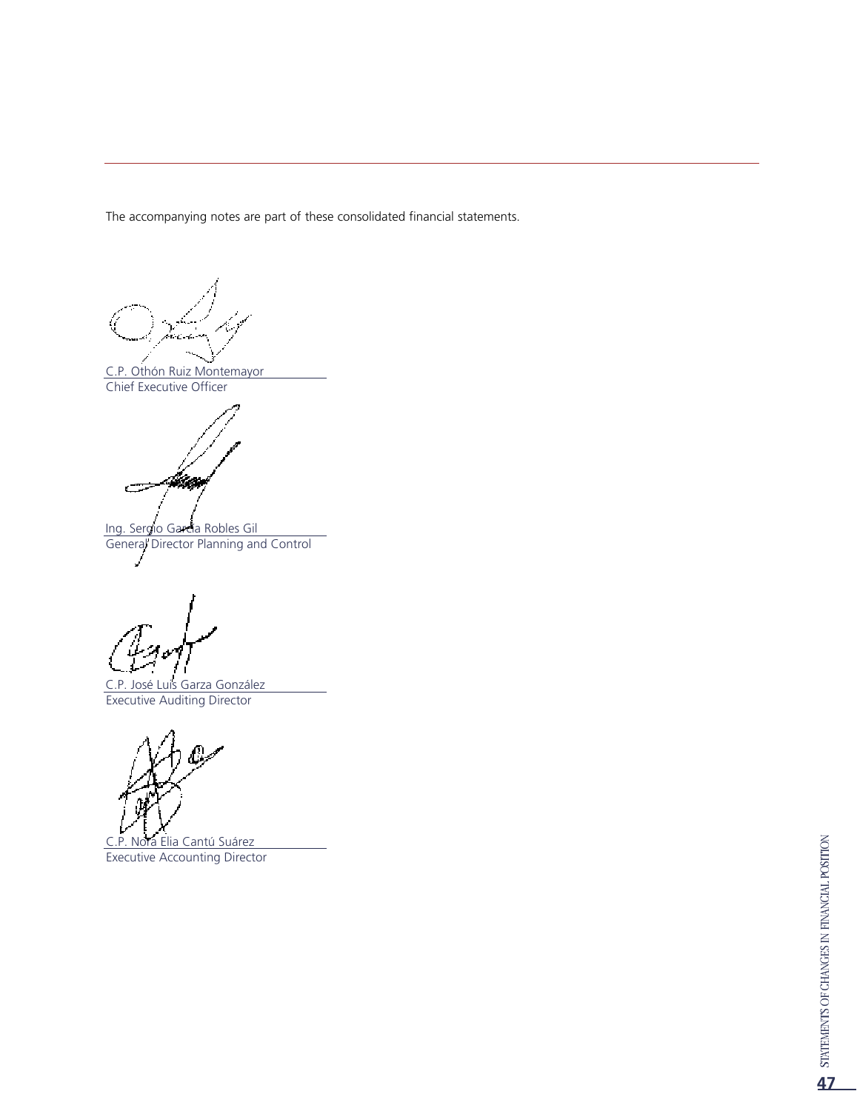The accompanying notes are part of these consolidated financial statements.

C.P. Othón Ruiz Montemayor Chief Executive Officer

Z. تت

Ing. Sergio García Robles Gil General Director Planning and Control

C.P. José Luis Garza González Executive Auditing Director

C.P. Nora Elia Cantú Suárez Executive Accounting Director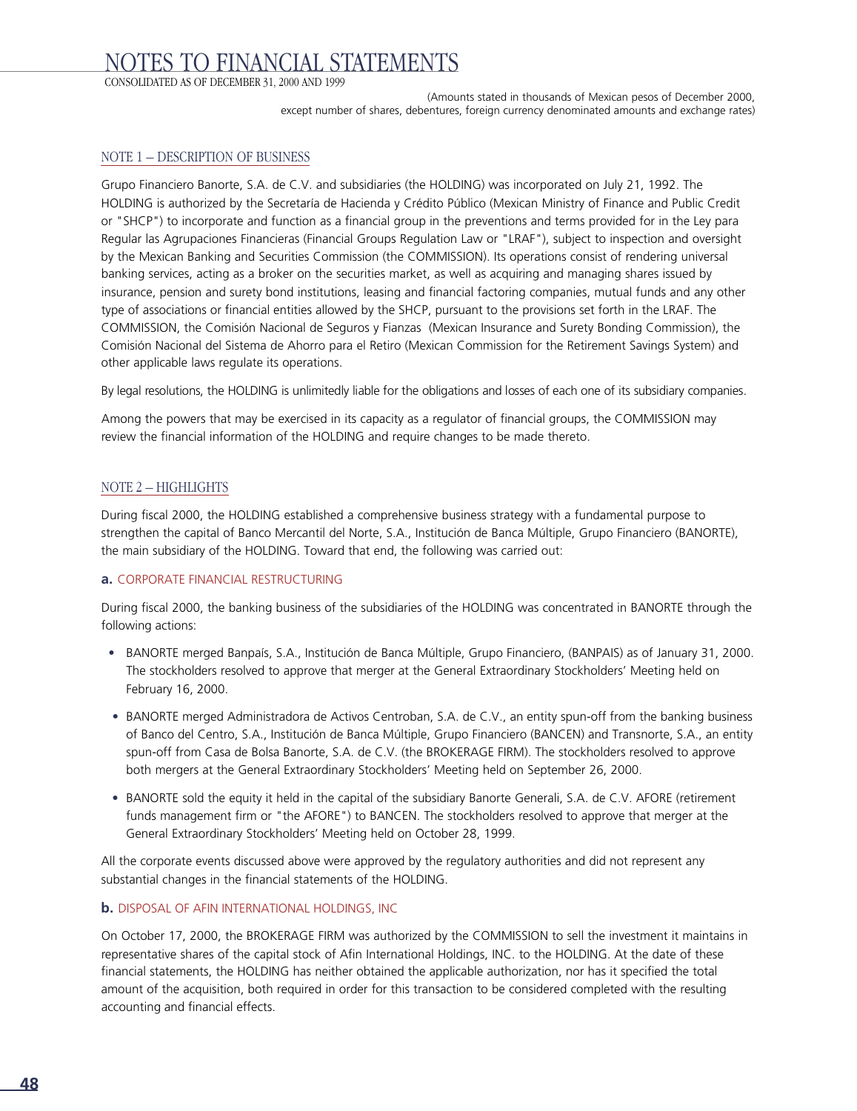# NOTES TO FINANCIAL STATEMENTS

CONSOLIDATED AS OF DECEMBER 31, 2000 AND 1999

(Amounts stated in thousands of Mexican pesos of December 2000, except number of shares, debentures, foreign currency denominated amounts and exchange rates)

#### NOTE 1 – DESCRIPTION OF BUSINESS

Grupo Financiero Banorte, S.A. de C.V. and subsidiaries (the HOLDING) was incorporated on July 21, 1992. The HOLDING is authorized by the Secretaría de Hacienda y Crédito Público (Mexican Ministry of Finance and Public Credit or "SHCP") to incorporate and function as a financial group in the preventions and terms provided for in the Ley para Regular las Agrupaciones Financieras (Financial Groups Regulation Law or "LRAF"), subject to inspection and oversight by the Mexican Banking and Securities Commission (the COMMISSION). Its operations consist of rendering universal banking services, acting as a broker on the securities market, as well as acquiring and managing shares issued by insurance, pension and surety bond institutions, leasing and financial factoring companies, mutual funds and any other type of associations or financial entities allowed by the SHCP, pursuant to the provisions set forth in the LRAF. The COMMISSION, the Comisión Nacional de Seguros y Fianzas (Mexican Insurance and Surety Bonding Commission), the Comisión Nacional del Sistema de Ahorro para el Retiro (Mexican Commission for the Retirement Savings System) and other applicable laws regulate its operations.

By legal resolutions, the HOLDING is unlimitedly liable for the obligations and losses of each one of its subsidiary companies.

Among the powers that may be exercised in its capacity as a regulator of financial groups, the COMMISSION may review the financial information of the HOLDING and require changes to be made thereto.

#### NOTE 2 – HIGHLIGHTS

During fiscal 2000, the HOLDING established a comprehensive business strategy with a fundamental purpose to strengthen the capital of Banco Mercantil del Norte, S.A., Institución de Banca Múltiple, Grupo Financiero (BANORTE), the main subsidiary of the HOLDING. Toward that end, the following was carried out:

#### **a.** CORPORATE FINANCIAL RESTRUCTURING

During fiscal 2000, the banking business of the subsidiaries of the HOLDING was concentrated in BANORTE through the following actions:

- BANORTE merged Banpaís, S.A., Institución de Banca Múltiple, Grupo Financiero, (BANPAIS) as of January 31, 2000. The stockholders resolved to approve that merger at the General Extraordinary Stockholders' Meeting held on February 16, 2000.
- BANORTE merged Administradora de Activos Centroban, S.A. de C.V., an entity spun-off from the banking business of Banco del Centro, S.A., Institución de Banca Múltiple, Grupo Financiero (BANCEN) and Transnorte, S.A., an entity spun-off from Casa de Bolsa Banorte, S.A. de C.V. (the BROKERAGE FIRM). The stockholders resolved to approve both mergers at the General Extraordinary Stockholders' Meeting held on September 26, 2000.
- BANORTE sold the equity it held in the capital of the subsidiary Banorte Generali, S.A. de C.V. AFORE (retirement funds management firm or "the AFORE") to BANCEN. The stockholders resolved to approve that merger at the General Extraordinary Stockholders' Meeting held on October 28, 1999.

All the corporate events discussed above were approved by the regulatory authorities and did not represent any substantial changes in the financial statements of the HOLDING.

#### **b.** DISPOSAL OF AFIN INTERNATIONAL HOLDINGS, INC

On October 17, 2000, the BROKERAGE FIRM was authorized by the COMMISSION to sell the investment it maintains in representative shares of the capital stock of Afin International Holdings, INC. to the HOLDING. At the date of these financial statements, the HOLDING has neither obtained the applicable authorization, nor has it specified the total amount of the acquisition, both required in order for this transaction to be considered completed with the resulting accounting and financial effects.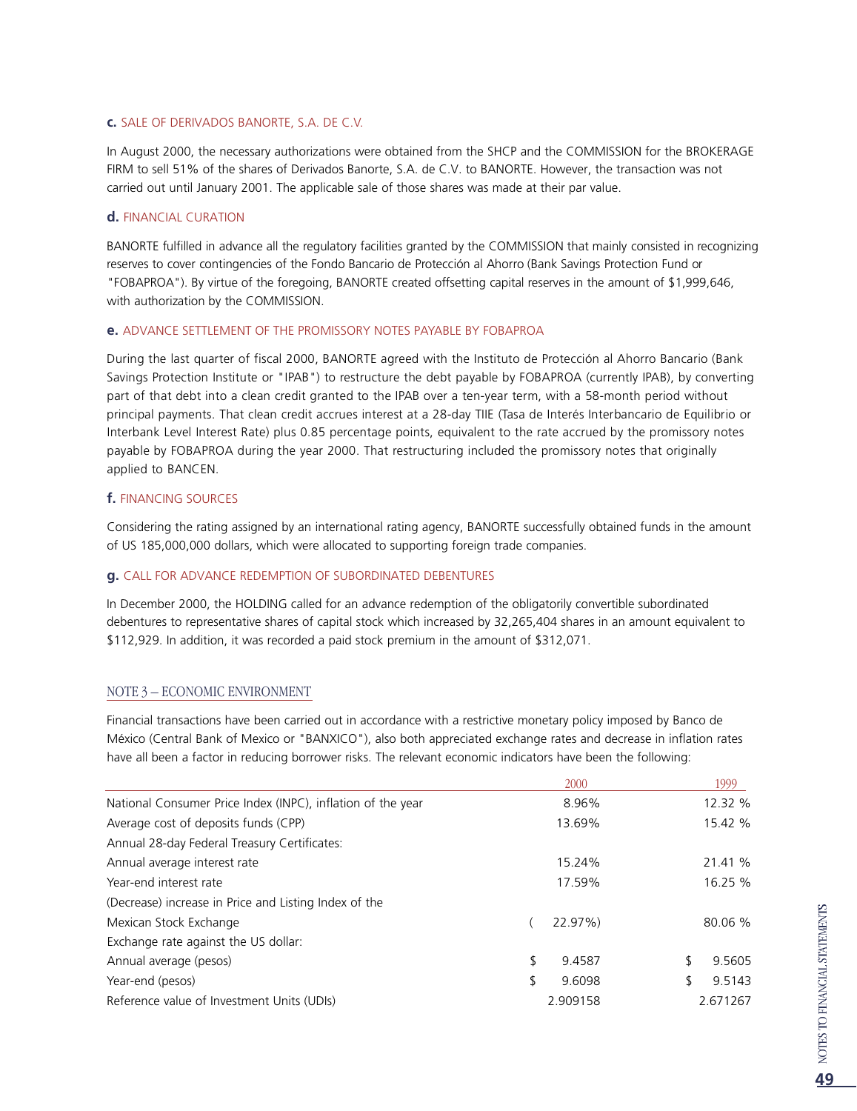#### **c.** SALE OF DERIVADOS BANORTE, S.A. DE C.V.

In August 2000, the necessary authorizations were obtained from the SHCP and the COMMISSION for the BROKERAGE FIRM to sell 51% of the shares of Derivados Banorte, S.A. de C.V. to BANORTE. However, the transaction was not carried out until January 2001. The applicable sale of those shares was made at their par value.

#### **d.** FINANCIAL CURATION

BANORTE fulfilled in advance all the regulatory facilities granted by the COMMISSION that mainly consisted in recognizing reserves to cover contingencies of the Fondo Bancario de Protección al Ahorro (Bank Savings Protection Fund or "FOBAPROA"). By virtue of the foregoing, BANORTE created offsetting capital reserves in the amount of \$1,999,646, with authorization by the COMMISSION.

#### **e.** ADVANCE SETTI EMENT OF THE PROMISSORY NOTES PAYABLE BY FOBAPROA

During the last quarter of fiscal 2000, BANORTE agreed with the Instituto de Protección al Ahorro Bancario (Bank Savings Protection Institute or "IPAB") to restructure the debt payable by FOBAPROA (currently IPAB), by converting part of that debt into a clean credit granted to the IPAB over a ten-year term, with a 58-month period without principal payments. That clean credit accrues interest at a 28-day TIIE (Tasa de Interés Interbancario de Equilibrio or Interbank Level Interest Rate) plus 0.85 percentage points, equivalent to the rate accrued by the promissory notes payable by FOBAPROA during the year 2000. That restructuring included the promissory notes that originally applied to BANCEN.

#### **f.** FINANCING SOURCES

Considering the rating assigned by an international rating agency, BANORTE successfully obtained funds in the amount of US 185,000,000 dollars, which were allocated to supporting foreign trade companies.

#### **g.** CALL FOR ADVANCE REDEMPTION OF SUBORDINATED DEBENTURES

In December 2000, the HOLDING called for an advance redemption of the obligatorily convertible subordinated debentures to representative shares of capital stock which increased by 32,265,404 shares in an amount equivalent to \$112,929. In addition, it was recorded a paid stock premium in the amount of \$312,071.

#### NOTE 3 – ECONOMIC ENVIRONMENT

Financial transactions have been carried out in accordance with a restrictive monetary policy imposed by Banco de México (Central Bank of Mexico or "BANXICO"), also both appreciated exchange rates and decrease in inflation rates have all been a factor in reducing borrower risks. The relevant economic indicators have been the following:

| 2000         | 1999     |
|--------------|----------|
| 8.96%        | 12.32 %  |
| 13.69%       | 15.42 %  |
|              |          |
| 15.24%       | 21.41 %  |
| 17.59%       | 16.25 %  |
|              |          |
| 22.97%)      | 80.06 %  |
|              |          |
| \$<br>9.4587 | 9.5605   |
| \$<br>9.6098 | 9.5143   |
| 2.909158     | 2.671267 |
|              |          |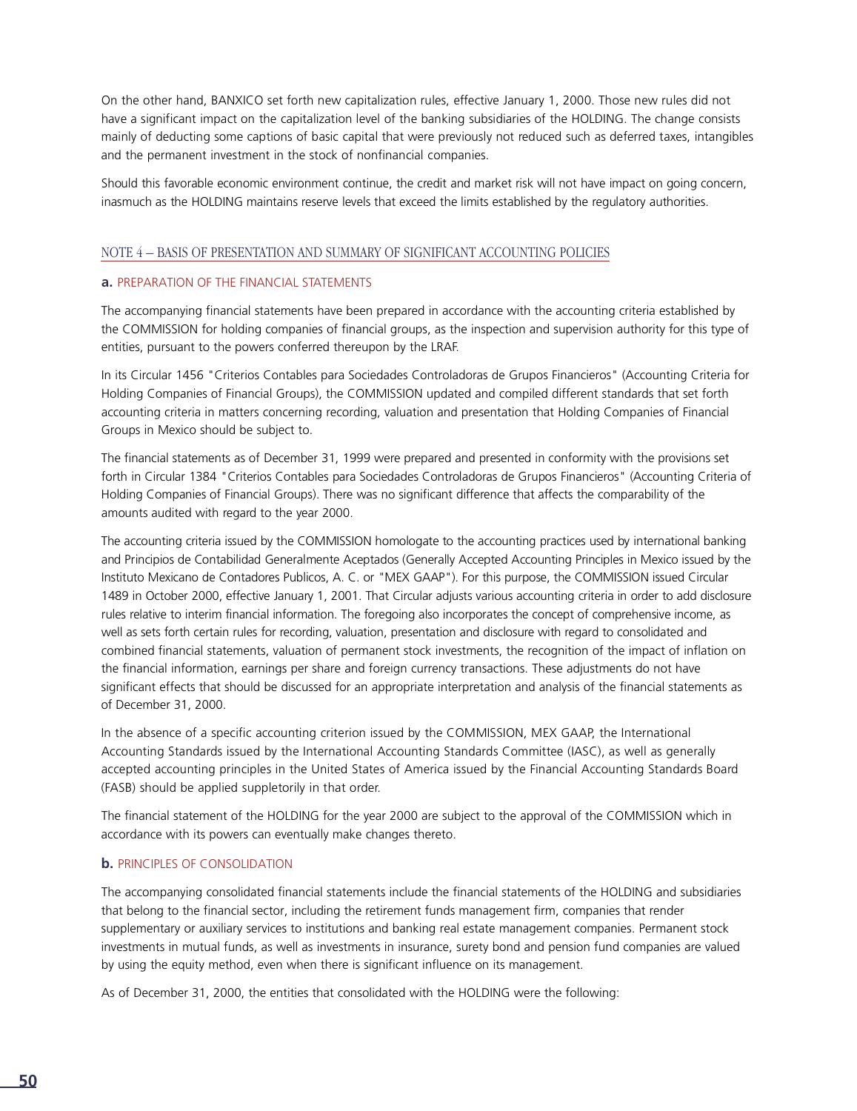On the other hand, BANXICO set forth new capitalization rules, effective January 1, 2000. Those new rules did not have a significant impact on the capitalization level of the banking subsidiaries of the HOLDING. The change consists mainly of deducting some captions of basic capital that were previously not reduced such as deferred taxes, intangibles and the permanent investment in the stock of nonfinancial companies.

Should this favorable economic environment continue, the credit and market risk will not have impact on going concern, inasmuch as the HOLDING maintains reserve levels that exceed the limits established by the regulatory authorities.

#### NOTE 4 – BASIS OF PRESENTATION AND SUMMARY OF SIGNIFICANT ACCOUNTING POLICIES

#### **a.** PREPARATION OF THE FINANCIAL STATEMENTS

The accompanying financial statements have been prepared in accordance with the accounting criteria established by the COMMISSION for holding companies of financial groups, as the inspection and supervision authority for this type of entities, pursuant to the powers conferred thereupon by the LRAF.

In its Circular 1456 "Criterios Contables para Sociedades Controladoras de Grupos Financieros" (Accounting Criteria for Holding Companies of Financial Groups), the COMMISSION updated and compiled different standards that set forth accounting criteria in matters concerning recording, valuation and presentation that Holding Companies of Financial Groups in Mexico should be subject to.

The financial statements as of December 31, 1999 were prepared and presented in conformity with the provisions set forth in Circular 1384 "Criterios Contables para Sociedades Controladoras de Grupos Financieros" (Accounting Criteria of Holding Companies of Financial Groups). There was no significant difference that affects the comparability of the amounts audited with regard to the year 2000.

The accounting criteria issued by the COMMISSION homologate to the accounting practices used by international banking and Principios de Contabilidad Generalmente Aceptados (Generally Accepted Accounting Principles in Mexico issued by the Instituto Mexicano de Contadores Publicos, A. C. or "MEX GAAP"). For this purpose, the COMMISSION issued Circular 1489 in October 2000, effective January 1, 2001. That Circular adjusts various accounting criteria in order to add disclosure rules relative to interim financial information. The foregoing also incorporates the concept of comprehensive income, as well as sets forth certain rules for recording, valuation, presentation and disclosure with regard to consolidated and combined financial statements, valuation of permanent stock investments, the recognition of the impact of inflation on the financial information, earnings per share and foreign currency transactions. These adjustments do not have significant effects that should be discussed for an appropriate interpretation and analysis of the financial statements as of December 31, 2000.

In the absence of a specific accounting criterion issued by the COMMISSION, MEX GAAP, the International Accounting Standards issued by the International Accounting Standards Committee (IASC), as well as generally accepted accounting principles in the United States of America issued by the Financial Accounting Standards Board (FASB) should be applied suppletorily in that order.

The financial statement of the HOLDING for the year 2000 are subject to the approval of the COMMISSION which in accordance with its powers can eventually make changes thereto.

#### **b.** PRINCIPLES OF CONSOLIDATION

The accompanying consolidated financial statements include the financial statements of the HOLDING and subsidiaries that belong to the financial sector, including the retirement funds management firm, companies that render supplementary or auxiliary services to institutions and banking real estate management companies. Permanent stock investments in mutual funds, as well as investments in insurance, surety bond and pension fund companies are valued by using the equity method, even when there is significant influence on its management.

As of December 31, 2000, the entities that consolidated with the HOLDING were the following: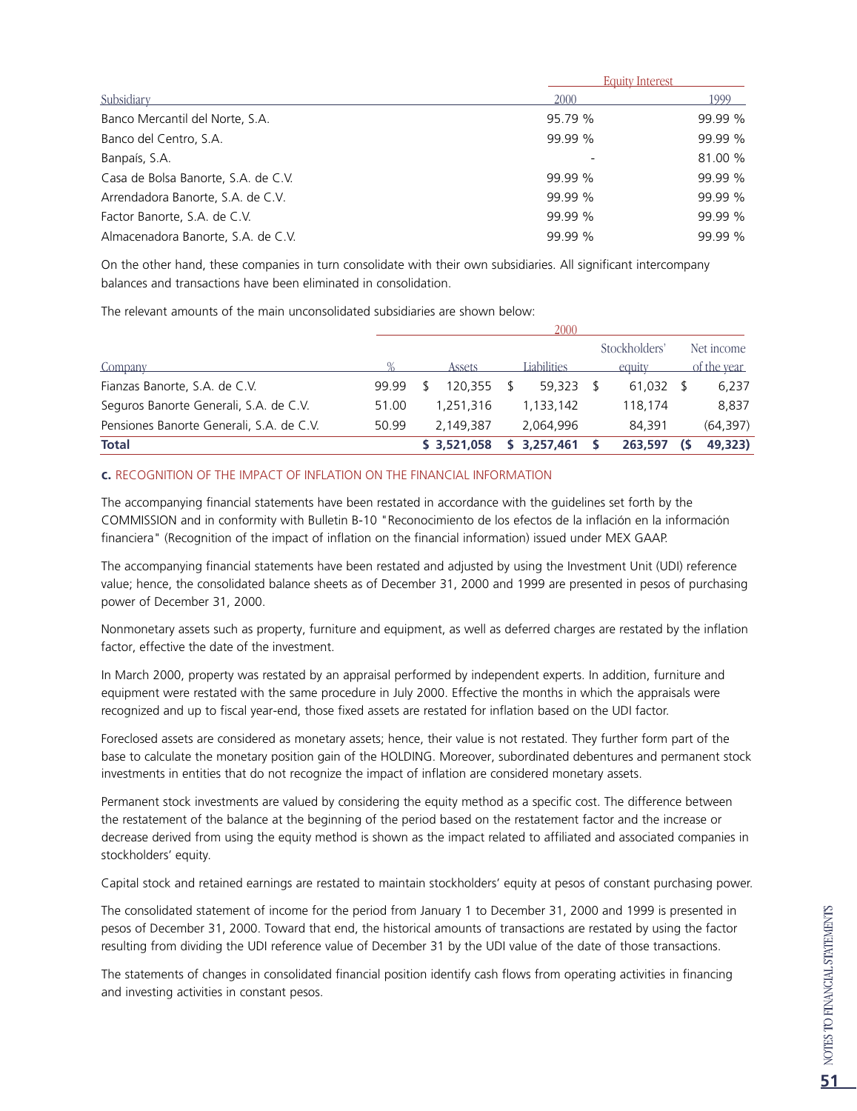|                                     | <b>Equity Interest</b> |         |
|-------------------------------------|------------------------|---------|
| Subsidiary                          | 2000                   | 1999    |
| Banco Mercantil del Norte, S.A.     | 95.79 %                | 99.99 % |
| Banco del Centro, S.A.              | 99.99 %                | 99.99 % |
| Banpaís, S.A.                       |                        | 81.00 % |
| Casa de Bolsa Banorte, S.A. de C.V. | 99.99 %                | 99.99 % |
| Arrendadora Banorte, S.A. de C.V.   | 99.99 %                | 99.99 % |
| Factor Banorte, S.A. de C.V.        | 99.99 %                | 99.99 % |
| Almacenadora Banorte, S.A. de C.V.  | 99.99 %                | 99.99 % |

On the other hand, these companies in turn consolidate with their own subsidiaries. All significant intercompany balances and transactions have been eliminated in consolidation.

The relevant amounts of the main unconsolidated subsidiaries are shown below:

| <b>Total</b>                             |       | \$ 3,521,058 | 3.257.461   | 263,597       | 49,323)     |
|------------------------------------------|-------|--------------|-------------|---------------|-------------|
| Pensiones Banorte Generali, S.A. de C.V. | 50.99 | 2.149.387    | 2.064.996   | 84.391        | (64, 397)   |
| Seguros Banorte Generali, S.A. de C.V.   | 51.00 | 1.251.316    | 1,133,142   | 118,174       | 8,837       |
| Fianzas Banorte, S.A. de C.V.            | 99.99 | 120.355      | 59.323      | 61.032        | 6,237       |
| Company                                  |       | Assets       | Liabilities | equity        | of the year |
|                                          |       |              |             | Stockholders' | Net income  |
|                                          |       |              | 2000        |               |             |

#### **c.** RECOGNITION OF THE IMPACT OF INFLATION ON THE FINANCIAL INFORMATION

The accompanying financial statements have been restated in accordance with the guidelines set forth by the COMMISSION and in conformity with Bulletin B-10 "Reconocimiento de los efectos de la inflación en la información financiera" (Recognition of the impact of inflation on the financial information) issued under MEX GAAP.

The accompanying financial statements have been restated and adjusted by using the Investment Unit (UDI) reference value; hence, the consolidated balance sheets as of December 31, 2000 and 1999 are presented in pesos of purchasing power of December 31, 2000.

Nonmonetary assets such as property, furniture and equipment, as well as deferred charges are restated by the inflation factor, effective the date of the investment.

In March 2000, property was restated by an appraisal performed by independent experts. In addition, furniture and equipment were restated with the same procedure in July 2000. Effective the months in which the appraisals were recognized and up to fiscal year-end, those fixed assets are restated for inflation based on the UDI factor.

Foreclosed assets are considered as monetary assets; hence, their value is not restated. They further form part of the base to calculate the monetary position gain of the HOLDING. Moreover, subordinated debentures and permanent stock investments in entities that do not recognize the impact of inflation are considered monetary assets.

Permanent stock investments are valued by considering the equity method as a specific cost. The difference between the restatement of the balance at the beginning of the period based on the restatement factor and the increase or decrease derived from using the equity method is shown as the impact related to affiliated and associated companies in stockholders' equity.

Capital stock and retained earnings are restated to maintain stockholders' equity at pesos of constant purchasing power.

The consolidated statement of income for the period from January 1 to December 31, 2000 and 1999 is presented in pesos of December 31, 2000. Toward that end, the historical amounts of transactions are restated by using the factor resulting from dividing the UDI reference value of December 31 by the UDI value of the date of those transactions.

The statements of changes in consolidated financial position identify cash flows from operating activities in financing and investing activities in constant pesos.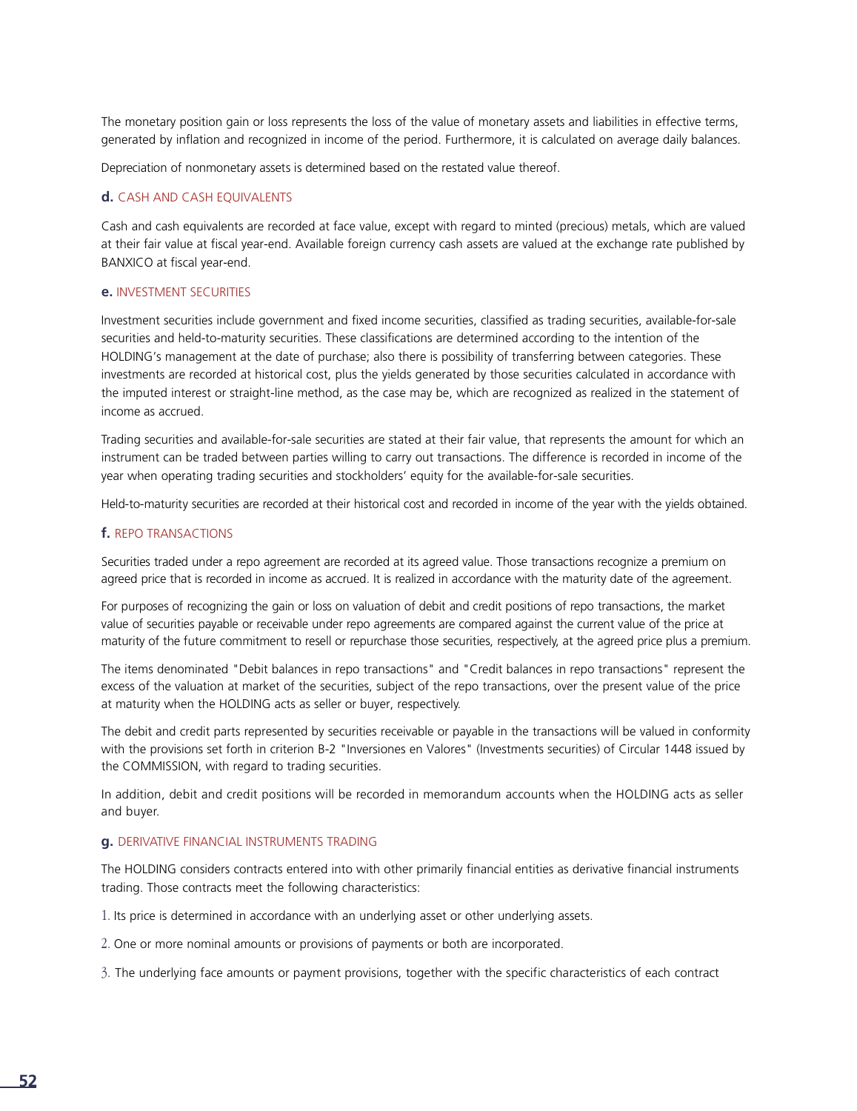The monetary position gain or loss represents the loss of the value of monetary assets and liabilities in effective terms, generated by inflation and recognized in income of the period. Furthermore, it is calculated on average daily balances.

Depreciation of nonmonetary assets is determined based on the restated value thereof.

#### **d.** CASH AND CASH EQUIVALENTS

Cash and cash equivalents are recorded at face value, except with regard to minted (precious) metals, which are valued at their fair value at fiscal year-end. Available foreign currency cash assets are valued at the exchange rate published by BANXICO at fiscal year-end.

#### **e.** INVESTMENT SECURITIES

Investment securities include government and fixed income securities, classified as trading securities, available-for-sale securities and held-to-maturity securities. These classifications are determined according to the intention of the HOLDING's management at the date of purchase; also there is possibility of transferring between categories. These investments are recorded at historical cost, plus the yields generated by those securities calculated in accordance with the imputed interest or straight-line method, as the case may be, which are recognized as realized in the statement of income as accrued.

Trading securities and available-for-sale securities are stated at their fair value, that represents the amount for which an instrument can be traded between parties willing to carry out transactions. The difference is recorded in income of the year when operating trading securities and stockholders' equity for the available-for-sale securities.

Held-to-maturity securities are recorded at their historical cost and recorded in income of the year with the yields obtained.

#### **f.** REPO TRANSACTIONS

Securities traded under a repo agreement are recorded at its agreed value. Those transactions recognize a premium on agreed price that is recorded in income as accrued. It is realized in accordance with the maturity date of the agreement.

For purposes of recognizing the gain or loss on valuation of debit and credit positions of repo transactions, the market value of securities payable or receivable under repo agreements are compared against the current value of the price at maturity of the future commitment to resell or repurchase those securities, respectively, at the agreed price plus a premium.

The items denominated "Debit balances in repo transactions" and "Credit balances in repo transactions" represent the excess of the valuation at market of the securities, subject of the repo transactions, over the present value of the price at maturity when the HOLDING acts as seller or buyer, respectively.

The debit and credit parts represented by securities receivable or payable in the transactions will be valued in conformity with the provisions set forth in criterion B-2 "Inversiones en Valores" (Investments securities) of Circular 1448 issued by the COMMISSION, with regard to trading securities.

In addition, debit and credit positions will be recorded in memorandum accounts when the HOLDING acts as seller and buyer.

#### **g.** DERIVATIVE FINANCIAL INSTRUMENTS TRADING

The HOLDING considers contracts entered into with other primarily financial entities as derivative financial instruments trading. Those contracts meet the following characteristics:

1. Its price is determined in accordance with an underlying asset or other underlying assets.

2. One or more nominal amounts or provisions of payments or both are incorporated.

3. The underlying face amounts or payment provisions, together with the specific characteristics of each contract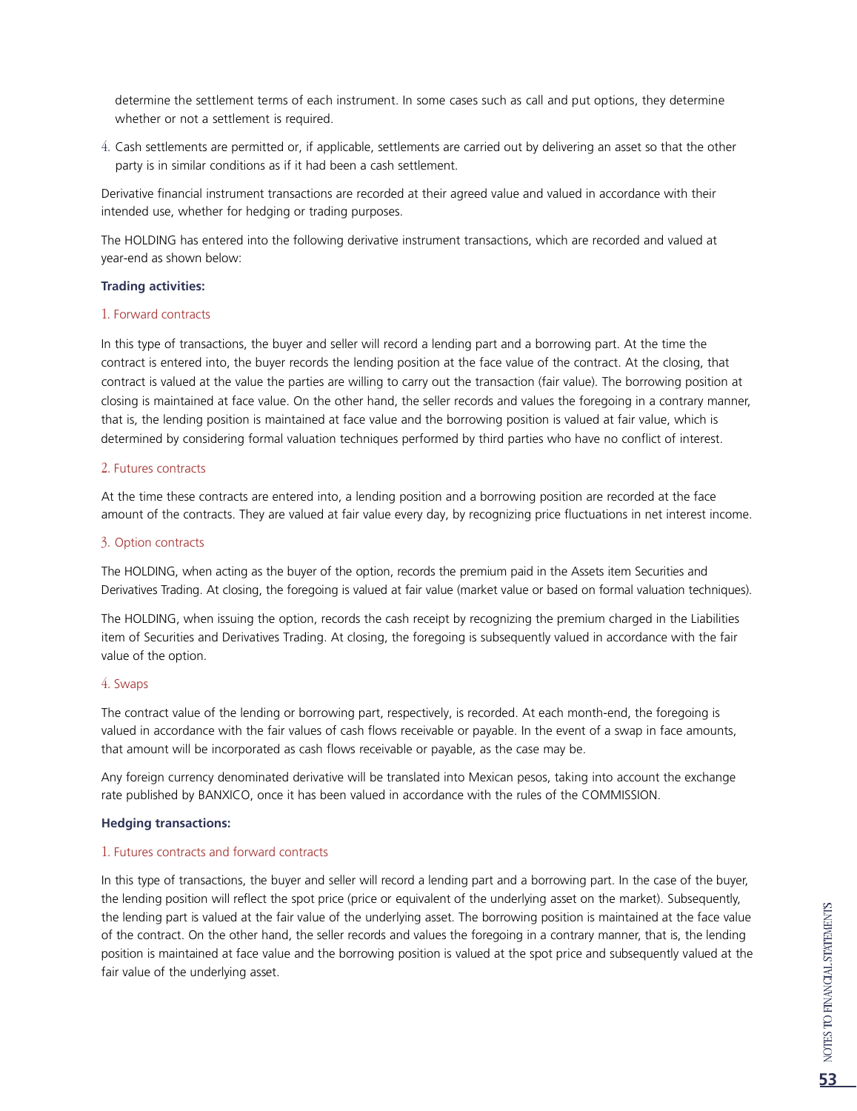determine the settlement terms of each instrument. In some cases such as call and put options, they determine whether or not a settlement is required.

4. Cash settlements are permitted or, if applicable, settlements are carried out by delivering an asset so that the other party is in similar conditions as if it had been a cash settlement.

Derivative financial instrument transactions are recorded at their agreed value and valued in accordance with their intended use, whether for hedging or trading purposes.

The HOLDING has entered into the following derivative instrument transactions, which are recorded and valued at year-end as shown below:

#### **Trading activities:**

#### 1. Forward contracts

In this type of transactions, the buyer and seller will record a lending part and a borrowing part. At the time the contract is entered into, the buyer records the lending position at the face value of the contract. At the closing, that contract is valued at the value the parties are willing to carry out the transaction (fair value). The borrowing position at closing is maintained at face value. On the other hand, the seller records and values the foregoing in a contrary manner, that is, the lending position is maintained at face value and the borrowing position is valued at fair value, which is determined by considering formal valuation techniques performed by third parties who have no conflict of interest.

#### 2. Futures contracts

At the time these contracts are entered into, a lending position and a borrowing position are recorded at the face amount of the contracts. They are valued at fair value every day, by recognizing price fluctuations in net interest income.

#### 3. Option contracts

The HOLDING, when acting as the buyer of the option, records the premium paid in the Assets item Securities and Derivatives Trading. At closing, the foregoing is valued at fair value (market value or based on formal valuation techniques).

The HOLDING, when issuing the option, records the cash receipt by recognizing the premium charged in the Liabilities item of Securities and Derivatives Trading. At closing, the foregoing is subsequently valued in accordance with the fair value of the option.

#### 4. Swaps

The contract value of the lending or borrowing part, respectively, is recorded. At each month-end, the foregoing is valued in accordance with the fair values of cash flows receivable or payable. In the event of a swap in face amounts, that amount will be incorporated as cash flows receivable or payable, as the case may be.

Any foreign currency denominated derivative will be translated into Mexican pesos, taking into account the exchange rate published by BANXICO, once it has been valued in accordance with the rules of the COMMISSION.

#### **Hedging transactions:**

#### 1. Futures contracts and forward contracts

In this type of transactions, the buyer and seller will record a lending part and a borrowing part. In the case of the buyer, the lending position will reflect the spot price (price or equivalent of the underlying asset on the market). Subsequently, the lending part is valued at the fair value of the underlying asset. The borrowing position is maintained at the face value of the contract. On the other hand, the seller records and values the foregoing in a contrary manner, that is, the lending position is maintained at face value and the borrowing position is valued at the spot price and subsequently valued at the fair value of the underlying asset.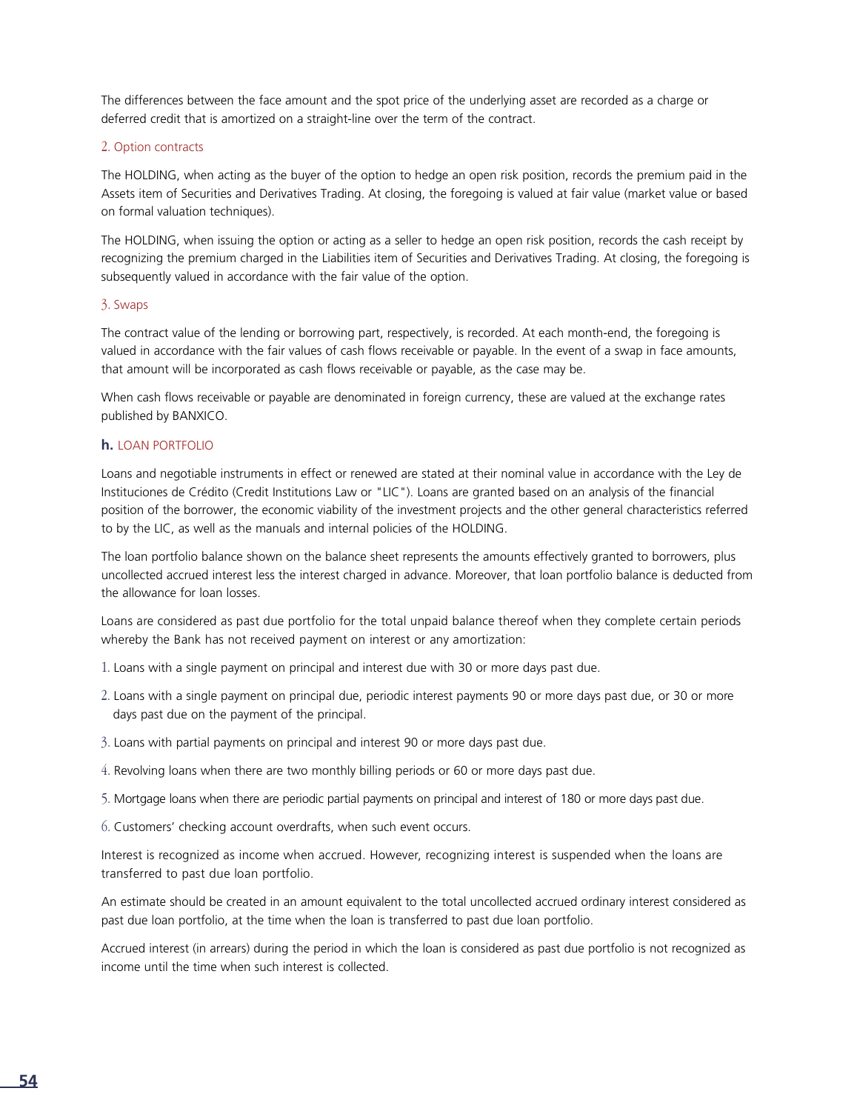The differences between the face amount and the spot price of the underlying asset are recorded as a charge or deferred credit that is amortized on a straight-line over the term of the contract.

#### 2. Option contracts

The HOLDING, when acting as the buyer of the option to hedge an open risk position, records the premium paid in the Assets item of Securities and Derivatives Trading. At closing, the foregoing is valued at fair value (market value or based on formal valuation techniques).

The HOLDING, when issuing the option or acting as a seller to hedge an open risk position, records the cash receipt by recognizing the premium charged in the Liabilities item of Securities and Derivatives Trading. At closing, the foregoing is subsequently valued in accordance with the fair value of the option.

#### 3. Swaps

The contract value of the lending or borrowing part, respectively, is recorded. At each month-end, the foregoing is valued in accordance with the fair values of cash flows receivable or payable. In the event of a swap in face amounts, that amount will be incorporated as cash flows receivable or payable, as the case may be.

When cash flows receivable or payable are denominated in foreign currency, these are valued at the exchange rates published by BANXICO.

#### **h.** LOAN PORTFOLIO

Loans and negotiable instruments in effect or renewed are stated at their nominal value in accordance with the Ley de Instituciones de Crédito (Credit Institutions Law or "LIC"). Loans are granted based on an analysis of the financial position of the borrower, the economic viability of the investment projects and the other general characteristics referred to by the LIC, as well as the manuals and internal policies of the HOLDING.

The loan portfolio balance shown on the balance sheet represents the amounts effectively granted to borrowers, plus uncollected accrued interest less the interest charged in advance. Moreover, that loan portfolio balance is deducted from the allowance for loan losses.

Loans are considered as past due portfolio for the total unpaid balance thereof when they complete certain periods whereby the Bank has not received payment on interest or any amortization:

- 1. Loans with a single payment on principal and interest due with 30 or more days past due.
- 2. Loans with a single payment on principal due, periodic interest payments 90 or more days past due, or 30 or more days past due on the payment of the principal.
- 3. Loans with partial payments on principal and interest 90 or more days past due.
- 4. Revolving loans when there are two monthly billing periods or 60 or more days past due.
- 5. Mortgage loans when there are periodic partial payments on principal and interest of 180 or more days past due.
- 6. Customers' checking account overdrafts, when such event occurs.

Interest is recognized as income when accrued. However, recognizing interest is suspended when the loans are transferred to past due loan portfolio.

An estimate should be created in an amount equivalent to the total uncollected accrued ordinary interest considered as past due loan portfolio, at the time when the loan is transferred to past due loan portfolio.

Accrued interest (in arrears) during the period in which the loan is considered as past due portfolio is not recognized as income until the time when such interest is collected.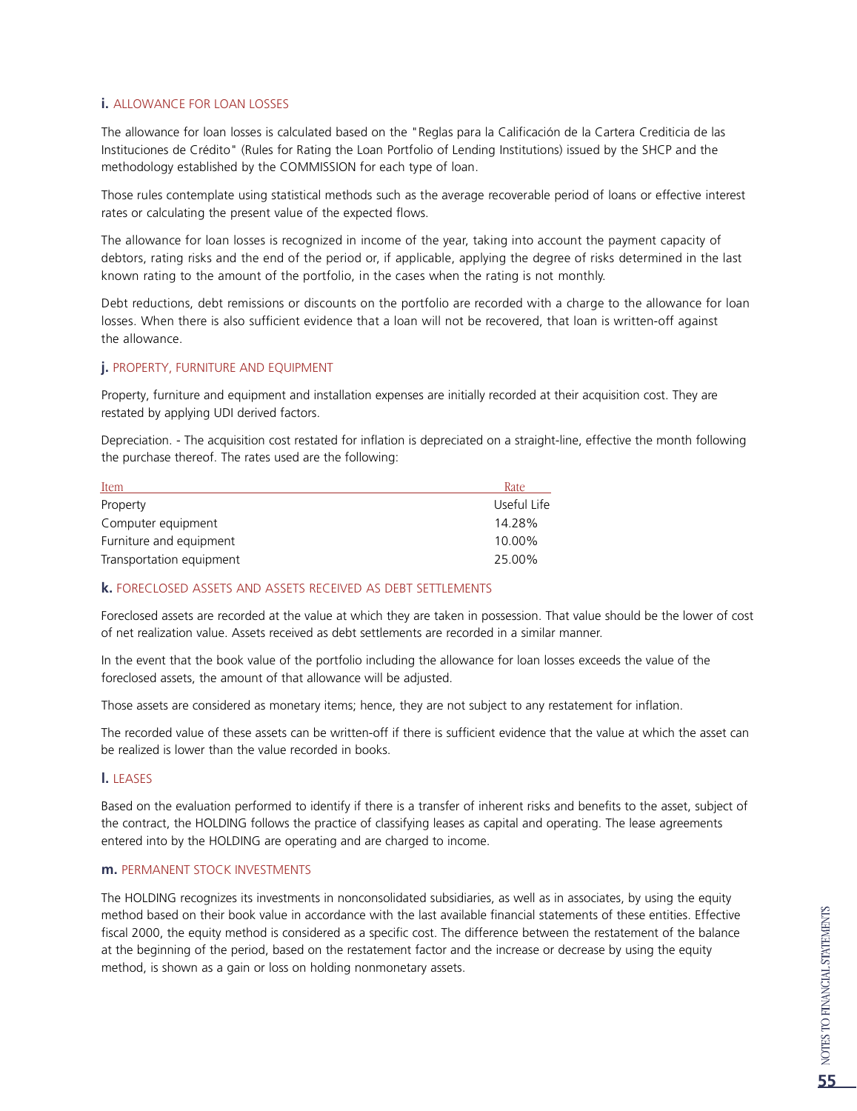#### **i.** ALLOWANCE FOR LOAN LOSSES

The allowance for loan losses is calculated based on the "Reglas para la Calificación de la Cartera Crediticia de las Instituciones de Crédito" (Rules for Rating the Loan Portfolio of Lending Institutions) issued by the SHCP and the methodology established by the COMMISSION for each type of loan.

Those rules contemplate using statistical methods such as the average recoverable period of loans or effective interest rates or calculating the present value of the expected flows.

The allowance for loan losses is recognized in income of the year, taking into account the payment capacity of debtors, rating risks and the end of the period or, if applicable, applying the degree of risks determined in the last known rating to the amount of the portfolio, in the cases when the rating is not monthly.

Debt reductions, debt remissions or discounts on the portfolio are recorded with a charge to the allowance for loan losses. When there is also sufficient evidence that a loan will not be recovered, that loan is written-off against the allowance.

#### **j.** PROPERTY, FURNITURE AND EQUIPMENT

Property, furniture and equipment and installation expenses are initially recorded at their acquisition cost. They are restated by applying UDI derived factors.

Depreciation. - The acquisition cost restated for inflation is depreciated on a straight-line, effective the month following the purchase thereof. The rates used are the following:

| Item                     | Rate        |
|--------------------------|-------------|
| Property                 | Useful Life |
| Computer equipment       | 14.28%      |
| Furniture and equipment  | 10.00%      |
| Transportation equipment | 25.00%      |

#### **k.** FORECLOSED ASSETS AND ASSETS RECEIVED AS DEBT SETTLEMENTS

Foreclosed assets are recorded at the value at which they are taken in possession. That value should be the lower of cost of net realization value. Assets received as debt settlements are recorded in a similar manner.

In the event that the book value of the portfolio including the allowance for loan losses exceeds the value of the foreclosed assets, the amount of that allowance will be adjusted.

Those assets are considered as monetary items; hence, they are not subject to any restatement for inflation.

The recorded value of these assets can be written-off if there is sufficient evidence that the value at which the asset can be realized is lower than the value recorded in books.

#### **l.** LEASES

Based on the evaluation performed to identify if there is a transfer of inherent risks and benefits to the asset, subject of the contract, the HOLDING follows the practice of classifying leases as capital and operating. The lease agreements entered into by the HOLDING are operating and are charged to income.

#### **m.** PERMANENT STOCK INVESTMENTS

The HOLDING recognizes its investments in nonconsolidated subsidiaries, as well as in associates, by using the equity method based on their book value in accordance with the last available financial statements of these entities. Effective fiscal 2000, the equity method is considered as a specific cost. The difference between the restatement of the balance at the beginning of the period, based on the restatement factor and the increase or decrease by using the equity method, is shown as a gain or loss on holding nonmonetary assets.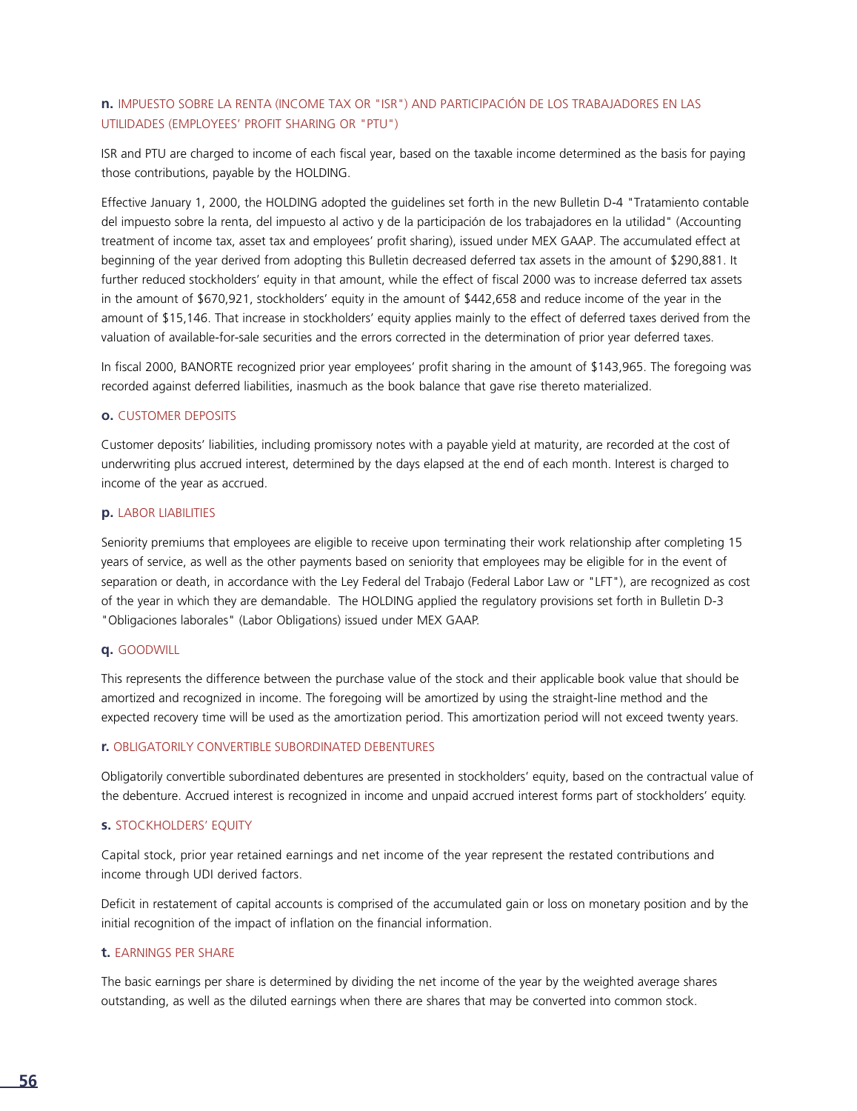#### **n.** IMPUESTO SOBRE LA RENTA (INCOME TAX OR "ISR") AND PARTICIPACIÓN DE LOS TRABAJADORES EN LAS UTILIDADES (EMPLOYEES' PROFIT SHARING OR "PTU")

ISR and PTU are charged to income of each fiscal year, based on the taxable income determined as the basis for paying those contributions, payable by the HOLDING.

Effective January 1, 2000, the HOLDING adopted the guidelines set forth in the new Bulletin D-4 "Tratamiento contable del impuesto sobre la renta, del impuesto al activo y de la participación de los trabajadores en la utilidad" (Accounting treatment of income tax, asset tax and employees' profit sharing), issued under MEX GAAP. The accumulated effect at beginning of the year derived from adopting this Bulletin decreased deferred tax assets in the amount of \$290,881. It further reduced stockholders' equity in that amount, while the effect of fiscal 2000 was to increase deferred tax assets in the amount of \$670,921, stockholders' equity in the amount of \$442,658 and reduce income of the year in the amount of \$15,146. That increase in stockholders' equity applies mainly to the effect of deferred taxes derived from the valuation of available-for-sale securities and the errors corrected in the determination of prior year deferred taxes.

In fiscal 2000, BANORTE recognized prior year employees' profit sharing in the amount of \$143,965. The foregoing was recorded against deferred liabilities, inasmuch as the book balance that gave rise thereto materialized.

#### **o.** CUSTOMER DEPOSITS

Customer deposits' liabilities, including promissory notes with a payable yield at maturity, are recorded at the cost of underwriting plus accrued interest, determined by the days elapsed at the end of each month. Interest is charged to income of the year as accrued.

#### **p.** LABOR LIABILITIES

Seniority premiums that employees are eligible to receive upon terminating their work relationship after completing 15 years of service, as well as the other payments based on seniority that employees may be eligible for in the event of separation or death, in accordance with the Ley Federal del Trabajo (Federal Labor Law or "LFT"), are recognized as cost of the year in which they are demandable. The HOLDING applied the regulatory provisions set forth in Bulletin D-3 "Obligaciones laborales" (Labor Obligations) issued under MEX GAAP.

#### **q.** GOODWILL

This represents the difference between the purchase value of the stock and their applicable book value that should be amortized and recognized in income. The foregoing will be amortized by using the straight-line method and the expected recovery time will be used as the amortization period. This amortization period will not exceed twenty years.

#### **r.** OBLIGATORILY CONVERTIBLE SUBORDINATED DEBENTURES

Obligatorily convertible subordinated debentures are presented in stockholders' equity, based on the contractual value of the debenture. Accrued interest is recognized in income and unpaid accrued interest forms part of stockholders' equity.

#### **s.** STOCKHOLDERS' EQUITY

Capital stock, prior year retained earnings and net income of the year represent the restated contributions and income through UDI derived factors.

Deficit in restatement of capital accounts is comprised of the accumulated gain or loss on monetary position and by the initial recognition of the impact of inflation on the financial information.

#### **t.** EARNINGS PER SHARE

The basic earnings per share is determined by dividing the net income of the year by the weighted average shares outstanding, as well as the diluted earnings when there are shares that may be converted into common stock.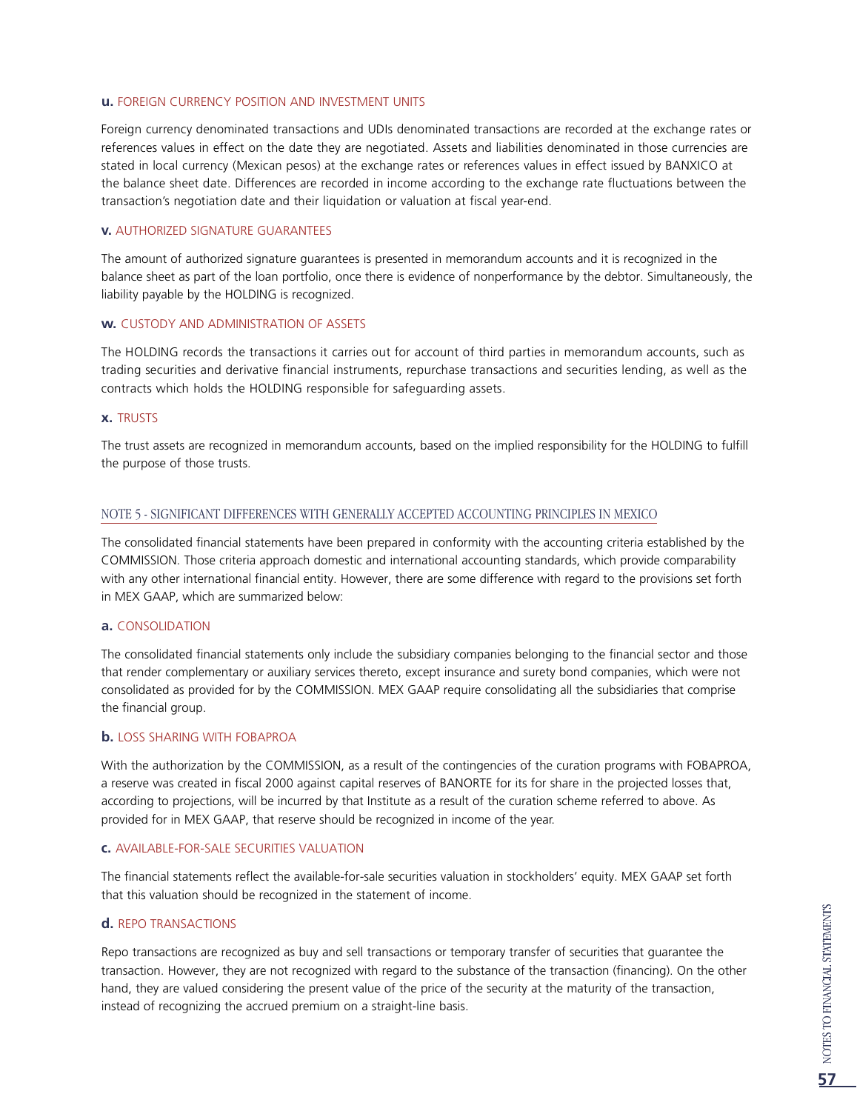#### **u.** FOREIGN CURRENCY POSITION AND INVESTMENT UNITS

Foreign currency denominated transactions and UDIs denominated transactions are recorded at the exchange rates or references values in effect on the date they are negotiated. Assets and liabilities denominated in those currencies are stated in local currency (Mexican pesos) at the exchange rates or references values in effect issued by BANXICO at the balance sheet date. Differences are recorded in income according to the exchange rate fluctuations between the transaction's negotiation date and their liquidation or valuation at fiscal year-end.

#### **v.** AUTHORIZED SIGNATURE GUARANTEES

The amount of authorized signature guarantees is presented in memorandum accounts and it is recognized in the balance sheet as part of the loan portfolio, once there is evidence of nonperformance by the debtor. Simultaneously, the liability payable by the HOLDING is recognized.

#### **w.** CUSTODY AND ADMINISTRATION OF ASSETS

The HOLDING records the transactions it carries out for account of third parties in memorandum accounts, such as trading securities and derivative financial instruments, repurchase transactions and securities lending, as well as the contracts which holds the HOLDING responsible for safeguarding assets.

#### **x.** TRUSTS

The trust assets are recognized in memorandum accounts, based on the implied responsibility for the HOLDING to fulfill the purpose of those trusts.

#### NOTE 5 - SIGNIFICANT DIFFERENCES WITH GENERALLY ACCEPTED ACCOUNTING PRINCIPLES IN MEXICO

The consolidated financial statements have been prepared in conformity with the accounting criteria established by the COMMISSION. Those criteria approach domestic and international accounting standards, which provide comparability with any other international financial entity. However, there are some difference with regard to the provisions set forth in MEX GAAP, which are summarized below:

#### **a.** CONSOLIDATION

The consolidated financial statements only include the subsidiary companies belonging to the financial sector and those that render complementary or auxiliary services thereto, except insurance and surety bond companies, which were not consolidated as provided for by the COMMISSION. MEX GAAP require consolidating all the subsidiaries that comprise the financial group.

#### **b.** LOSS SHARING WITH FOBAPROA

With the authorization by the COMMISSION, as a result of the contingencies of the curation programs with FOBAPROA, a reserve was created in fiscal 2000 against capital reserves of BANORTE for its for share in the projected losses that, according to projections, will be incurred by that Institute as a result of the curation scheme referred to above. As provided for in MEX GAAP, that reserve should be recognized in income of the year.

#### **c.** AVAILABLE-FOR-SALE SECURITIES VALUATION

The financial statements reflect the available-for-sale securities valuation in stockholders' equity. MEX GAAP set forth that this valuation should be recognized in the statement of income.

#### **d.** REPO TRANSACTIONS

Repo transactions are recognized as buy and sell transactions or temporary transfer of securities that guarantee the transaction. However, they are not recognized with regard to the substance of the transaction (financing). On the other hand, they are valued considering the present value of the price of the security at the maturity of the transaction, instead of recognizing the accrued premium on a straight-line basis.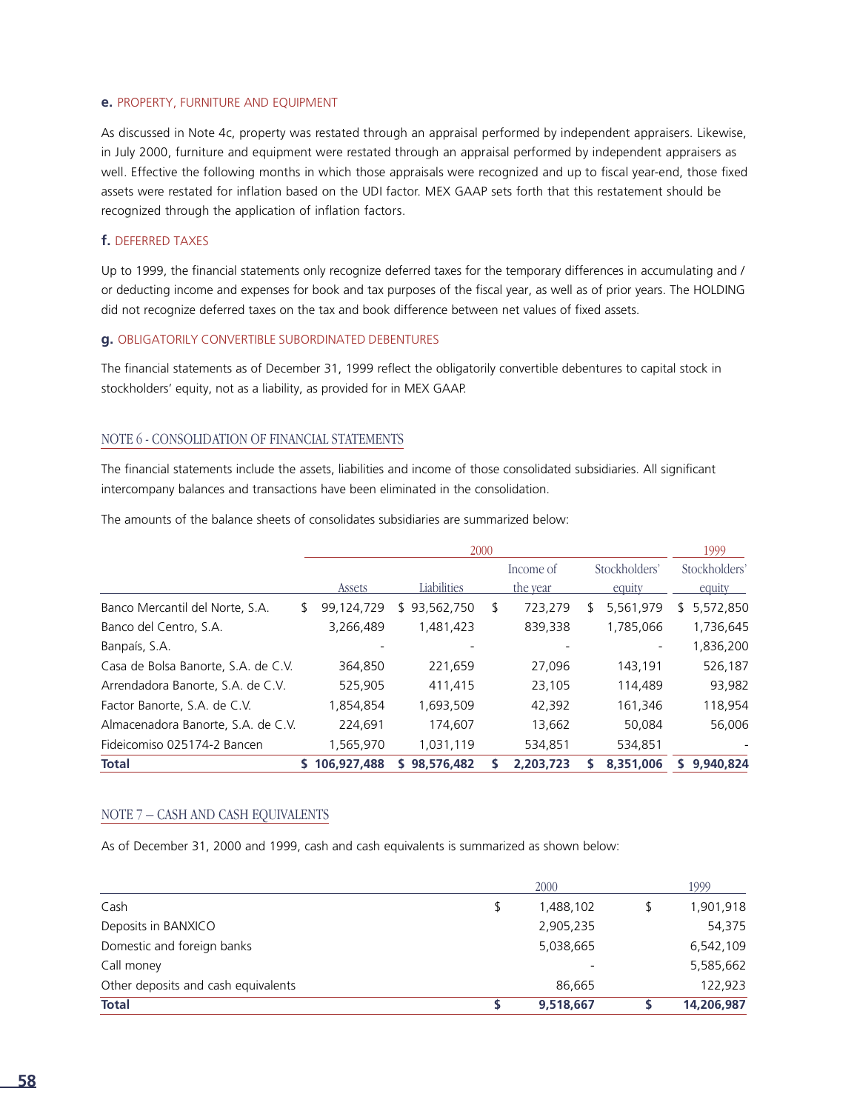#### **e.** PROPERTY, FURNITURE AND EQUIPMENT

As discussed in Note 4c, property was restated through an appraisal performed by independent appraisers. Likewise, in July 2000, furniture and equipment were restated through an appraisal performed by independent appraisers as well. Effective the following months in which those appraisals were recognized and up to fiscal year-end, those fixed assets were restated for inflation based on the UDI factor. MEX GAAP sets forth that this restatement should be recognized through the application of inflation factors.

#### **f.** DEFERRED TAXES

Up to 1999, the financial statements only recognize deferred taxes for the temporary differences in accumulating and / or deducting income and expenses for book and tax purposes of the fiscal year, as well as of prior years. The HOLDING did not recognize deferred taxes on the tax and book difference between net values of fixed assets.

#### **g.** OBLIGATORILY CONVERTIBLE SUBORDINATED DEBENTURES

The financial statements as of December 31, 1999 reflect the obligatorily convertible debentures to capital stock in stockholders' equity, not as a liability, as provided for in MEX GAAP.

#### NOTE 6 - CONSOLIDATION OF FINANCIAL STATEMENTS

The financial statements include the assets, liabilities and income of those consolidated subsidiaries. All significant intercompany balances and transactions have been eliminated in the consolidation.

The amounts of the balance sheets of consolidates subsidiaries are summarized below:

|                                     |   |             |              | 2000 |                       |   |                          | 1999                    |
|-------------------------------------|---|-------------|--------------|------|-----------------------|---|--------------------------|-------------------------|
|                                     |   | Assets      | Liabilities  |      | Income of<br>the year |   | Stockholders'<br>equity  | Stockholders'<br>equity |
| Banco Mercantil del Norte, S.A.     | S | 99,124,729  | \$93,562,750 | S    | 723,279               | S | 5,561,979                | 5,572,850<br>\$         |
| Banco del Centro, S.A.              |   | 3,266,489   | 1,481,423    |      | 839,338               |   | 1,785,066                | 1,736,645               |
| Banpaís, S.A.                       |   |             |              |      |                       |   | $\overline{\phantom{a}}$ | 1,836,200               |
| Casa de Bolsa Banorte, S.A. de C.V. |   | 364,850     | 221,659      |      | 27,096                |   | 143,191                  | 526,187                 |
| Arrendadora Banorte, S.A. de C.V.   |   | 525,905     | 411,415      |      | 23,105                |   | 114,489                  | 93,982                  |
| Factor Banorte, S.A. de C.V.        |   | 1,854,854   | 1,693,509    |      | 42,392                |   | 161,346                  | 118,954                 |
| Almacenadora Banorte, S.A. de C.V.  |   | 224,691     | 174,607      |      | 13,662                |   | 50,084                   | 56,006                  |
| Fideicomiso 025174-2 Bancen         |   | 1,565,970   | 1,031,119    |      | 534,851               |   | 534,851                  |                         |
| Total                               |   | 106.927.488 | 98,576,482   |      | 2.203.723             |   | 8,351,006                | 9.940.824               |

#### NOTE 7 – CASH AND CASH EQUIVALENTS

As of December 31, 2000 and 1999, cash and cash equivalents is summarized as shown below:

|                                     | 2000            | 1999       |
|-------------------------------------|-----------------|------------|
| Cash                                | \$<br>1,488,102 | 1,901,918  |
| Deposits in BANXICO                 | 2,905,235       | 54,375     |
| Domestic and foreign banks          | 5,038,665       | 6,542,109  |
| Call money                          |                 | 5,585,662  |
| Other deposits and cash equivalents | 86,665          | 122,923    |
| <b>Total</b>                        | 9,518,667       | 14,206,987 |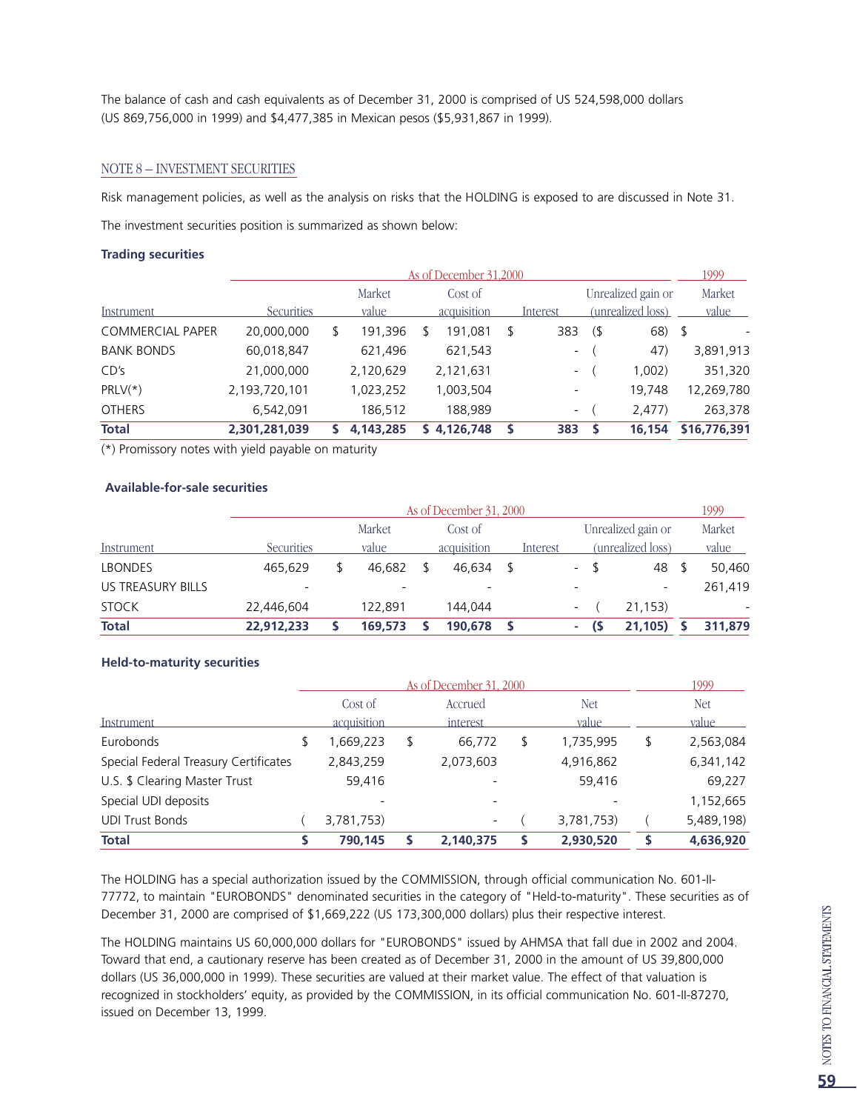The balance of cash and cash equivalents as of December 31, 2000 is comprised of US 524,598,000 dollars (US 869,756,000 in 1999) and \$4,477,385 in Mexican pesos (\$5,931,867 in 1999).

#### NOTE 8 – INVESTMENT SECURITIES

Risk management policies, as well as the analysis on risks that the HOLDING is exposed to are discussed in Note 31.

The investment securities position is summarized as shown below:

#### **Trading securities**

|                         |                   | 1999 |           |             |                          |   |                    |              |
|-------------------------|-------------------|------|-----------|-------------|--------------------------|---|--------------------|--------------|
|                         |                   |      | Market    | Cost of     |                          |   | Unrealized gain or | Market       |
| Instrument.             | <b>Securities</b> |      | value     | acquisition | Interest                 |   | (unrealized loss)  | <u>value</u> |
| <b>COMMERCIAL PAPER</b> | 20,000,000        | S    | 191,396   | 191,081     | 383                      | ( | $68)$ \$           |              |
| <b>BANK BONDS</b>       | 60,018,847        |      | 621,496   | 621,543     | $\overline{\phantom{a}}$ |   | 47)                | 3,891,913    |
| CD's                    | 21,000,000        |      | 2,120,629 | 2,121,631   | $\overline{\phantom{a}}$ |   | 1,002)             | 351,320      |
| $PRLV(*)$               | 2,193,720,101     |      | 1,023,252 | 1,003,504   |                          |   | 19.748             | 12,269,780   |
| <b>OTHERS</b>           | 6,542,091         |      | 186,512   | 188,989     | $ \,$                    |   | 2,477              | 263,378      |
| <b>Total</b>            | 2,301,281,039     |      | 4,143,285 | 4,126,748   | 383                      |   | 16,154             | \$16,776,391 |

(\*) Promissory notes with yield payable on maturity

#### **Available-for-sale securities**

|                          | As of December 31, 2000 |  |         |  |             |  |          |                          |      |                    |  |         |  |
|--------------------------|-------------------------|--|---------|--|-------------|--|----------|--------------------------|------|--------------------|--|---------|--|
|                          |                         |  | Market  |  | Cost of     |  |          |                          |      | Unrealized gain or |  | Market  |  |
| Instrument               | Securities              |  | value   |  | acquisition |  | Interest |                          |      | (unrealized loss)  |  | value   |  |
| <b>LBONDES</b>           | 465.629                 |  | 46.682  |  | 46.634      |  |          | $-$                      | - \$ | 48                 |  | 50.460  |  |
| <b>US TREASURY BILLS</b> |                         |  |         |  |             |  |          |                          |      |                    |  | 261,419 |  |
| <b>STOCK</b>             | 22,446,604              |  | 122.891 |  | 144.044     |  |          | $\overline{\phantom{a}}$ |      | 21.153)            |  |         |  |
| <b>Total</b>             | 22.912.233              |  | 169,573 |  | 190,678     |  |          | <b>COL</b>               |      | 21.105)            |  | 311,879 |  |

#### **Held-to-maturity securities**

|                                       |                          | As of December 31, 2000  |   |              | 1999         |
|---------------------------------------|--------------------------|--------------------------|---|--------------|--------------|
|                                       | Cost of                  | Accrued                  |   | <b>Net</b>   | Net          |
| Instrument                            | acquisition              | interest                 |   | <i>value</i> | <i>value</i> |
| Eurobonds                             | 1,669,223                | \$<br>66,772             | S | 1,735,995    | 2,563,084    |
| Special Federal Treasury Certificates | 2,843,259                | 2,073,603                |   | 4,916,862    | 6,341,142    |
| U.S. \$ Clearing Master Trust         | 59,416                   |                          |   | 59.416       | 69,227       |
| Special UDI deposits                  | $\overline{\phantom{a}}$ |                          |   |              | 1,152,665    |
| <b>UDI Trust Bonds</b>                | 3,781,753)               | $\overline{\phantom{a}}$ |   | 3,781,753)   | 5,489,198)   |
| <b>Total</b>                          | 790,145                  | 2,140,375                |   | 2,930,520    | 4,636,920    |

The HOLDING has a special authorization issued by the COMMISSION, through official communication No. 601-II-77772, to maintain "EUROBONDS" denominated securities in the category of "Held-to-maturity". These securities as of December 31, 2000 are comprised of \$1,669,222 (US 173,300,000 dollars) plus their respective interest.

The HOLDING maintains US 60,000,000 dollars for "EUROBONDS" issued by AHMSA that fall due in 2002 and 2004. Toward that end, a cautionary reserve has been created as of December 31, 2000 in the amount of US 39,800,000 dollars (US 36,000,000 in 1999). These securities are valued at their market value. The effect of that valuation is recognized in stockholders' equity, as provided by the COMMISSION, in its official communication No. 601-II-87270, issued on December 13, 1999.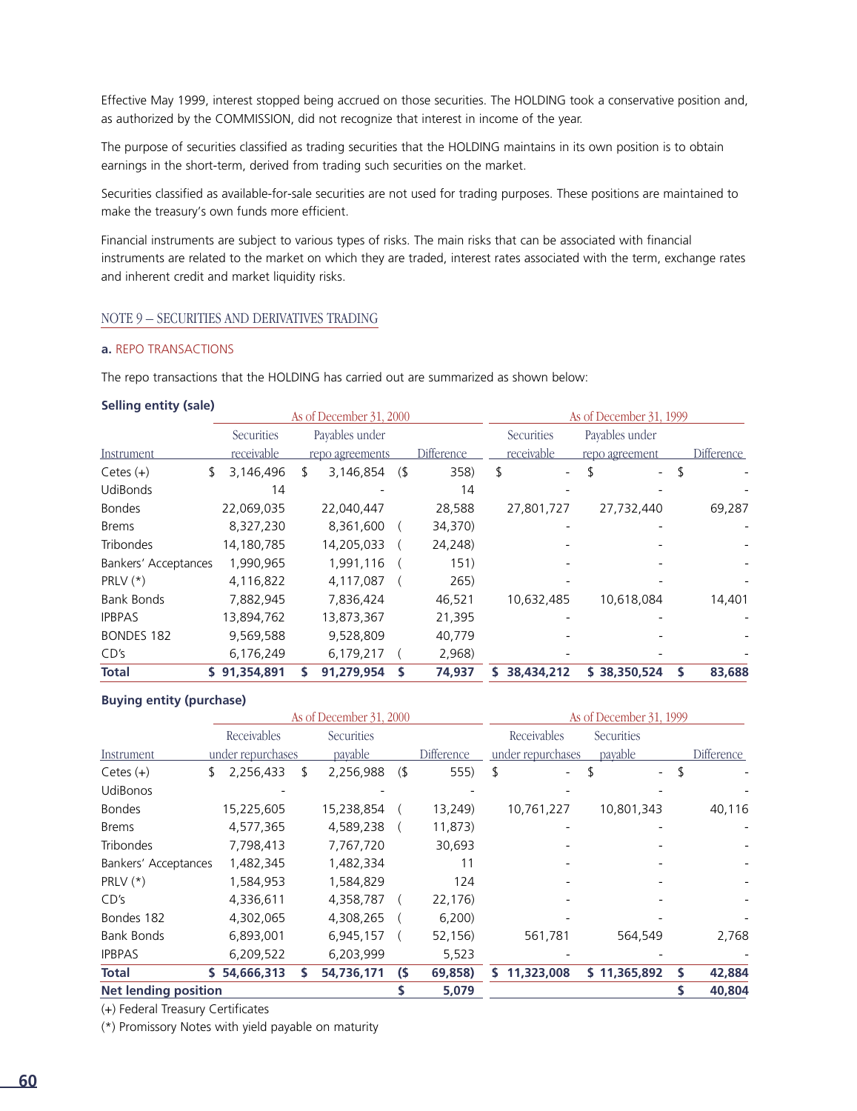Effective May 1999, interest stopped being accrued on those securities. The HOLDING took a conservative position and, as authorized by the COMMISSION, did not recognize that interest in income of the year.

The purpose of securities classified as trading securities that the HOLDING maintains in its own position is to obtain earnings in the short-term, derived from trading such securities on the market.

Securities classified as available-for-sale securities are not used for trading purposes. These positions are maintained to make the treasury's own funds more efficient.

Financial instruments are subject to various types of risks. The main risks that can be associated with financial instruments are related to the market on which they are traded, interest rates associated with the term, exchange rates and inherent credit and market liquidity risks.

#### NOTE 9 – SECURITIES AND DERIVATIVES TRADING

#### **a.** REPO TRANSACTIONS

The repo transactions that the HOLDING has carried out are summarized as shown below:

#### **Selling entity (sale)**

|                      |                 |   | As of December 31, 2000 |   |                   |            | As of December 31, 1999       |            |
|----------------------|-----------------|---|-------------------------|---|-------------------|------------|-------------------------------|------------|
|                      | Securities      |   | Payables under          |   |                   | Securities | Payables under                |            |
| Instrument           | receivable      |   | repo agreements         |   | <b>Difference</b> | receivable | repo agreement                | Difference |
| Cetes $(+)$          | \$<br>3,146,496 | S | 3,146,854               | ( | 358)              | \$         | S<br>$\overline{\phantom{0}}$ |            |
| <b>UdiBonds</b>      | 14              |   |                         |   | 14                |            |                               |            |
| <b>Bondes</b>        | 22,069,035      |   | 22,040,447              |   | 28,588            | 27,801,727 | 27,732,440                    | 69,287     |
| <b>Brems</b>         | 8,327,230       |   | 8,361,600               |   | 34,370)           |            |                               |            |
| <b>Tribondes</b>     | 14,180,785      |   | 14,205,033              |   | 24,248)           |            |                               |            |
| Bankers' Acceptances | 1,990,965       |   | 1,991,116               |   | 151)              |            |                               |            |
| PRLV $(*)$           | 4,116,822       |   | 4,117,087               |   | 265)              |            |                               |            |
| <b>Bank Bonds</b>    | 7,882,945       |   | 7,836,424               |   | 46,521            | 10,632,485 | 10,618,084                    | 14,401     |
| <b>IPBPAS</b>        | 13,894,762      |   | 13,873,367              |   | 21,395            |            |                               |            |
| <b>BONDES 182</b>    | 9,569,588       |   | 9,528,809               |   | 40,779            |            |                               |            |
| CD's                 | 6,176,249       |   | 6,179,217               |   | 2,968)            |            |                               |            |
| <b>Total</b>         | \$91,354,891    |   | 91,279,954              |   | 74,937            | 38,434,212 | \$38,350,524                  | 83,688     |

#### **Buying entity (purchase)**

|                             |    | As of December 31, 2000 |                   |        | As of December 31, 1999 |    |                   |                          |  |                   |
|-----------------------------|----|-------------------------|-------------------|--------|-------------------------|----|-------------------|--------------------------|--|-------------------|
|                             |    | Receivables             | <b>Securities</b> |        |                         |    | Receivables       | Securities               |  |                   |
| Instrument                  |    | under repurchases       | payable           |        | Difference              |    | under repurchases | payable                  |  | <b>Difference</b> |
| $Cetes (+)$                 | S. | 2,256,433               | \$<br>2,256,988   | $($ \$ | 555)                    | \$ |                   | $\overline{\phantom{0}}$ |  |                   |
| <b>UdiBonos</b>             |    |                         |                   |        |                         |    |                   |                          |  |                   |
| <b>Bondes</b>               |    | 15,225,605              | 15,238,854        |        | 13,249)                 |    | 10,761,227        | 10,801,343               |  | 40,116            |
| <b>Brems</b>                |    | 4,577,365               | 4,589,238         |        | 11,873)                 |    |                   |                          |  |                   |
| <b>Tribondes</b>            |    | 7,798,413               | 7,767,720         |        | 30,693                  |    |                   |                          |  |                   |
| Bankers' Acceptances        |    | 1,482,345               | 1,482,334         |        | 11                      |    |                   |                          |  |                   |
| PRLV $(*)$                  |    | 1,584,953               | 1,584,829         |        | 124                     |    |                   |                          |  |                   |
| CD's                        |    | 4,336,611               | 4,358,787         |        | 22,176)                 |    |                   |                          |  |                   |
| Bondes 182                  |    | 4,302,065               | 4,308,265         |        | 6,200                   |    |                   |                          |  |                   |
| <b>Bank Bonds</b>           |    | 6,893,001               | 6,945,157         |        | 52,156)                 |    | 561,781           | 564,549                  |  | 2,768             |
| <b>IPBPAS</b>               |    | 6,209,522               | 6,203,999         |        | 5,523                   |    |                   |                          |  |                   |
| <b>Total</b>                |    | \$54,666,313            | 54,736,171        | $\sim$ | 69,858)                 | S. | 11,323,008        | \$11,365,892             |  | 42,884            |
| <b>Net lending position</b> |    |                         |                   |        | 5,079                   |    |                   |                          |  | 40,804            |

(+) Federal Treasury Certificates

(\*) Promissory Notes with yield payable on maturity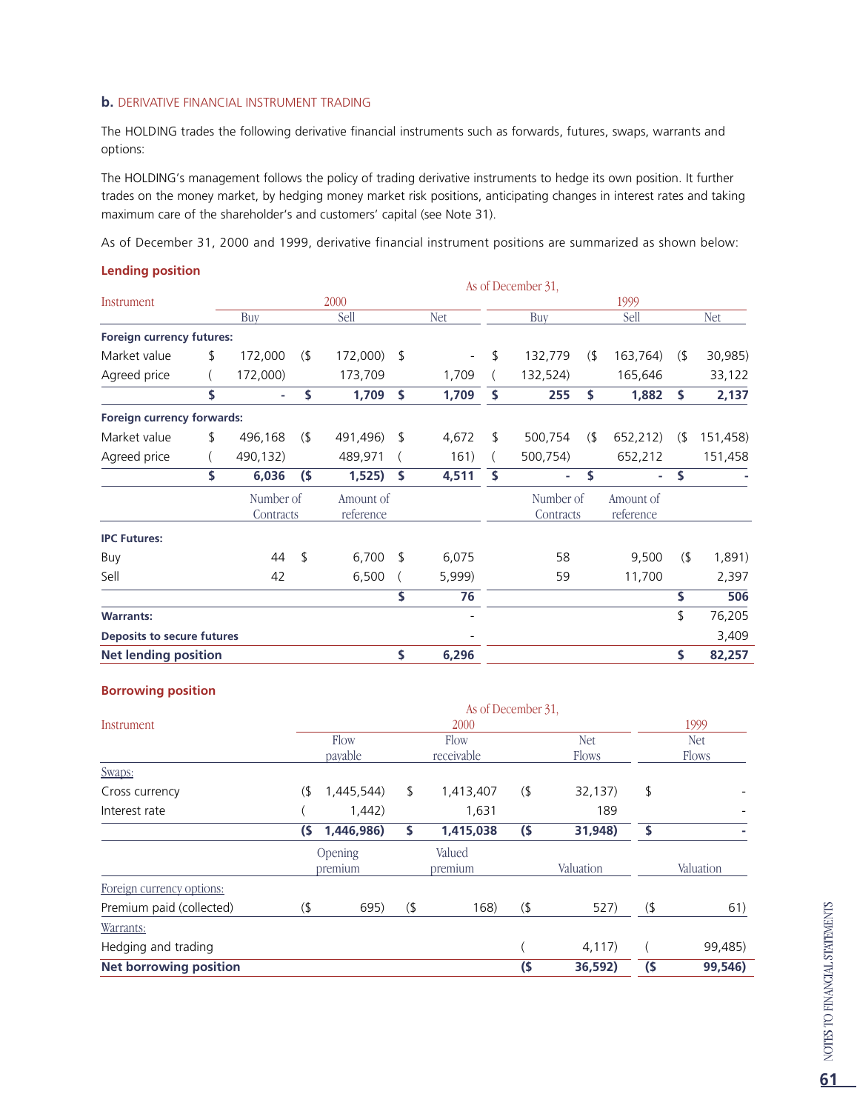#### **b.** DERIVATIVE FINANCIAL INSTRUMENT TRADING

The HOLDING trades the following derivative financial instruments such as forwards, futures, swaps, warrants and options:

The HOLDING's management follows the policy of trading derivative instruments to hedge its own position. It further trades on the money market, by hedging money market risk positions, anticipating changes in interest rates and taking maximum care of the shareholder's and customers' capital (see Note 31).

As of December 31, 2000 and 1999, derivative financial instrument positions are summarized as shown below:

#### **Lending position**

|                             |               |     |           |    |            | As of December 31, |     |           |     |            |
|-----------------------------|---------------|-----|-----------|----|------------|--------------------|-----|-----------|-----|------------|
| Instrument                  |               |     | 2000      |    |            |                    |     | 1999      |     |            |
|                             | Buy           |     | Sell      |    | <b>Net</b> | Buy                |     | Sell      |     | <b>Net</b> |
| Foreign currency futures:   |               |     |           |    |            |                    |     |           |     |            |
| Market value                | \$<br>172,000 | (5) | 172,000)  | \$ |            | \$<br>132,779      | (5) | 163,764)  | (5) | 30,985)    |
| Agreed price                | 172,000)      |     | 173,709   |    | 1,709      | 132,524)           |     | 165,646   |     | 33,122     |
|                             | \$<br>٠       | \$  | 1,709     | Ŝ  | 1,709      | \$<br>255          | \$  | 1,882     | S   | 2,137      |
| Foreign currency forwards:  |               |     |           |    |            |                    |     |           |     |            |
| Market value                | \$<br>496,168 | (   | 491,496)  | \$ | 4,672      | \$<br>500,754      | (   | 652,212)  | (   | 151,458)   |
| Agreed price                | 490,132)      |     | 489,971   |    | 161)       | 500,754)           |     | 652,212   |     | 151,458    |
|                             | \$<br>6,036   | (5) | 1,525)    | \$ | 4,511      | \$<br>٠            | \$  | ٠         | S.  |            |
|                             | Number of     |     | Amount of |    |            | Number of          |     | Amount of |     |            |
|                             | Contracts     |     | reference |    |            | Contracts          |     | reference |     |            |
| <b>IPC Futures:</b>         |               |     |           |    |            |                    |     |           |     |            |
| Buy                         | 44            | \$  | 6,700     | -S | 6,075      | 58                 |     | 9,500     | (5) | 1,891)     |
| Sell                        | 42            |     | 6,500     |    | 5,999)     | 59                 |     | 11,700    |     | 2,397      |
|                             |               |     |           | \$ | 76         |                    |     |           | \$  | 506        |
| <b>Warrants:</b>            |               |     |           |    |            |                    |     |           | \$  | 76,205     |
| Deposits to secure futures  |               |     |           |    |            |                    |     |           |     | 3,409      |
| <b>Net lending position</b> |               |     |           | \$ | 6,296      |                    |     |           | \$  | 82,257     |

#### **Borrowing position**

|        |            |                    | 2000       |        |            |                    | 1999       |
|--------|------------|--------------------|------------|--------|------------|--------------------|------------|
|        | Flow       |                    | Flow       |        | <b>Net</b> |                    | <b>Net</b> |
|        | payable    |                    | receivable |        | Flows      |                    | Flows      |
|        |            |                    |            |        |            |                    |            |
| $($ \$ | 1,445,544) | \$                 | 1,413,407  | (      | 32,137)    | \$                 |            |
|        | 1,442)     |                    | 1,631      |        | 189        |                    |            |
| (\$    | 1,446,986) | Ŝ.                 | 1,415,038  | (5)    | 31,948)    | Ś                  |            |
|        |            |                    | Valued     |        |            |                    |            |
|        |            |                    | premium    |        | Valuation  |                    | Valuation  |
|        |            |                    |            |        |            |                    |            |
| $($ \$ | 695)       | (                  | 168)       | (      | 527)       | (                  | 61)        |
|        |            |                    |            |        |            |                    |            |
|        |            |                    |            |        | 4,117)     |                    | 99,485)    |
|        |            |                    |            | $($ \$ | 36,592)    | (5)                | 99,546)    |
|        |            | Opening<br>premium |            |        |            | As of December 31. |            |

L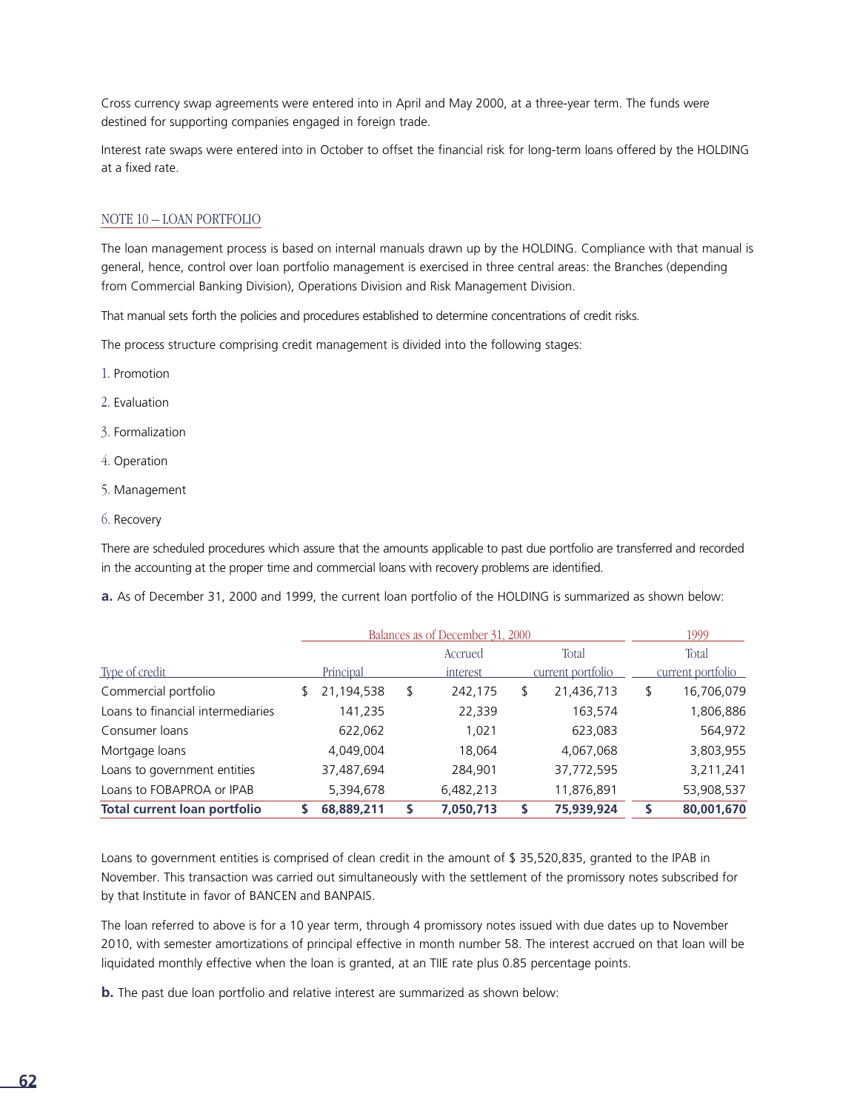Cross currency swap agreements were entered into in April and May 2000, at a three-year term. The funds were destined for supporting companies engaged in foreign trade.

Interest rate swaps were entered into in October to offset the financial risk for long-term loans offered by the HOLDING at a fixed rate.

#### NOTE 10 – LOAN PORTFOLIO

The loan management process is based on internal manuals drawn up by the HOLDING. Compliance with that manual is general, hence, control over loan portfolio management is exercised in three central areas: the Branches (depending from Commercial Banking Division), Operations Division and Risk Management Division.

That manual sets forth the policies and procedures established to determine concentrations of credit risks.

The process structure comprising credit management is divided into the following stages:

- 1. Promotion
- 2. Evaluation
- 3. Formalization
- 4. Operation
- 5. Management
- 6. Recovery

There are scheduled procedures which assure that the amounts applicable to past due portfolio are transferred and recorded in the accounting at the proper time and commercial loans with recovery problems are identified.

**a.** As of December 31, 2000 and 1999, the current loan portfolio of the HOLDING is summarized as shown below:

|                                     | Balances as of December 31, 2000 | 1999          |                   |   |                   |
|-------------------------------------|----------------------------------|---------------|-------------------|---|-------------------|
|                                     |                                  | Accrued       | Total             |   | Total             |
| Type of credit                      | Principal                        | interest      | current portfolio |   | current portfolio |
| Commercial portfolio                | 21,194,538                       | \$<br>242,175 | \$<br>21,436,713  | S | 16,706,079        |
| Loans to financial intermediaries   | 141,235                          | 22,339        | 163,574           |   | 1,806,886         |
| Consumer loans                      | 622,062                          | 1,021         | 623,083           |   | 564,972           |
| Mortgage loans                      | 4,049,004                        | 18,064        | 4,067,068         |   | 3,803,955         |
| Loans to government entities        | 37,487,694                       | 284,901       | 37,772,595        |   | 3,211,241         |
| Loans to FOBAPROA or IPAB           | 5,394,678                        | 6,482,213     | 11,876,891        |   | 53,908,537        |
| <b>Total current loan portfolio</b> | 68,889,211                       | 7,050,713     | 75,939,924        |   | 80,001,670        |

Loans to government entities is comprised of clean credit in the amount of \$ 35,520,835, granted to the IPAB in November. This transaction was carried out simultaneously with the settlement of the promissory notes subscribed for by that Institute in favor of BANCEN and BANPAIS.

The loan referred to above is for a 10 year term, through 4 promissory notes issued with due dates up to November 2010, with semester amortizations of principal effective in month number 58. The interest accrued on that loan will be liquidated monthly effective when the loan is granted, at an TIIE rate plus 0.85 percentage points.

**b.** The past due loan portfolio and relative interest are summarized as shown below: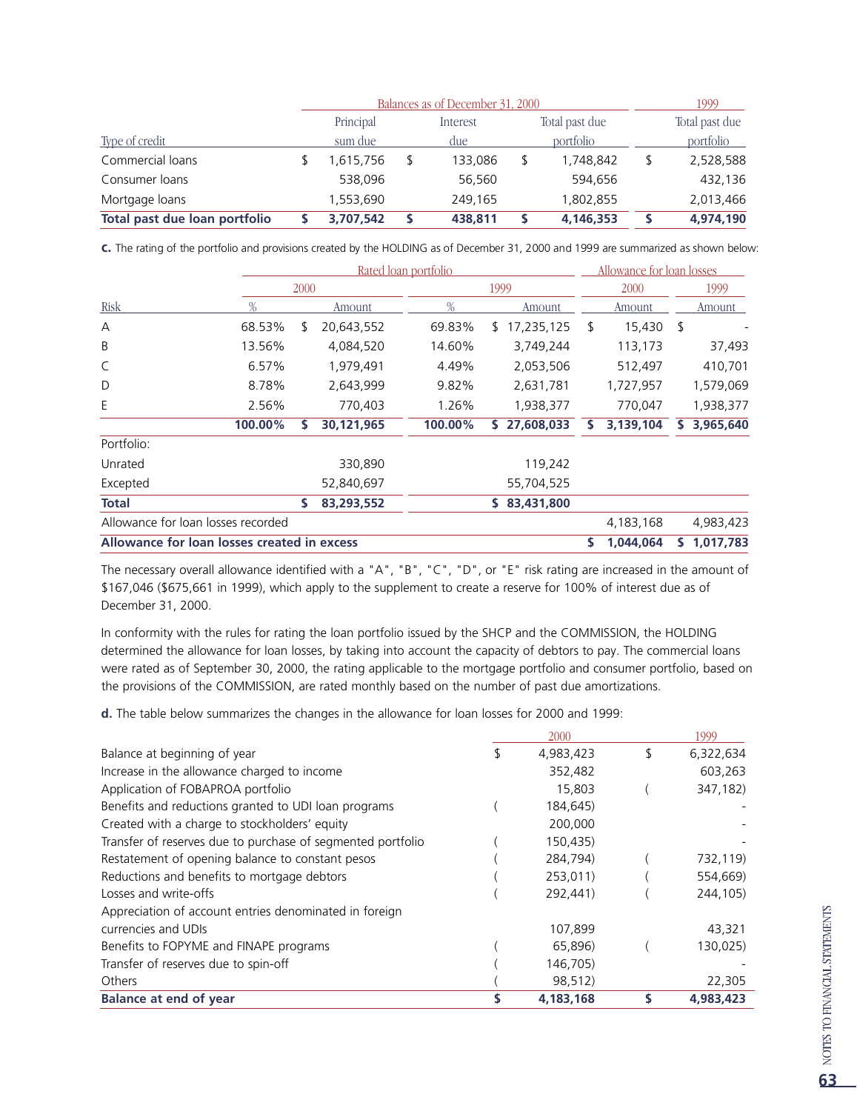|                               | Balances as of December 31, 2000 |     | 1999     |  |                |  |                |
|-------------------------------|----------------------------------|-----|----------|--|----------------|--|----------------|
|                               | Principal                        |     | Interest |  | Total past due |  | Total past due |
| Type of credit                | sum due                          | due |          |  | portfolio      |  | portfolio      |
| Commercial loans              | 1,615,756                        |     | 133,086  |  | 1,748,842      |  | 2,528,588      |
| Consumer loans                | 538,096                          |     | 56,560   |  | 594.656        |  | 432,136        |
| Mortgage loans                | 1,553,690                        |     | 249,165  |  | 1,802,855      |  | 2,013,466      |
| Total past due loan portfolio | 3,707,542                        |     | 438,811  |  | 4,146,353      |  | 4,974,190      |

**c.** The rating of the portfolio and provisions created by the HOLDING as of December 31, 2000 and 1999 are summarized as shown below:

|                                             |         |      | Rated loan portfolio |  |         |      |            |    | Allowance for loan losses |   |           |
|---------------------------------------------|---------|------|----------------------|--|---------|------|------------|----|---------------------------|---|-----------|
|                                             |         | 2000 |                      |  |         | 1999 |            |    | 2000                      |   | 1999      |
| Risk                                        | %       |      | Amount               |  | %       |      | Amount     |    | Amount                    |   | Amount    |
| А                                           | 68.53%  | S    | 20,643,552           |  | 69.83%  | S.   | 17,235,125 | \$ | 15,430                    | S |           |
| B                                           | 13.56%  |      | 4,084,520            |  | 14.60%  |      | 3,749,244  |    | 113,173                   |   | 37,493    |
| C                                           | 6.57%   |      | 1,979,491            |  | 4.49%   |      | 2,053,506  |    | 512,497                   |   | 410,701   |
| D                                           | 8.78%   |      | 2,643,999            |  | 9.82%   |      | 2,631,781  |    | 1,727,957                 |   | 1,579,069 |
| Ε                                           | 2.56%   |      | 770,403              |  | 1.26%   |      | 1,938,377  |    | 770,047                   |   | 1,938,377 |
|                                             | 100.00% |      | 30,121,965           |  | 100.00% | S.   | 27,608,033 | S  | 3,139,104                 | s | 3,965,640 |
| Portfolio:                                  |         |      |                      |  |         |      |            |    |                           |   |           |
| Unrated                                     |         |      | 330,890              |  |         |      | 119,242    |    |                           |   |           |
| Excepted                                    |         |      | 52,840,697           |  |         |      | 55,704,525 |    |                           |   |           |
| <b>Total</b>                                |         | S    | 83,293,552           |  |         | s    | 83,431,800 |    |                           |   |           |
| Allowance for loan losses recorded          |         |      |                      |  |         |      |            |    | 4,183,168                 |   | 4,983,423 |
| Allowance for loan losses created in excess |         |      |                      |  |         |      |            | s  | 1,044,064                 |   | 1,017,783 |

The necessary overall allowance identified with a "A", "B", "C", "D", or "E" risk rating are increased in the amount of \$167,046 (\$675,661 in 1999), which apply to the supplement to create a reserve for 100% of interest due as of December 31, 2000.

In conformity with the rules for rating the loan portfolio issued by the SHCP and the COMMISSION, the HOLDING determined the allowance for loan losses, by taking into account the capacity of debtors to pay. The commercial loans were rated as of September 30, 2000, the rating applicable to the mortgage portfolio and consumer portfolio, based on the provisions of the COMMISSION, are rated monthly based on the number of past due amortizations.

**d.** The table below summarizes the changes in the allowance for loan losses for 2000 and 1999:

|                                                             | 2000      | 1999            |
|-------------------------------------------------------------|-----------|-----------------|
| Balance at beginning of year                                | 4,983,423 | \$<br>6,322,634 |
| Increase in the allowance charged to income                 | 352,482   | 603,263         |
| Application of FOBAPROA portfolio                           | 15,803    | 347,182)        |
| Benefits and reductions granted to UDI loan programs        | 184,645)  |                 |
| Created with a charge to stockholders' equity               | 200,000   |                 |
| Transfer of reserves due to purchase of segmented portfolio | 150,435)  |                 |
| Restatement of opening balance to constant pesos            | 284,794)  | 732,119)        |
| Reductions and benefits to mortgage debtors                 | 253,011)  | 554,669)        |
| Losses and write-offs                                       | 292,441)  | 244,105)        |
| Appreciation of account entries denominated in foreign      |           |                 |
| currencies and UDIs                                         | 107,899   | 43,321          |
| Benefits to FOPYME and FINAPE programs                      | 65,896)   | 130,025)        |
| Transfer of reserves due to spin-off                        | 146,705)  |                 |
| Others                                                      | 98,512)   | 22,305          |
| <b>Balance at end of year</b>                               | 4,183,168 | 4,983,423       |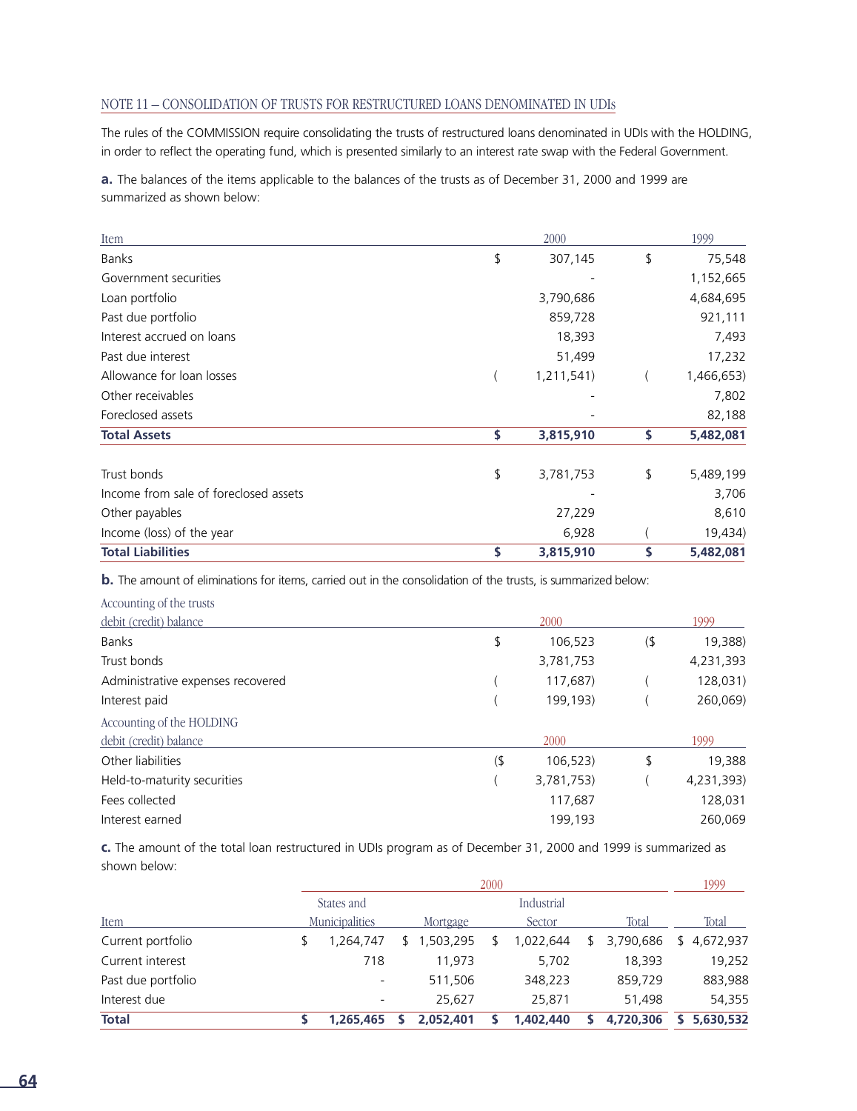#### NOTE 11 – CONSOLIDATION OF TRUSTS FOR RESTRUCTURED LOANS DENOMINATED IN UDIs

The rules of the COMMISSION require consolidating the trusts of restructured loans denominated in UDIs with the HOLDING, in order to reflect the operating fund, which is presented similarly to an interest rate swap with the Federal Government.

**a.** The balances of the items applicable to the balances of the trusts as of December 31, 2000 and 1999 are summarized as shown below:

| Item                                  | 2000            | 1999            |
|---------------------------------------|-----------------|-----------------|
| <b>Banks</b>                          | \$<br>307,145   | \$<br>75,548    |
| Government securities                 |                 | 1,152,665       |
| Loan portfolio                        | 3,790,686       | 4,684,695       |
| Past due portfolio                    | 859,728         | 921,111         |
| Interest accrued on loans             | 18,393          | 7,493           |
| Past due interest                     | 51,499          | 17,232          |
| Allowance for loan losses             | 1,211,541)      | 1,466,653)      |
| Other receivables                     |                 | 7,802           |
| Foreclosed assets                     |                 | 82,188          |
| <b>Total Assets</b>                   | \$<br>3,815,910 | \$<br>5,482,081 |
| Trust bonds                           | \$<br>3,781,753 | \$<br>5,489,199 |
| Income from sale of foreclosed assets |                 | 3,706           |
| Other payables                        | 27,229          | 8,610           |
| Income (loss) of the year             | 6,928           | 19,434)         |
| <b>Total Liabilities</b>              | \$<br>3,815,910 | \$<br>5,482,081 |

**b.** The amount of eliminations for items, carried out in the consolidation of the trusts, is summarized below:

| Accounting of the trusts          |     |            |    |            |  |  |
|-----------------------------------|-----|------------|----|------------|--|--|
| debit (credit) balance            |     | 2000       |    |            |  |  |
| <b>Banks</b>                      | \$  | 106,523    | (  | 19,388)    |  |  |
| Trust bonds                       |     | 3,781,753  |    | 4,231,393  |  |  |
| Administrative expenses recovered |     | 117,687)   |    | 128,031)   |  |  |
| Interest paid                     |     | 199,193)   |    | 260,069)   |  |  |
| Accounting of the HOLDING         |     |            |    |            |  |  |
| debit (credit) balance            |     | 2000       |    | 1999       |  |  |
| Other liabilities                 | (1) | 106,523    | \$ | 19,388     |  |  |
| Held-to-maturity securities       |     | 3,781,753) |    | 4,231,393) |  |  |
| Fees collected                    |     | 117,687    |    | 128,031    |  |  |
| Interest earned                   |     | 199.193    |    | 260.069    |  |  |

**c.** The amount of the total loan restructured in UDIs program as of December 31, 2000 and 1999 is summarized as shown below:

|                    | 2000 |                          |    |           |  |            |  |           | 1999            |
|--------------------|------|--------------------------|----|-----------|--|------------|--|-----------|-----------------|
|                    |      | States and               |    |           |  | Industrial |  |           |                 |
| Item               |      | Municipalities           |    | Mortgage  |  | Sector     |  | Total     | Total           |
| Current portfolio  |      | 1.264.747                | S. | 1,503,295 |  | 1,022,644  |  | 3,790,686 | 4,672,937<br>S. |
| Current interest   |      | 718                      |    | 11.973    |  | 5,702      |  | 18.393    | 19,252          |
| Past due portfolio |      | $\overline{\phantom{a}}$ |    | 511,506   |  | 348,223    |  | 859,729   | 883,988         |
| Interest due       |      | $\overline{\phantom{a}}$ |    | 25.627    |  | 25,871     |  | 51,498    | 54,355          |
| <b>Total</b>       |      | 1.265.465                |    | 2,052,401 |  | 1,402,440  |  | 4,720,306 | 5,630,532       |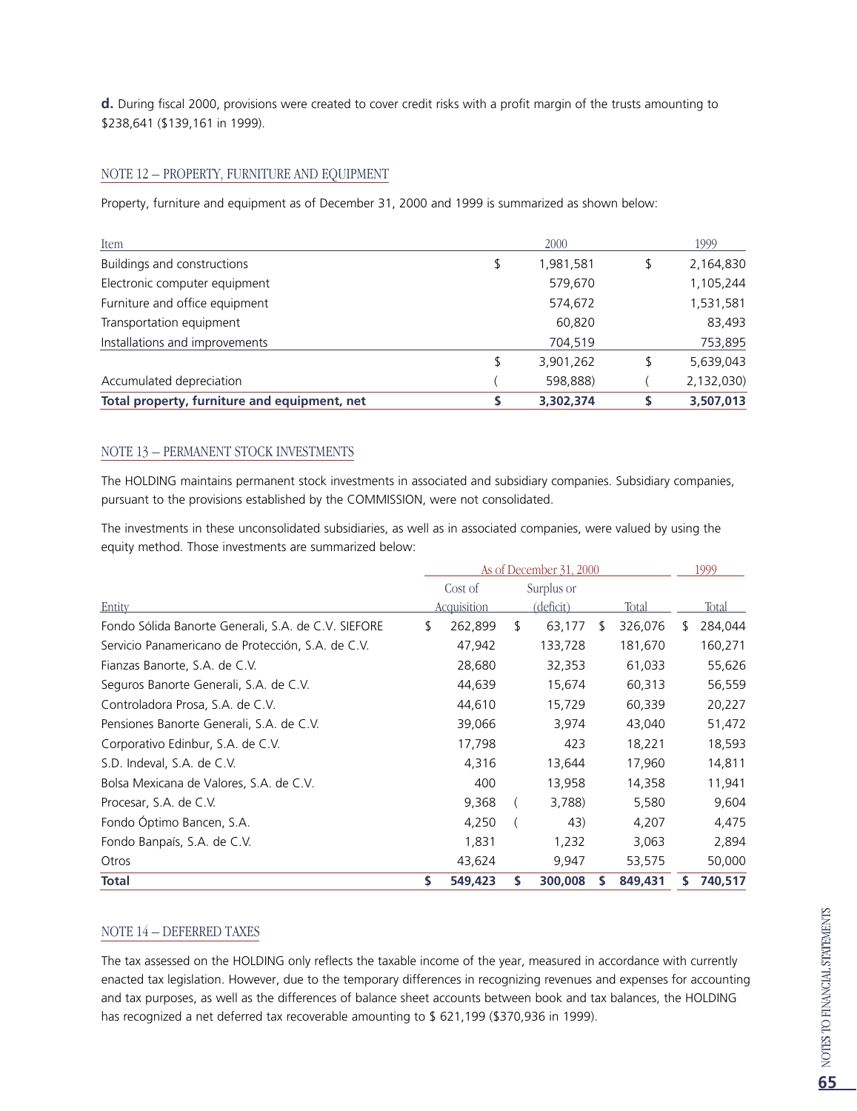**d.** During fiscal 2000, provisions were created to cover credit risks with a profit margin of the trusts amounting to \$238,641 (\$139,161 in 1999).

#### NOTE 12 – PROPERTY, FURNITURE AND EQUIPMENT

Property, furniture and equipment as of December 31, 2000 and 1999 is summarized as shown below:

| Item                                         | 2000            | 1999       |
|----------------------------------------------|-----------------|------------|
| Buildings and constructions                  | \$<br>1,981,581 | 2,164,830  |
| Electronic computer equipment                | 579,670         | 1,105,244  |
| Furniture and office equipment               | 574,672         | 1,531,581  |
| Transportation equipment                     | 60,820          | 83,493     |
| Installations and improvements               | 704,519         | 753,895    |
|                                              | \$<br>3,901,262 | 5,639,043  |
| Accumulated depreciation                     | 598,888)        | 2,132,030) |
| Total property, furniture and equipment, net | 3,302,374       | 3,507,013  |

#### NOTE 13 – PERMANENT STOCK INVESTMENTS

The HOLDING maintains permanent stock investments in associated and subsidiary companies. Subsidiary companies, pursuant to the provisions established by the COMMISSION, were not consolidated.

The investments in these unconsolidated subsidiaries, as well as in associated companies, were valued by using the equity method. Those investments are summarized below:

|                                                     | As of December 31, 2000 |    |                  |     |         |   | 1999    |
|-----------------------------------------------------|-------------------------|----|------------------|-----|---------|---|---------|
|                                                     | Cost of                 |    | Surplus or       |     |         |   |         |
| Entity                                              | <b>Acquisition</b>      |    | <u>(deficit)</u> |     | Total   |   | Total   |
| Fondo Sólida Banorte Generali, S.A. de C.V. SIEFORE | \$<br>262,899           | \$ | 63,177           | \$. | 326,076 | ፍ | 284,044 |
| Servicio Panamericano de Protección, S.A. de C.V.   | 47,942                  |    | 133,728          |     | 181,670 |   | 160,271 |
| Fianzas Banorte, S.A. de C.V.                       | 28,680                  |    | 32,353           |     | 61,033  |   | 55,626  |
| Seguros Banorte Generali, S.A. de C.V.              | 44,639                  |    | 15,674           |     | 60,313  |   | 56,559  |
| Controladora Prosa, S.A. de C.V.                    | 44,610                  |    | 15,729           |     | 60,339  |   | 20,227  |
| Pensiones Banorte Generali, S.A. de C.V.            | 39,066                  |    | 3,974            |     | 43,040  |   | 51,472  |
| Corporativo Edinbur, S.A. de C.V.                   | 17,798                  |    | 423              |     | 18,221  |   | 18,593  |
| S.D. Indeval, S.A. de C.V.                          | 4,316                   |    | 13,644           |     | 17,960  |   | 14,811  |
| Bolsa Mexicana de Valores, S.A. de C.V.             | 400                     |    | 13,958           |     | 14,358  |   | 11,941  |
| Procesar, S.A. de C.V.                              | 9,368                   |    | 3,788)           |     | 5,580   |   | 9,604   |
| Fondo Óptimo Bancen, S.A.                           | 4,250                   |    | 43)              |     | 4,207   |   | 4,475   |
| Fondo Banpaís, S.A. de C.V.                         | 1,831                   |    | 1,232            |     | 3,063   |   | 2,894   |
| Otros                                               | 43,624                  |    | 9,947            |     | 53,575  |   | 50,000  |
| <b>Total</b>                                        | \$<br>549,423           | \$ | 300,008          |     | 849,431 |   | 740,517 |

#### NOTE 14 – DEFERRED TAXES

The tax assessed on the HOLDING only reflects the taxable income of the year, measured in accordance with currently enacted tax legislation. However, due to the temporary differences in recognizing revenues and expenses for accounting and tax purposes, as well as the differences of balance sheet accounts between book and tax balances, the HOLDING has recognized a net deferred tax recoverable amounting to \$ 621,199 (\$370,936 in 1999).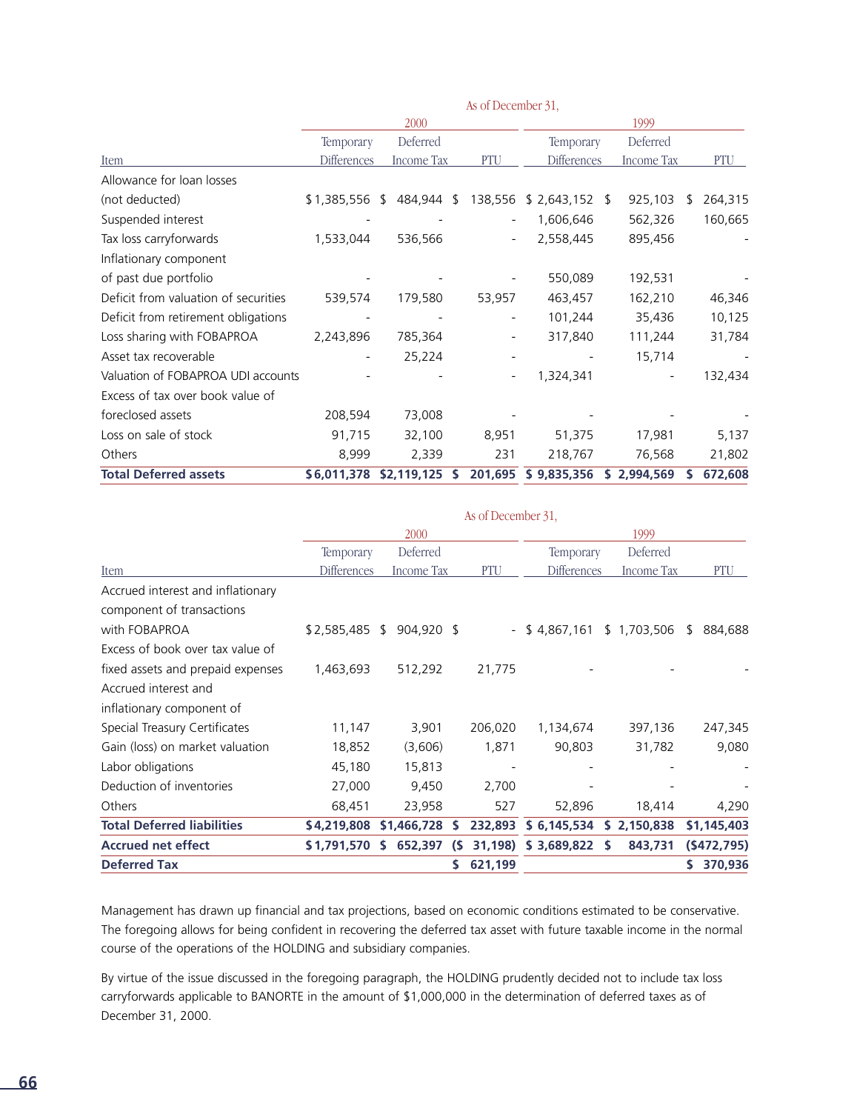|                                      |                    | 2000        |   |                          |                    | 1999        |         |
|--------------------------------------|--------------------|-------------|---|--------------------------|--------------------|-------------|---------|
|                                      | Temporary          | Deferred    |   |                          | Temporary          | Deferred    |         |
| Item                                 | <b>Differences</b> | Income Tax  |   | PTU                      | <b>Differences</b> | Income Tax  | PTU     |
| Allowance for loan losses            |                    |             |   |                          |                    |             |         |
| (not deducted)                       | \$1,385,556 \$     | 484,944 \$  |   | 138,556                  | $$2,643,152$ \$    | 925,103     | 264,315 |
| Suspended interest                   |                    |             |   |                          | 1,606,646          | 562,326     | 160,665 |
| Tax loss carryforwards               | 1,533,044          | 536,566     |   |                          | 2,558,445          | 895,456     |         |
| Inflationary component               |                    |             |   |                          |                    |             |         |
| of past due portfolio                |                    |             |   |                          | 550,089            | 192,531     |         |
| Deficit from valuation of securities | 539,574            | 179,580     |   | 53,957                   | 463,457            | 162,210     | 46,346  |
| Deficit from retirement obligations  |                    |             |   |                          | 101,244            | 35,436      | 10,125  |
| Loss sharing with FOBAPROA           | 2,243,896          | 785,364     |   | $\overline{\phantom{a}}$ | 317,840            | 111,244     | 31,784  |
| Asset tax recoverable                |                    | 25,224      |   |                          |                    | 15,714      |         |
| Valuation of FOBAPROA UDI accounts   |                    |             |   |                          | 1,324,341          |             | 132,434 |
| Excess of tax over book value of     |                    |             |   |                          |                    |             |         |
| foreclosed assets                    | 208,594            | 73,008      |   |                          |                    |             |         |
| Loss on sale of stock                | 91,715             | 32,100      |   | 8,951                    | 51,375             | 17,981      | 5,137   |
| Others                               | 8,999              | 2,339       |   | 231                      | 218,767            | 76,568      | 21,802  |
| <b>Total Deferred assets</b>         | \$6,011,378        | \$2,119,125 | s | 201,695                  | \$9,835,356        | \$2,994,569 | 672,608 |

As of December 31,

|             | 2000 |                                                   |    | 1999                                                                     |             |                    |                                 |                            |
|-------------|------|---------------------------------------------------|----|--------------------------------------------------------------------------|-------------|--------------------|---------------------------------|----------------------------|
|             |      | Deferred                                          |    |                                                                          |             |                    | Deferred                        |                            |
|             |      |                                                   |    | PTU                                                                      |             |                    | <b>Income Tax</b>               | PTU                        |
|             |      |                                                   |    |                                                                          |             |                    |                                 |                            |
|             |      |                                                   |    |                                                                          |             |                    |                                 |                            |
|             |      |                                                   |    |                                                                          | \$4,867,161 |                    |                                 | 884,688<br><sup>5</sup>    |
|             |      |                                                   |    |                                                                          |             |                    |                                 |                            |
| 1,463,693   |      | 512,292                                           |    | 21,775                                                                   |             |                    |                                 |                            |
|             |      |                                                   |    |                                                                          |             |                    |                                 |                            |
|             |      |                                                   |    |                                                                          |             |                    |                                 |                            |
| 11,147      |      | 3,901                                             |    | 206,020                                                                  | 1,134,674   |                    | 397,136                         | 247,345                    |
| 18,852      |      | (3,606)                                           |    | 1,871                                                                    | 90,803      |                    | 31,782                          | 9,080                      |
| 45,180      |      | 15,813                                            |    |                                                                          |             |                    |                                 |                            |
| 27,000      |      | 9,450                                             |    | 2,700                                                                    |             |                    |                                 |                            |
| 68,451      |      | 23,958                                            |    | 527                                                                      | 52,896      |                    | 18,414                          | 4,290                      |
| \$4,219,808 |      |                                                   | s  | 232,893                                                                  | \$6,145,534 |                    |                                 | \$1,145,403                |
|             |      |                                                   | (S | 31,198)                                                                  | \$3,689,822 | -S                 | 843,731                         | (5472, 795)                |
|             |      |                                                   |    | 621,199                                                                  |             |                    |                                 | 370,936                    |
|             |      | Temporary<br><b>Differences</b><br>\$1,791,570 \$ |    | <b>Income Tax</b><br>\$2,585,485 \$ 904,920 \$<br>\$1,466,728<br>652,397 |             | As of December 31, | Temporary<br><b>Differences</b> | \$1,703,506<br>\$2,150,838 |

Management has drawn up financial and tax projections, based on economic conditions estimated to be conservative. The foregoing allows for being confident in recovering the deferred tax asset with future taxable income in the normal course of the operations of the HOLDING and subsidiary companies.

By virtue of the issue discussed in the foregoing paragraph, the HOLDING prudently decided not to include tax loss carryforwards applicable to BANORTE in the amount of \$1,000,000 in the determination of deferred taxes as of December 31, 2000.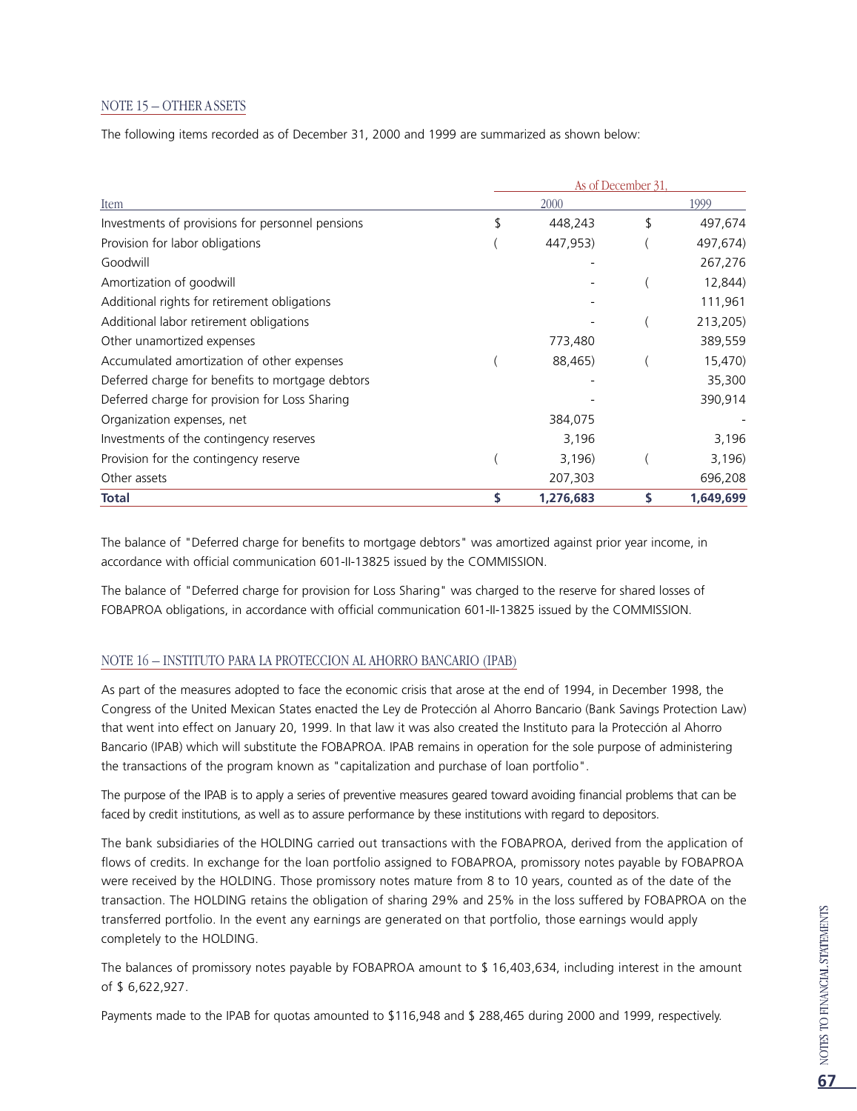#### NOTE 15 – OTHER ASSETS

The following items recorded as of December 31, 2000 and 1999 are summarized as shown below:

|                                                  | As of December 31, |           |    |           |  |  |  |  |
|--------------------------------------------------|--------------------|-----------|----|-----------|--|--|--|--|
| Item                                             |                    | 1999      |    |           |  |  |  |  |
| Investments of provisions for personnel pensions | S                  | 448,243   | \$ | 497,674   |  |  |  |  |
| Provision for labor obligations                  |                    | 447,953)  |    | 497,674)  |  |  |  |  |
| Goodwill                                         |                    |           |    | 267,276   |  |  |  |  |
| Amortization of goodwill                         |                    |           |    | 12,844)   |  |  |  |  |
| Additional rights for retirement obligations     |                    |           |    | 111,961   |  |  |  |  |
| Additional labor retirement obligations          |                    |           |    | 213,205)  |  |  |  |  |
| Other unamortized expenses                       |                    | 773,480   |    | 389,559   |  |  |  |  |
| Accumulated amortization of other expenses       |                    | 88,465)   |    | 15,470)   |  |  |  |  |
| Deferred charge for benefits to mortgage debtors |                    |           |    | 35,300    |  |  |  |  |
| Deferred charge for provision for Loss Sharing   |                    |           |    | 390,914   |  |  |  |  |
| Organization expenses, net                       |                    | 384,075   |    |           |  |  |  |  |
| Investments of the contingency reserves          |                    | 3,196     |    | 3,196     |  |  |  |  |
| Provision for the contingency reserve            |                    | 3,196)    |    | 3,196)    |  |  |  |  |
| Other assets                                     |                    | 207,303   |    | 696,208   |  |  |  |  |
| Total                                            |                    | 1,276,683 |    | 1,649,699 |  |  |  |  |

The balance of "Deferred charge for benefits to mortgage debtors" was amortized against prior year income, in accordance with official communication 601-II-13825 issued by the COMMISSION.

The balance of "Deferred charge for provision for Loss Sharing" was charged to the reserve for shared losses of FOBAPROA obligations, in accordance with official communication 601-II-13825 issued by the COMMISSION.

#### NOTE 16 – INSTITUTO PARA LA PROTECCION AL AHORRO BANCARIO (IPAB)

As part of the measures adopted to face the economic crisis that arose at the end of 1994, in December 1998, the Congress of the United Mexican States enacted the Ley de Protección al Ahorro Bancario (Bank Savings Protection Law) that went into effect on January 20, 1999. In that law it was also created the Instituto para la Protección al Ahorro Bancario (IPAB) which will substitute the FOBAPROA. IPAB remains in operation for the sole purpose of administering the transactions of the program known as "capitalization and purchase of loan portfolio".

The purpose of the IPAB is to apply a series of preventive measures geared toward avoiding financial problems that can be faced by credit institutions, as well as to assure performance by these institutions with regard to depositors.

The bank subsidiaries of the HOLDING carried out transactions with the FOBAPROA, derived from the application of flows of credits. In exchange for the loan portfolio assigned to FOBAPROA, promissory notes payable by FOBAPROA were received by the HOLDING. Those promissory notes mature from 8 to 10 years, counted as of the date of the transaction. The HOLDING retains the obligation of sharing 29% and 25% in the loss suffered by FOBAPROA on the transferred portfolio. In the event any earnings are generated on that portfolio, those earnings would apply completely to the HOLDING.

The balances of promissory notes payable by FOBAPROA amount to \$ 16,403,634, including interest in the amount of \$ 6,622,927.

Payments made to the IPAB for quotas amounted to \$116,948 and \$ 288,465 during 2000 and 1999, respectively.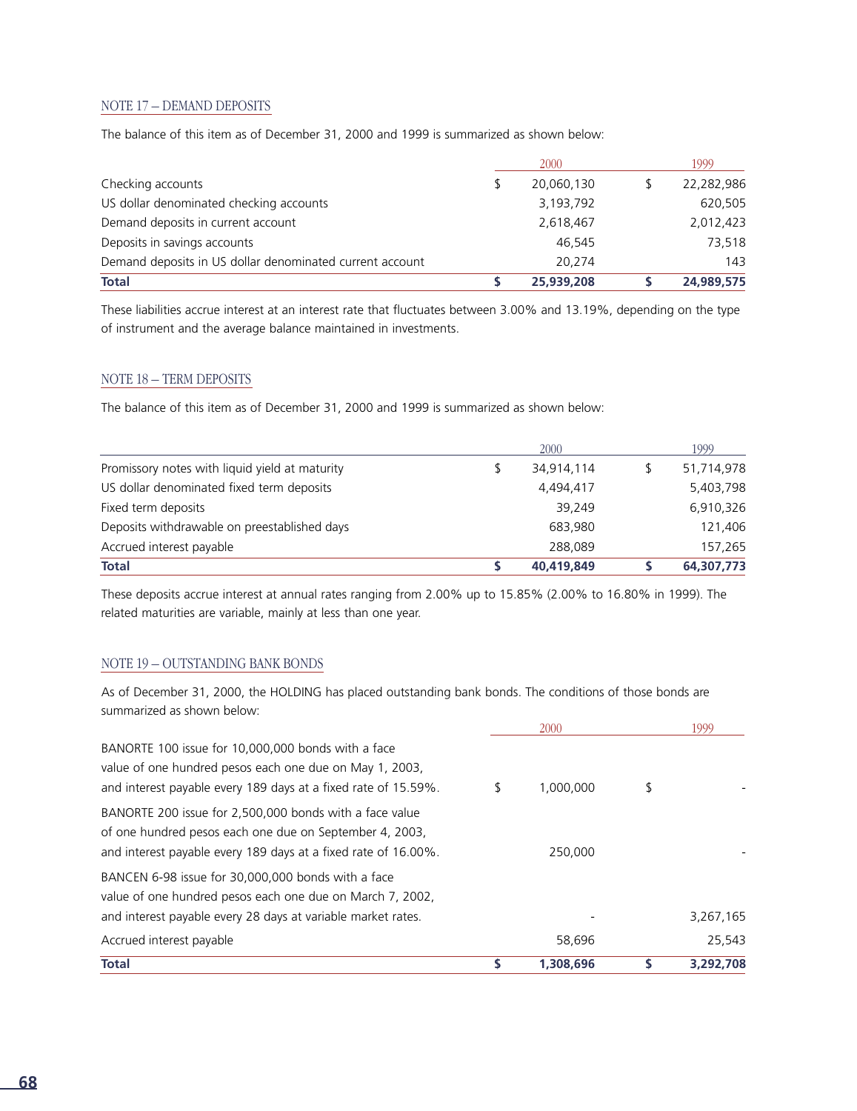#### NOTE 17 – DEMAND DEPOSITS

The balance of this item as of December 31, 2000 and 1999 is summarized as shown below:

|                                                          |   | 2000       | 1999       |
|----------------------------------------------------------|---|------------|------------|
| Checking accounts                                        | S | 20,060,130 | 22,282,986 |
| US dollar denominated checking accounts                  |   | 3,193,792  | 620,505    |
| Demand deposits in current account                       |   | 2,618,467  | 2,012,423  |
| Deposits in savings accounts                             |   | 46.545     | 73,518     |
| Demand deposits in US dollar denominated current account |   | 20.274     | 143        |
| <b>Total</b>                                             |   | 25,939,208 | 24,989,575 |

These liabilities accrue interest at an interest rate that fluctuates between 3.00% and 13.19%, depending on the type of instrument and the average balance maintained in investments.

#### NOTE 18 – TERM DEPOSITS

The balance of this item as of December 31, 2000 and 1999 is summarized as shown below:

|                                                | 2000       | 1999       |
|------------------------------------------------|------------|------------|
| Promissory notes with liquid yield at maturity | 34.914.114 | 51,714,978 |
| US dollar denominated fixed term deposits      | 4,494,417  | 5,403,798  |
| Fixed term deposits                            | 39.249     | 6,910,326  |
| Deposits withdrawable on preestablished days   | 683,980    | 121,406    |
| Accrued interest payable                       | 288,089    | 157,265    |
| <b>Total</b>                                   | 40,419,849 | 64,307,773 |

These deposits accrue interest at annual rates ranging from 2.00% up to 15.85% (2.00% to 16.80% in 1999). The related maturities are variable, mainly at less than one year.

#### NOTE 19 – OUTSTANDING BANK BONDS

As of December 31, 2000, the HOLDING has placed outstanding bank bonds. The conditions of those bonds are summarized as shown below:

| <b>Total</b>                                                                                                                                                                         | S  | 1,308,696 | 3.292.708 |
|--------------------------------------------------------------------------------------------------------------------------------------------------------------------------------------|----|-----------|-----------|
| Accrued interest payable                                                                                                                                                             |    | 58,696    | 25,543    |
| BANCEN 6-98 issue for 30,000,000 bonds with a face<br>value of one hundred pesos each one due on March 7, 2002,<br>and interest payable every 28 days at variable market rates.      |    |           | 3,267,165 |
| BANORTE 200 issue for 2,500,000 bonds with a face value<br>of one hundred pesos each one due on September 4, 2003,<br>and interest payable every 189 days at a fixed rate of 16.00%. |    | 250.000   |           |
| BANORTE 100 issue for 10,000,000 bonds with a face<br>value of one hundred pesos each one due on May 1, 2003,<br>and interest payable every 189 days at a fixed rate of 15.59%.      | \$ | 1,000,000 | \$        |
|                                                                                                                                                                                      |    | 2000      | 1999      |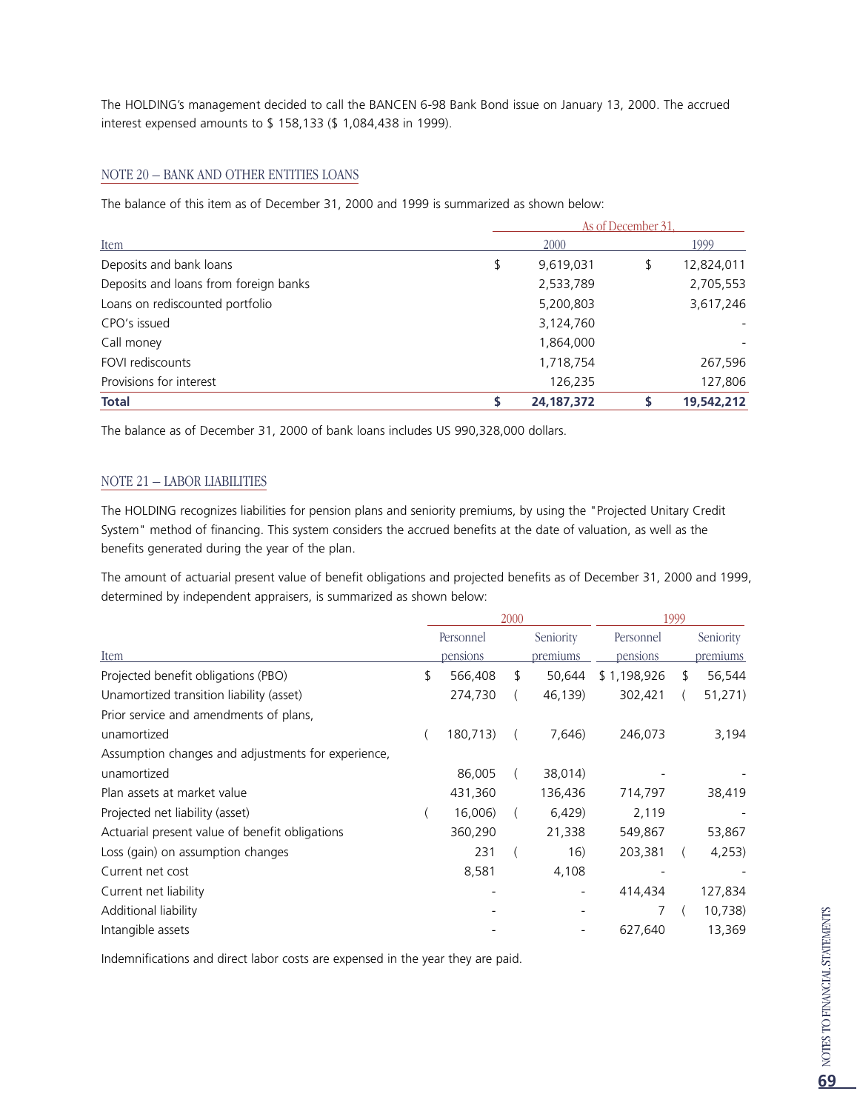The HOLDING's management decided to call the BANCEN 6-98 Bank Bond issue on January 13, 2000. The accrued interest expensed amounts to \$ 158,133 (\$ 1,084,438 in 1999).

#### NOTE 20 – BANK AND OTHER ENTITIES LOANS

The balance of this item as of December 31, 2000 and 1999 is summarized as shown below:

|                                       |    |              | As of December 31. |            |
|---------------------------------------|----|--------------|--------------------|------------|
| Item                                  |    | 2000         |                    | 1999       |
| Deposits and bank loans               | \$ | 9,619,031    | \$                 | 12,824,011 |
| Deposits and loans from foreign banks |    | 2,533,789    |                    | 2,705,553  |
| Loans on rediscounted portfolio       |    | 5,200,803    |                    | 3,617,246  |
| CPO's issued                          |    | 3,124,760    |                    |            |
| Call money                            |    | 1,864,000    |                    |            |
| FOVI rediscounts                      |    | 1,718,754    |                    | 267,596    |
| Provisions for interest               |    | 126,235      |                    | 127,806    |
| <b>Total</b>                          | \$ | 24, 187, 372 |                    | 19,542,212 |

The balance as of December 31, 2000 of bank loans includes US 990,328,000 dollars.

#### NOTE 21 – LABOR LIABILITIES

The HOLDING recognizes liabilities for pension plans and seniority premiums, by using the "Projected Unitary Credit System" method of financing. This system considers the accrued benefits at the date of valuation, as well as the benefits generated during the year of the plan.

The amount of actuarial present value of benefit obligations and projected benefits as of December 31, 2000 and 1999, determined by independent appraisers, is summarized as shown below:

|                                                    |               | 2000 |           | 1999        |   |           |  |
|----------------------------------------------------|---------------|------|-----------|-------------|---|-----------|--|
|                                                    | Personnel     |      | Seniority | Personnel   |   | Seniority |  |
| Item                                               | pensions      |      | premiums  | pensions    |   | premiums  |  |
| Projected benefit obligations (PBO)                | \$<br>566,408 | S.   | 50,644    | \$1,198,926 | S | 56,544    |  |
| Unamortized transition liability (asset)           | 274,730       |      | 46,139)   | 302,421     |   | 51,271)   |  |
| Prior service and amendments of plans,             |               |      |           |             |   |           |  |
| unamortized                                        | 180,713)      |      | 7,646)    | 246,073     |   | 3,194     |  |
| Assumption changes and adjustments for experience, |               |      |           |             |   |           |  |
| unamortized                                        | 86,005        |      | 38,014)   |             |   |           |  |
| Plan assets at market value                        | 431,360       |      | 136,436   | 714,797     |   | 38,419    |  |
| Projected net liability (asset)                    | 16,006)       |      | 6,429     | 2,119       |   |           |  |
| Actuarial present value of benefit obligations     | 360,290       |      | 21,338    | 549,867     |   | 53,867    |  |
| Loss (gain) on assumption changes                  | 231           |      | 16)       | 203,381     |   | 4,253)    |  |
| Current net cost                                   | 8,581         |      | 4,108     |             |   |           |  |
| Current net liability                              |               |      |           | 414,434     |   | 127,834   |  |
| Additional liability                               |               |      |           |             |   | 10,738)   |  |
| Intangible assets                                  |               |      |           | 627,640     |   | 13,369    |  |

Indemnifications and direct labor costs are expensed in the year they are paid.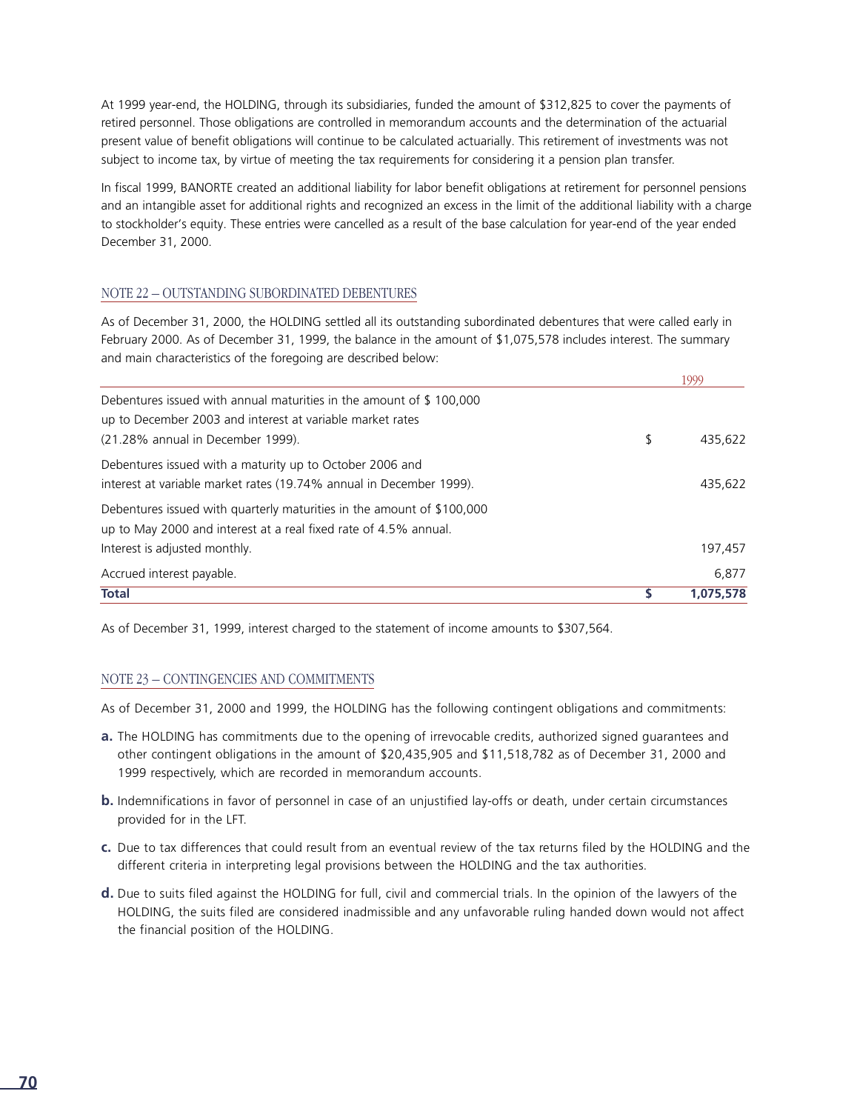At 1999 year-end, the HOLDING, through its subsidiaries, funded the amount of \$312,825 to cover the payments of retired personnel. Those obligations are controlled in memorandum accounts and the determination of the actuarial present value of benefit obligations will continue to be calculated actuarially. This retirement of investments was not subject to income tax, by virtue of meeting the tax requirements for considering it a pension plan transfer.

In fiscal 1999, BANORTE created an additional liability for labor benefit obligations at retirement for personnel pensions and an intangible asset for additional rights and recognized an excess in the limit of the additional liability with a charge to stockholder's equity. These entries were cancelled as a result of the base calculation for year-end of the year ended December 31, 2000.

#### NOTE 22 – OUTSTANDING SUBORDINATED DEBENTURES

As of December 31, 2000, the HOLDING settled all its outstanding subordinated debentures that were called early in February 2000. As of December 31, 1999, the balance in the amount of \$1,075,578 includes interest. The summary and main characteristics of the foregoing are described below:

|                                                                                                                                                                       | 1999          |
|-----------------------------------------------------------------------------------------------------------------------------------------------------------------------|---------------|
| Debentures issued with annual maturities in the amount of \$100,000<br>up to December 2003 and interest at variable market rates<br>(21.28% annual in December 1999). | \$<br>435.622 |
| Debentures issued with a maturity up to October 2006 and<br>interest at variable market rates (19.74% annual in December 1999).                                       | 435,622       |
| Debentures issued with quarterly maturities in the amount of \$100,000<br>up to May 2000 and interest at a real fixed rate of 4.5% annual.                            |               |
| Interest is adjusted monthly.                                                                                                                                         | 197,457       |
| Accrued interest payable.                                                                                                                                             | 6.877         |
| <b>Total</b>                                                                                                                                                          | 1,075,578     |

As of December 31, 1999, interest charged to the statement of income amounts to \$307,564.

#### NOTE 23 – CONTINGENCIES AND COMMITMENTS

As of December 31, 2000 and 1999, the HOLDING has the following contingent obligations and commitments:

- **a.** The HOLDING has commitments due to the opening of irrevocable credits, authorized signed guarantees and other contingent obligations in the amount of \$20,435,905 and \$11,518,782 as of December 31, 2000 and 1999 respectively, which are recorded in memorandum accounts.
- **b.** Indemnifications in favor of personnel in case of an unjustified lay-offs or death, under certain circumstances p rovided for in the LFT.
- **c.** Due to tax differences that could result from an eventual review of the tax returns filed by the HOLDING and the different criteria in interpreting legal provisions between the HOLDING and the tax authorities.
- **d.** Due to suits filed against the HOLDING for full, civil and commercial trials. In the opinion of the lawyers of the HOLDING, the suits filed are considered inadmissible and any unfavorable ruling handed down would not affect the financial position of the HOLDING.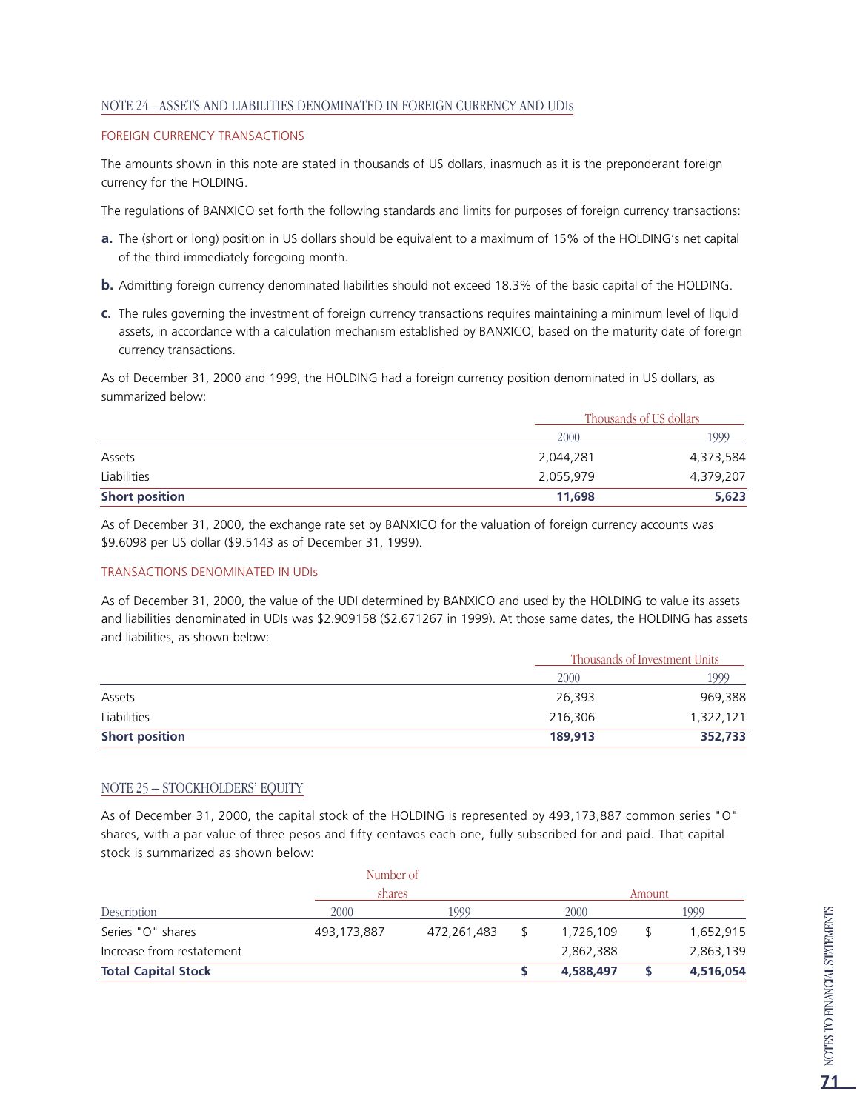#### NOTE 24 –ASSETS AND LIABILITIES DENOMINATED IN FOREIGN CURRENCY AND UDIs

#### FOREIGN CURRENCY TRANSACTIONS

The amounts shown in this note are stated in thousands of US dollars, inasmuch as it is the preponderant foreign currency for the HOLDING.

The regulations of BANXICO set forth the following standards and limits for purposes of foreign currency transactions:

- **a.** The (short or long) position in US dollars should be equivalent to a maximum of 15% of the HOLDING's net capital of the third immediately foregoing month.
- **b.** Admitting foreign currency denominated liabilities should not exceed 18.3% of the basic capital of the HOLDING.
- **c.** The rules governing the investment of foreign currency transactions requires maintaining a minimum level of liquid assets, in accordance with a calculation mechanism established by BANXICO, based on the maturity date of foreign currency transactions.

As of December 31, 2000 and 1999, the HOLDING had a foreign currency position denominated in US dollars, as summarized below:

|                       |           | Thousands of US dollars |
|-----------------------|-----------|-------------------------|
|                       | 2000      | 1999                    |
| Assets                | 2,044,281 | 4,373,584               |
| Liabilities           | 2,055,979 | 4,379,207               |
| <b>Short position</b> | 11,698    | 5,623                   |

As of December 31, 2000, the exchange rate set by BANXICO for the valuation of foreign currency accounts was \$9.6098 per US dollar (\$9.5143 as of December 31, 1999).

#### TRANSACTIONS DENOMINATED IN UDIs

As of December 31, 2000, the value of the UDI determined by BANXICO and used by the HOLDING to value its assets and liabilities denominated in UDIs was \$2.909158 (\$2.671267 in 1999). At those same dates, the HOLDING has assets and liabilities, as shown below:

|                       |         | Thousands of Investment Units |
|-----------------------|---------|-------------------------------|
|                       | 2000    | 1999                          |
| Assets                | 26,393  | 969,388                       |
| Liabilities           | 216,306 | 1,322,121                     |
| <b>Short position</b> | 189,913 | 352,733                       |

#### NOTE 25 – STOCKHOLDERS' EQUITY

As of December 31, 2000, the capital stock of the HOLDING is represented by 493,173,887 common series "O" shares, with a par value of three pesos and fifty centavos each one, fully subscribed for and paid. That capital stock is summarized as shown below:

| <b>Total Capital Stock</b> |             |             |  | 4,588,497 |        | 4,516,054 |  |
|----------------------------|-------------|-------------|--|-----------|--------|-----------|--|
| Increase from restatement  |             |             |  | 2,862,388 |        | 2,863,139 |  |
| Series "O" shares          | 493,173,887 | 472,261,483 |  | 1,726,109 |        | 1,652,915 |  |
| <b>Description</b>         | 2000        | 1999        |  | 2000      |        | 1999      |  |
|                            |             | shares      |  |           | Amount |           |  |
|                            | Number of   |             |  |           |        |           |  |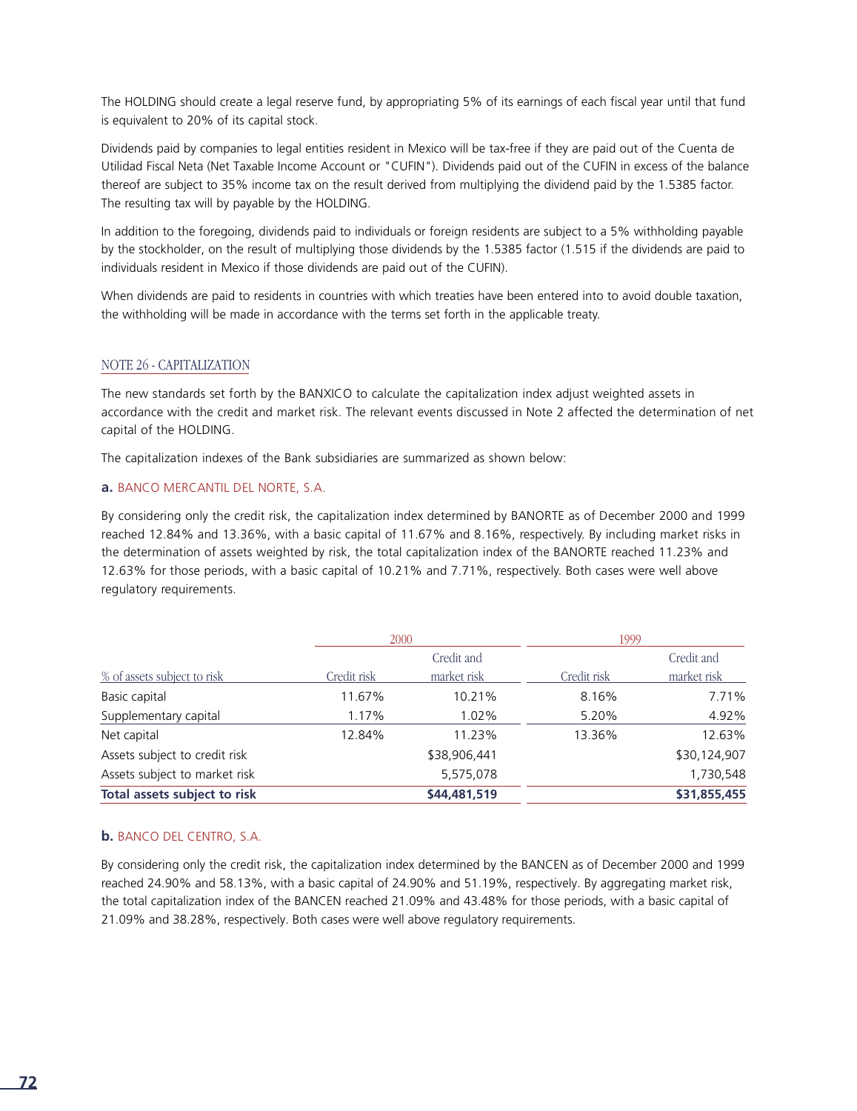The HOLDING should create a legal reserve fund, by appropriating 5% of its earnings of each fiscal year until that fund is equivalent to 20% of its capital stock.

Dividends paid by companies to legal entities resident in Mexico will be tax-free if they are paid out of the Cuenta de Utilidad Fiscal Neta (Net Taxable Income Account or "CUFIN"). Dividends paid out of the CUFIN in excess of the balance thereof are subject to 35% income tax on the result derived from multiplying the dividend paid by the 1.5385 factor. The resulting tax will by payable by the HOLDING.

In addition to the foregoing, dividends paid to individuals or foreign residents are subject to a 5% withholding payable by the stockholder, on the result of multiplying those dividends by the 1.5385 factor (1.515 if the dividends are paid to individuals resident in Mexico if those dividends are paid out of the CUFIN).

When dividends are paid to residents in countries with which treaties have been entered into to avoid double taxation, the withholding will be made in accordance with the terms set forth in the applicable treaty.

#### NOTE 26 - CAPITALIZATION

The new standards set forth by the BANXICO to calculate the capitalization index adjust weighted assets in accordance with the credit and market risk. The relevant events discussed in Note 2 affected the determination of net capital of the HOLDING.

The capitalization indexes of the Bank subsidiaries are summarized as shown below:

#### **a.** BANCO MERCANTIL DEL NORTE, S.A.

By considering only the credit risk, the capitalization index determined by BANORTE as of December 2000 and 1999 reached 12.84% and 13.36%, with a basic capital of 11.67% and 8.16%, respectively. By including market risks in the determination of assets weighted by risk, the total capitalization index of the BANORTE reached 11.23% and 12.63% for those periods, with a basic capital of 10.21% and 7.71%, respectively. Both cases were well above regulatory requirements.

|                               | 2000        |              | 1999        |              |  |
|-------------------------------|-------------|--------------|-------------|--------------|--|
|                               |             | Credit and   |             | Credit and   |  |
| % of assets subject to risk   | Credit risk | market risk  | Credit risk | market risk  |  |
| Basic capital                 | 11.67%      | 10.21%       | 8.16%       | 7.71%        |  |
| Supplementary capital         | 1.17%       | 1.02%        | 5.20%       | 4.92%        |  |
| Net capital                   | 12.84%      | 11.23%       | 13.36%      | 12.63%       |  |
| Assets subject to credit risk |             | \$38,906,441 |             | \$30,124,907 |  |
| Assets subject to market risk |             | 5,575,078    |             | 1,730,548    |  |
| Total assets subject to risk  |             | \$44,481,519 |             | \$31,855,455 |  |

#### **b.** BANCO DEL CENTRO, S.A.

By considering only the credit risk, the capitalization index determined by the BANCEN as of December 2000 and 1999 reached 24.90% and 58.13%, with a basic capital of 24.90% and 51.19%, respectively. By aggregating market risk, the total capitalization index of the BANCEN reached 21.09% and 43.48% for those periods, with a basic capital of 21.09% and 38.28%, respectively. Both cases were well above regulatory requirements.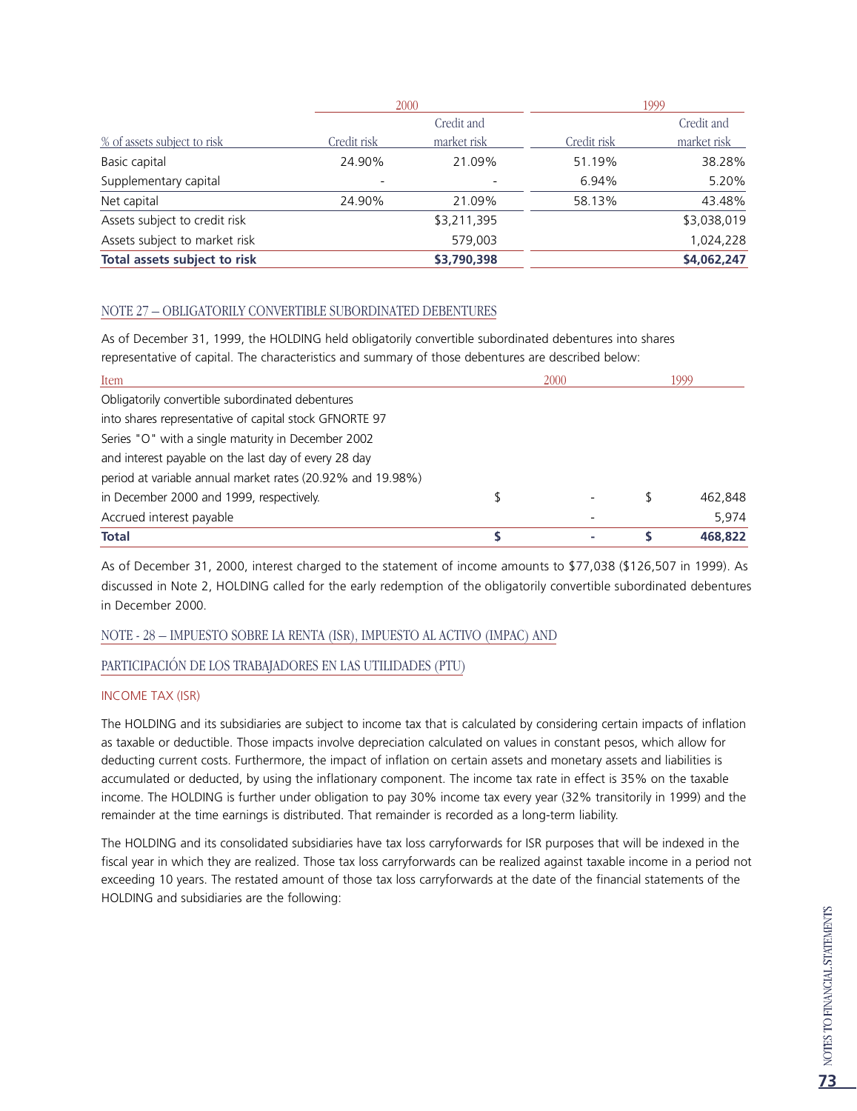|                               |                          | 2000        | 1999        |             |  |  |
|-------------------------------|--------------------------|-------------|-------------|-------------|--|--|
|                               |                          | Credit and  |             | Credit and  |  |  |
| % of assets subject to risk   | Credit risk              | market risk | Credit risk | market risk |  |  |
| Basic capital                 | 24.90%                   | 21.09%      | 51.19%      | 38.28%      |  |  |
| Supplementary capital         | $\overline{\phantom{0}}$ |             | 6.94%       | 5.20%       |  |  |
| Net capital                   | 24.90%                   | 21.09%      | 58.13%      | 43.48%      |  |  |
| Assets subject to credit risk |                          | \$3,211,395 |             | \$3,038,019 |  |  |
| Assets subject to market risk |                          | 579,003     |             | 1,024,228   |  |  |
| Total assets subject to risk  |                          | \$3,790,398 |             | \$4,062,247 |  |  |

#### NOTE 27 – OBLIGATORILY CONVERTIBLE SUBORDINATED DEBENTURES

As of December 31, 1999, the HOLDING held obligatorily convertible subordinated debentures into shares representative of capital. The characteristics and summary of those debentures are described below:

| Item                                                       | 2000 | 1999 |         |  |
|------------------------------------------------------------|------|------|---------|--|
| Obligatorily convertible subordinated debentures           |      |      |         |  |
| into shares representative of capital stock GFNORTE 97     |      |      |         |  |
| Series "O" with a single maturity in December 2002         |      |      |         |  |
| and interest payable on the last day of every 28 day       |      |      |         |  |
| period at variable annual market rates (20.92% and 19.98%) |      |      |         |  |
| in December 2000 and 1999, respectively.                   |      |      | 462,848 |  |
| Accrued interest payable                                   |      |      | 5.974   |  |
| <b>Total</b>                                               |      |      | 468.822 |  |

As of December 31, 2000, interest charged to the statement of income amounts to \$77,038 (\$126,507 in 1999). As discussed in Note 2, HOLDING called for the early redemption of the obligatorily convertible subordinated debentures in December 2000.

#### NOTE - 28 – IMPUESTO SOBRE LA RENTA (ISR), IMPUESTO AL ACTIVO (IMPAC) AND

#### PARTICIPACIÓN DE LOS TRABAJADORES EN LAS UTILIDADES (PTU)

#### INCOME TAX (ISR)

The HOLDING and its subsidiaries are subject to income tax that is calculated by considering certain impacts of inflation as taxable or deductible. Those impacts involve depreciation calculated on values in constant pesos, which allow for deducting current costs. Furthermore, the impact of inflation on certain assets and monetary assets and liabilities is accumulated or deducted, by using the inflationary component. The income tax rate in effect is 35% on the taxable income. The HOLDING is further under obligation to pay 30% income tax every year (32% transitorily in 1999) and the remainder at the time earnings is distributed. That remainder is recorded as a long-term liability.

The HOLDING and its consolidated subsidiaries have tax loss carryforwards for ISR purposes that will be indexed in the fiscal year in which they are realized. Those tax loss carryforwards can be realized against taxable income in a period not exceeding 10 years. The restated amount of those tax loss carryforwards at the date of the financial statements of the HOLDING and subsidiaries are the following: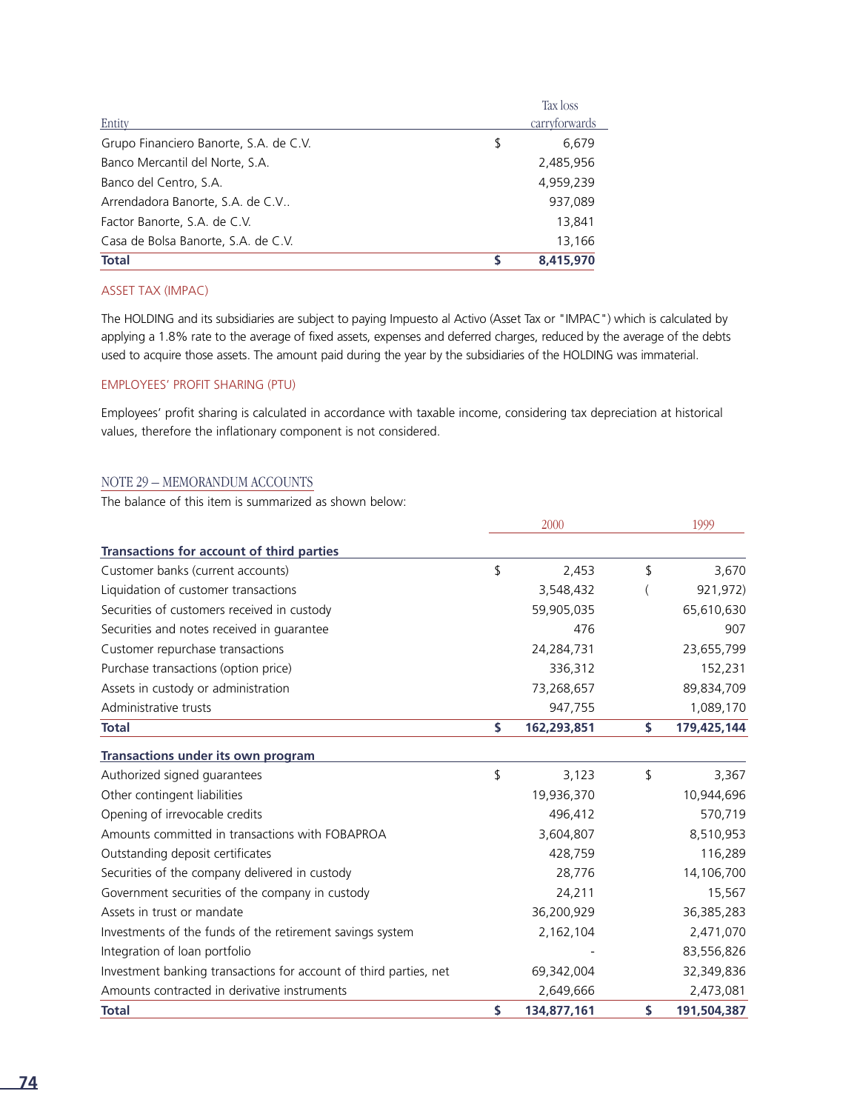|                                        |    | Tax loss      |
|----------------------------------------|----|---------------|
| Entity                                 |    | carryforwards |
| Grupo Financiero Banorte, S.A. de C.V. | \$ | 6,679         |
| Banco Mercantil del Norte, S.A.        |    | 2,485,956     |
| Banco del Centro, S.A.                 |    | 4,959,239     |
| Arrendadora Banorte, S.A. de C.V       |    | 937,089       |
| Factor Banorte, S.A. de C.V.           |    | 13,841        |
| Casa de Bolsa Banorte, S.A. de C.V.    |    | 13.166        |
| <b>Total</b>                           | S  | 8,415,970     |

#### ASSET TAX (IMPAC)

The HOLDING and its subsidiaries are subject to paying Impuesto al Activo (Asset Tax or "IMPAC") which is calculated by applying a 1.8% rate to the average of fixed assets, expenses and deferred charges, reduced by the average of the debts used to acquire those assets. The amount paid during the year by the subsidiaries of the HOLDING was immaterial.

#### EMPLOYEES' PROFIT SHARING (PTU)

Employees' profit sharing is calculated in accordance with taxable income, considering tax depreciation at historical values, therefore the inflationary component is not considered.

#### NOTE 29 – MEMORANDUM ACCOUNTS

The balance of this item is summarized as shown below:

|                                                                   | 2000              | 1999 |             |
|-------------------------------------------------------------------|-------------------|------|-------------|
| Transactions for account of third parties                         |                   |      |             |
| Customer banks (current accounts)                                 | \$<br>2,453       | \$   | 3,670       |
| Liquidation of customer transactions                              | 3,548,432         |      | 921,972)    |
| Securities of customers received in custody                       | 59,905,035        |      | 65,610,630  |
| Securities and notes received in guarantee                        | 476               |      | 907         |
| Customer repurchase transactions                                  | 24,284,731        |      | 23,655,799  |
| Purchase transactions (option price)                              | 336,312           |      | 152,231     |
| Assets in custody or administration                               | 73,268,657        |      | 89,834,709  |
| Administrative trusts                                             | 947,755           |      | 1,089,170   |
| <b>Total</b>                                                      | \$<br>162,293,851 | \$   | 179,425,144 |
| <b>Transactions under its own program</b>                         |                   |      |             |
| Authorized signed guarantees                                      | \$<br>3,123       | \$   | 3,367       |
| Other contingent liabilities                                      | 19,936,370        |      | 10,944,696  |
| Opening of irrevocable credits                                    | 496,412           |      | 570,719     |
| Amounts committed in transactions with FOBAPROA                   | 3,604,807         |      | 8,510,953   |
| Outstanding deposit certificates                                  | 428,759           |      | 116,289     |
| Securities of the company delivered in custody                    | 28,776            |      | 14,106,700  |
| Government securities of the company in custody                   | 24,211            |      | 15,567      |
| Assets in trust or mandate                                        | 36,200,929        |      | 36,385,283  |
| Investments of the funds of the retirement savings system         | 2,162,104         |      | 2,471,070   |
| Integration of loan portfolio                                     |                   |      | 83,556,826  |
| Investment banking transactions for account of third parties, net | 69,342,004        |      | 32,349,836  |
| Amounts contracted in derivative instruments                      | 2,649,666         |      | 2,473,081   |
| <b>Total</b>                                                      | \$<br>134,877,161 | \$   | 191,504,387 |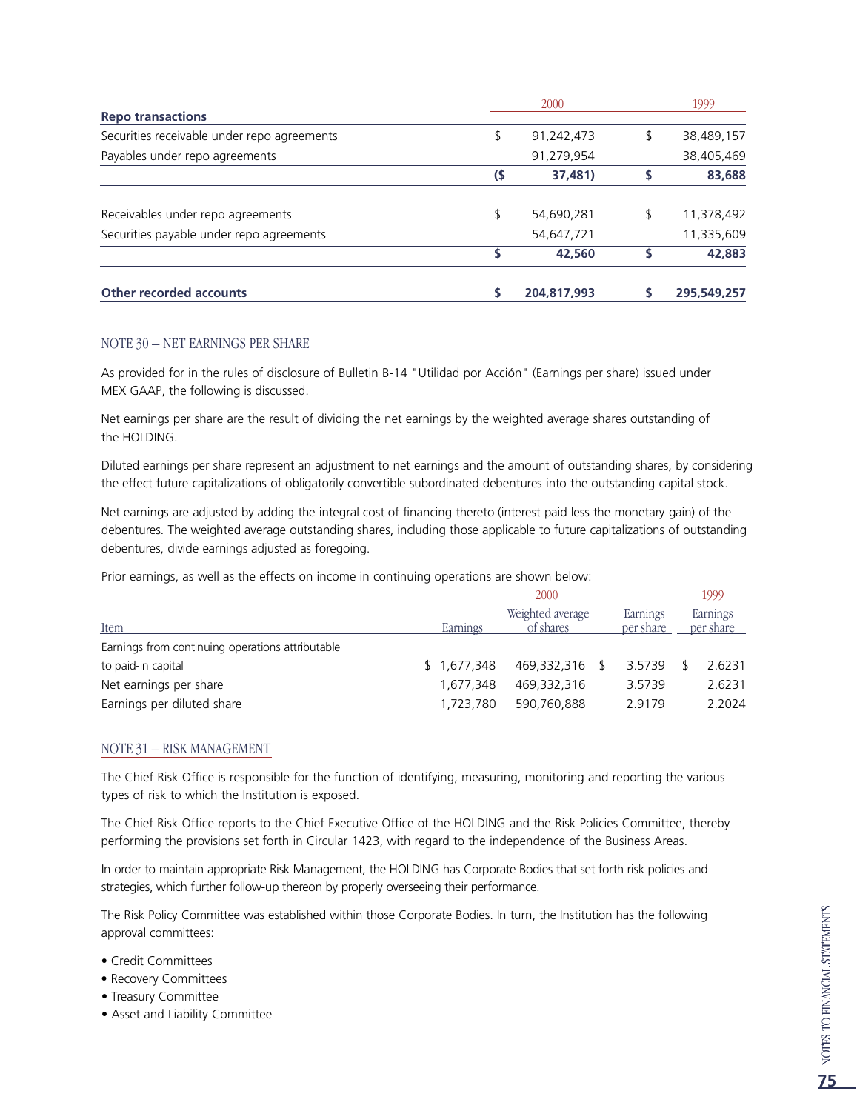|                                             |     | 1999        |                  |
|---------------------------------------------|-----|-------------|------------------|
| <b>Repo transactions</b>                    |     |             |                  |
| Securities receivable under repo agreements | \$  | 91,242,473  | \$<br>38,489,157 |
| Payables under repo agreements              |     | 91,279,954  | 38,405,469       |
|                                             | (\$ | 37,481)     | 83,688           |
| Receivables under repo agreements           | \$  | 54,690,281  | \$<br>11,378,492 |
| Securities payable under repo agreements    |     | 54,647,721  | 11,335,609       |
|                                             | S   | 42,560      | 42,883           |
| <b>Other recorded accounts</b>              | S   | 204,817,993 | 295,549,257      |

#### NOTE 30 – NET EARNINGS PER SHARE

As provided for in the rules of disclosure of Bulletin B-14 "Utilidad por Acción" (Earnings per share) issued under MEX GAAP, the following is discussed.

Net earnings per share are the result of dividing the net earnings by the weighted average shares outstanding of the HOLDING.

Diluted earnings per share represent an adjustment to net earnings and the amount of outstanding shares, by considering the effect future capitalizations of obligatorily convertible subordinated debentures into the outstanding capital stock.

Net earnings are adjusted by adding the integral cost of financing thereto (interest paid less the monetary gain) of the debentures. The weighted average outstanding shares, including those applicable to future capitalizations of outstanding debentures, divide earnings adjusted as foregoing.

Prior earnings, as well as the effects on income in continuing operations are shown below:

|                                                  | 2000        |                               |  |                       |  |                       |  |
|--------------------------------------------------|-------------|-------------------------------|--|-----------------------|--|-----------------------|--|
| Item                                             | Earnings    | Weighted average<br>of shares |  | Earnings<br>per share |  | Earnings<br>per share |  |
| Earnings from continuing operations attributable |             |                               |  |                       |  |                       |  |
| to paid-in capital                               | \$1,677,348 | 469.332.316                   |  | 3.5739                |  | 2.6231                |  |
| Net earnings per share                           | 1,677,348   | 469.332.316                   |  | 3.5739                |  | 2.6231                |  |
| Earnings per diluted share                       | 1,723,780   | 590.760.888                   |  | 29179                 |  | 2.2024                |  |

#### NOTE 31 – RISK MANAGEMENT

The Chief Risk Office is responsible for the function of identifying, measuring, monitoring and reporting the various types of risk to which the Institution is exposed.

The Chief Risk Office reports to the Chief Executive Office of the HOLDING and the Risk Policies Committee, thereby performing the provisions set forth in Circular 1423, with regard to the independence of the Business Areas.

In order to maintain appropriate Risk Management, the HOLDING has Corporate Bodies that set forth risk policies and strategies, which further follow-up thereon by properly overseeing their performance.

The Risk Policy Committee was established within those Corporate Bodies. In turn, the Institution has the following approval committees:

- Credit Committees
- Recovery Committees
- Treasury Committee
- Asset and Liability Committee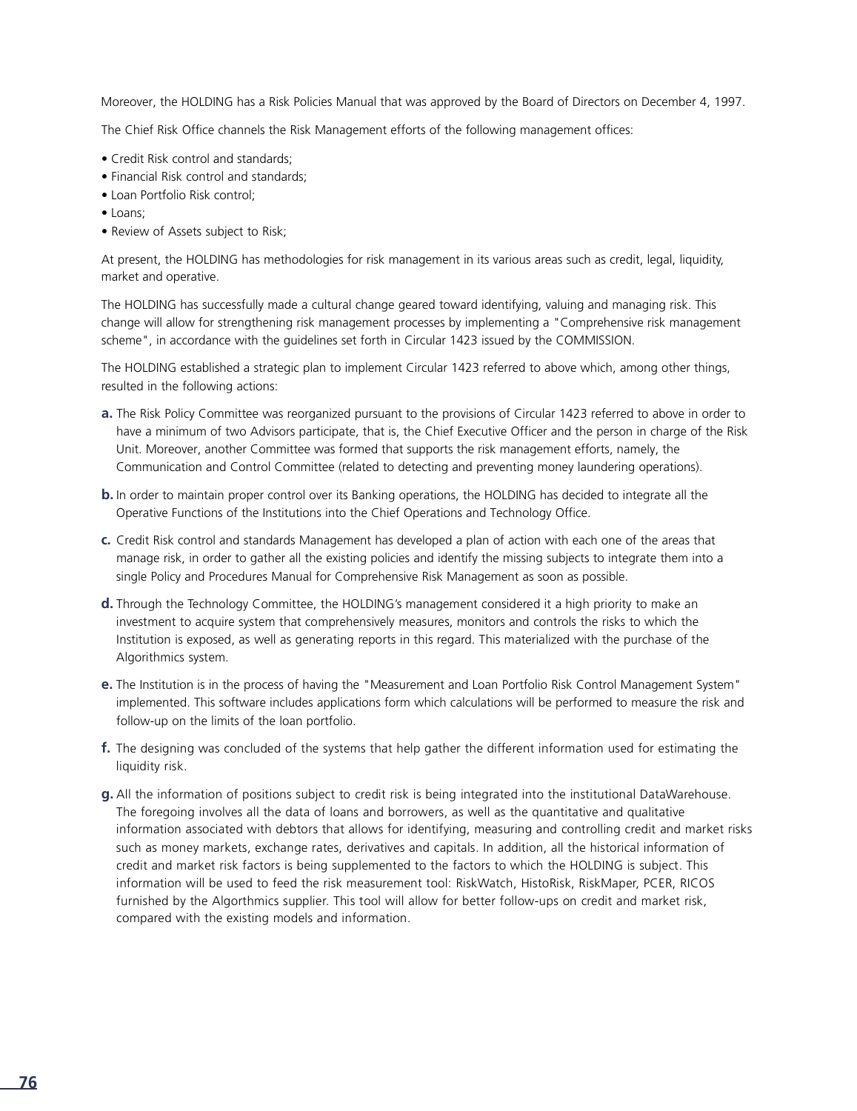Moreover, the HOLDING has a Risk Policies Manual that was approved by the Board of Directors on December 4, 1997.

The Chief Risk Office channels the Risk Management efforts of the following management offices:

- Credit Risk control and standards;
- Financial Risk control and standards;
- Loan Portfolio Risk control;
- Loans;
- Review of Assets subject to Risk;

At present, the HOLDING has methodologies for risk management in its various areas such as credit, legal, liquidity, market and operative.

The HOLDING has successfully made a cultural change geared toward identifying, valuing and managing risk. This change will allow for strengthening risk management processes by implementing a "Comprehensive risk management scheme", in accordance with the guidelines set forth in Circular 1423 issued by the COMMISSION.

The HOLDING established a strategic plan to implement Circular 1423 referred to above which, among other things, resulted in the following actions:

- **a.** The Risk Policy Committee was reorganized pursuant to the provisions of Circular 1423 referred to above in order to have a minimum of two Advisors participate, that is, the Chief Executive Officer and the person in charge of the Risk Unit. Moreover, another Committee was formed that supports the risk management efforts, namely, the Communication and Control Committee (related to detecting and preventing money laundering operations).
- **b.**In order to maintain proper control over its Banking operations, the HOLDING has decided to integrate all the Operative Functions of the Institutions into the Chief Operations and Technology Office.
- **c .** Credit Risk control and standards Management has developed a plan of action with each one of the areas that manage risk, in order to gather all the existing policies and identify the missing subjects to integrate them into a single Policy and Procedures Manual for Comprehensive Risk Management as soon as possible.
- **d.** Through the Technology Committee, the HOLDING's management considered it a high priority to make an investment to acquire system that comprehensively measures, monitors and controls the risks to which the Institution is exposed, as well as generating reports in this regard. This materialized with the purchase of the Algorithmics system.
- **e.** The Institution is in the process of having the "Measurement and Loan Portfolio Risk Control Management System" implemented. This software includes applications form which calculations will be performed to measure the risk and follow-up on the limits of the loan portfolio.
- **f.** The designing was concluded of the systems that help gather the different information used for estimating the liquidity risk.
- **g.** All the information of positions subject to credit risk is being integrated into the institutional DataWarehouse. The foregoing involves all the data of loans and borrowers, as well as the quantitative and qualitative information associated with debtors that allows for identifying, measuring and controlling credit and market risks such as money markets, exchange rates, derivatives and capitals. In addition, all the historical information of credit and market risk factors is being supplemented to the factors to which the HOLDING is subject. This information will be used to feed the risk measurement tool: RiskWatch, HistoRisk, RiskMaper, PCER, RICOS furnished by the Algorthmics supplier. This tool will allow for better follow-ups on credit and market risk, compared with the existing models and information.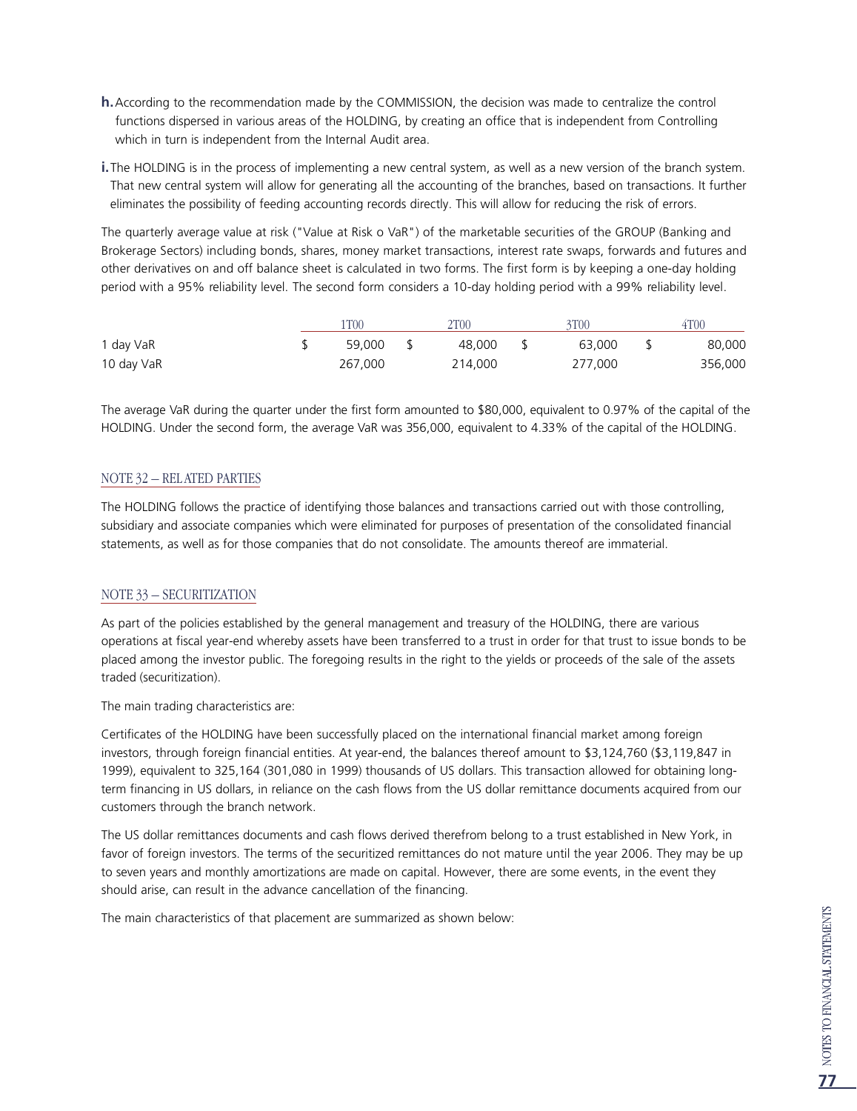- **h.**According to the recommendation made by the COMMISSION, the decision was made to centralize the control functions dispersed in various areas of the HOLDING, by creating an office that is independent from Controlling which in turn is independent from the Internal Audit area.
- **i.**The HOLDING is in the process of implementing a new central system, as well as a new version of the branch system. That new central system will allow for generating all the accounting of the branches, based on transactions. It further eliminates the possibility of feeding accounting records directly. This will allow for reducing the risk of errors.

The quarterly average value at risk ("Value at Risk o VaR") of the marketable securities of the GROUP (Banking and Brokerage Sectors) including bonds, shares, money market transactions, interest rate swaps, forwards and futures and other derivatives on and off balance sheet is calculated in two forms. The first form is by keeping a one-day holding period with a 95% reliability level. The second form considers a 10-day holding period with a 99% reliability level.

|            |  | lT00<br>2T <sub>00</sub> |     |         | 3T <sub>00</sub> |         |    | 4T00    |  |
|------------|--|--------------------------|-----|---------|------------------|---------|----|---------|--|
| 1 day VaR  |  | 59.000                   | s s | 48.000  | $\mathsf{S}$     | 63.000  | Y. | 80,000  |  |
| 10 day VaR |  | 267.000                  |     | 214,000 |                  | 277.000 |    | 356,000 |  |

The average VaR during the quarter under the first form amounted to \$80,000, equivalent to 0.97% of the capital of the HOLDING. Under the second form, the average VaR was 356,000, equivalent to 4.33% of the capital of the HOLDING.

#### NOTE 32 – REL ATED PARTIES

The HOLDING follows the practice of identifying those balances and transactions carried out with those controlling, subsidiary and associate companies which were eliminated for purposes of presentation of the consolidated financial statements, as well as for those companies that do not consolidate. The amounts thereof are immaterial.

#### NOTE 33 – SECURITIZATION

As part of the policies established by the general management and treasury of the HOLDING, there are various operations at fiscal year-end whereby assets have been transferred to a trust in order for that trust to issue bonds to be placed among the investor public. The foregoing results in the right to the yields or proceeds of the sale of the assets traded (securitization).

The main trading characteristics are:

Certificates of the HOLDING have been successfully placed on the international financial market among foreign investors, through foreign financial entities. At year-end, the balances thereof amount to \$3,124,760 (\$3,119,847 in 1999), equivalent to 325,164 (301,080 in 1999) thousands of US dollars. This transaction allowed for obtaining longterm financing in US dollars, in reliance on the cash flows from the US dollar remittance documents acquired from our customers through the branch network.

The US dollar remittances documents and cash flows derived therefrom belong to a trust established in New York, in favor of foreign investors. The terms of the securitized remittances do not mature until the year 2006. They may be up to seven years and monthly amortizations are made on capital. However, there are some events, in the event they should arise, can result in the advance cancellation of the financing.

The main characteristics of that placement are summarized as shown below: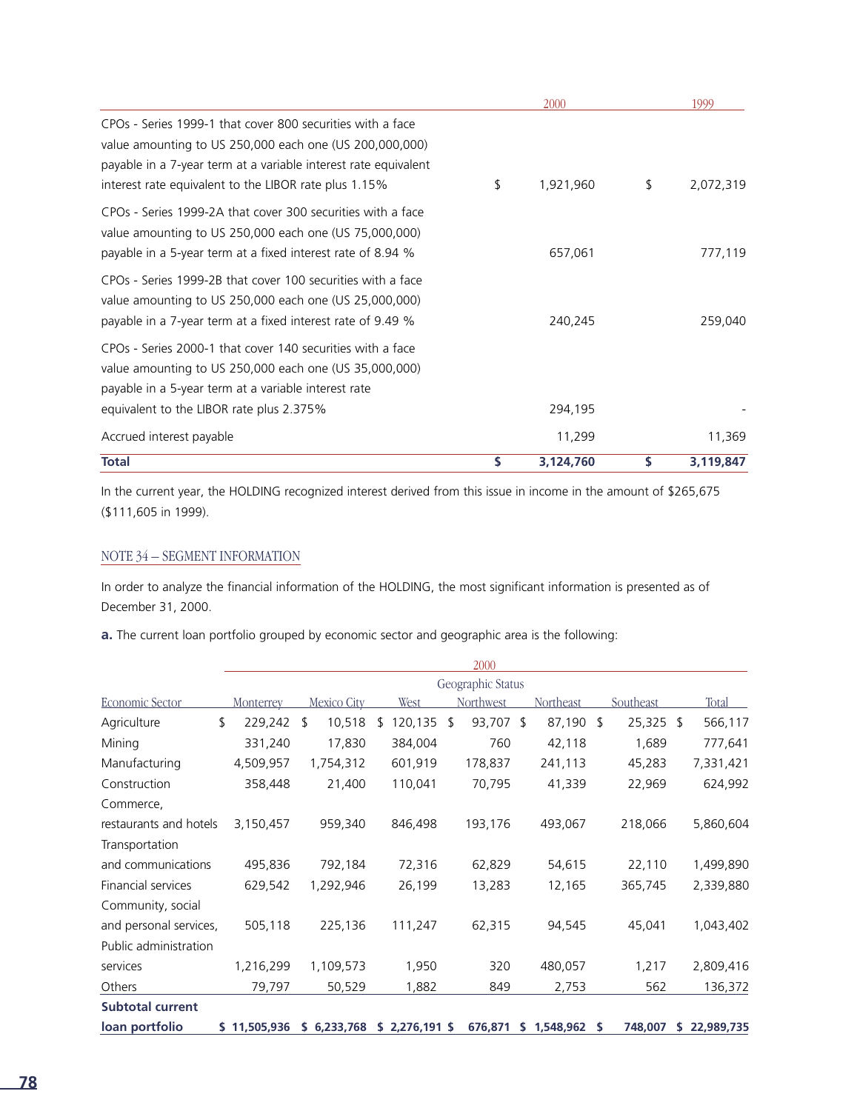|                                                                                                                                                                                                                                                   | 2000            |    | 1999      |
|---------------------------------------------------------------------------------------------------------------------------------------------------------------------------------------------------------------------------------------------------|-----------------|----|-----------|
| CPOs - Series 1999-1 that cover 800 securities with a face<br>value amounting to US 250,000 each one (US 200,000,000)<br>payable in a 7-year term at a variable interest rate equivalent<br>interest rate equivalent to the LIBOR rate plus 1.15% | \$<br>1,921,960 | \$ | 2,072,319 |
| CPOs - Series 1999-2A that cover 300 securities with a face<br>value amounting to US 250,000 each one (US 75,000,000)<br>payable in a 5-year term at a fixed interest rate of 8.94 %                                                              | 657,061         |    | 777,119   |
| CPOs - Series 1999-2B that cover 100 securities with a face<br>value amounting to US 250,000 each one (US 25,000,000)<br>payable in a 7-year term at a fixed interest rate of 9.49 %                                                              | 240,245         |    | 259,040   |
| CPOs - Series 2000-1 that cover 140 securities with a face<br>value amounting to US 250,000 each one (US 35,000,000)<br>payable in a 5-year term at a variable interest rate<br>equivalent to the LIBOR rate plus 2.375%                          | 294,195         |    |           |
| Accrued interest payable                                                                                                                                                                                                                          | 11,299          |    | 11,369    |
| <b>Total</b>                                                                                                                                                                                                                                      | \$<br>3,124,760 | s  | 3,119,847 |

In the current year, the HOLDING recognized interest derived from this issue in income in the amount of \$265,675 (\$111,605 in 1999).

#### NOTE 34 – SEGMENT INFORMATION

In order to analyze the financial information of the HOLDING, the most significant information is presented as of December 31, 2000.

**a.** The current loan portfolio grouped by economic sector and geographic area is the following:

|                         |                  |              |              | 2000              |             |                 |                  |
|-------------------------|------------------|--------------|--------------|-------------------|-------------|-----------------|------------------|
|                         |                  |              |              | Geographic Status |             |                 |                  |
| Economic Sector         | <b>Monterrey</b> | Mexico City  | West         | Northwest         | Northeast   | Southeast       | Total            |
| Agriculture             | \$<br>229,242    | 10,518<br>\$ | 120,135<br>ၭ | 93,707 \$<br>\$   | 87,190      | 25,325 \$<br>-S | 566,117          |
| Mining                  | 331,240          | 17,830       | 384,004      | 760               | 42,118      | 1,689           | 777,641          |
| Manufacturing           | 4,509,957        | 1,754,312    | 601,919      | 178,837           | 241,113     | 45,283          | 7,331,421        |
| Construction            | 358,448          | 21,400       | 110,041      | 70,795            | 41,339      | 22,969          | 624,992          |
| Commerce,               |                  |              |              |                   |             |                 |                  |
| restaurants and hotels  | 3,150,457        | 959,340      | 846,498      | 193,176           | 493,067     | 218,066         | 5,860,604        |
| Transportation          |                  |              |              |                   |             |                 |                  |
| and communications      | 495,836          | 792,184      | 72,316       | 62,829            | 54,615      | 22,110          | 1,499,890        |
| Financial services      | 629,542          | 1,292,946    | 26,199       | 13,283            | 12,165      | 365,745         | 2,339,880        |
| Community, social       |                  |              |              |                   |             |                 |                  |
| and personal services,  | 505,118          | 225,136      | 111,247      | 62,315            | 94,545      | 45,041          | 1,043,402        |
| Public administration   |                  |              |              |                   |             |                 |                  |
| services                | 1,216,299        | 1,109,573    | 1,950        | 320               | 480,057     | 1,217           | 2,809,416        |
| Others                  | 79,797           | 50,529       | 1,882        | 849               | 2,753       | 562             | 136,372          |
| <b>Subtotal current</b> |                  |              |              |                   |             |                 |                  |
| loan portfolio          | \$11,505,936     | \$6,233,768  | \$2,276,191  | 676,871           | \$1,548,962 | 748,007<br>s    | 22,989,735<br>S. |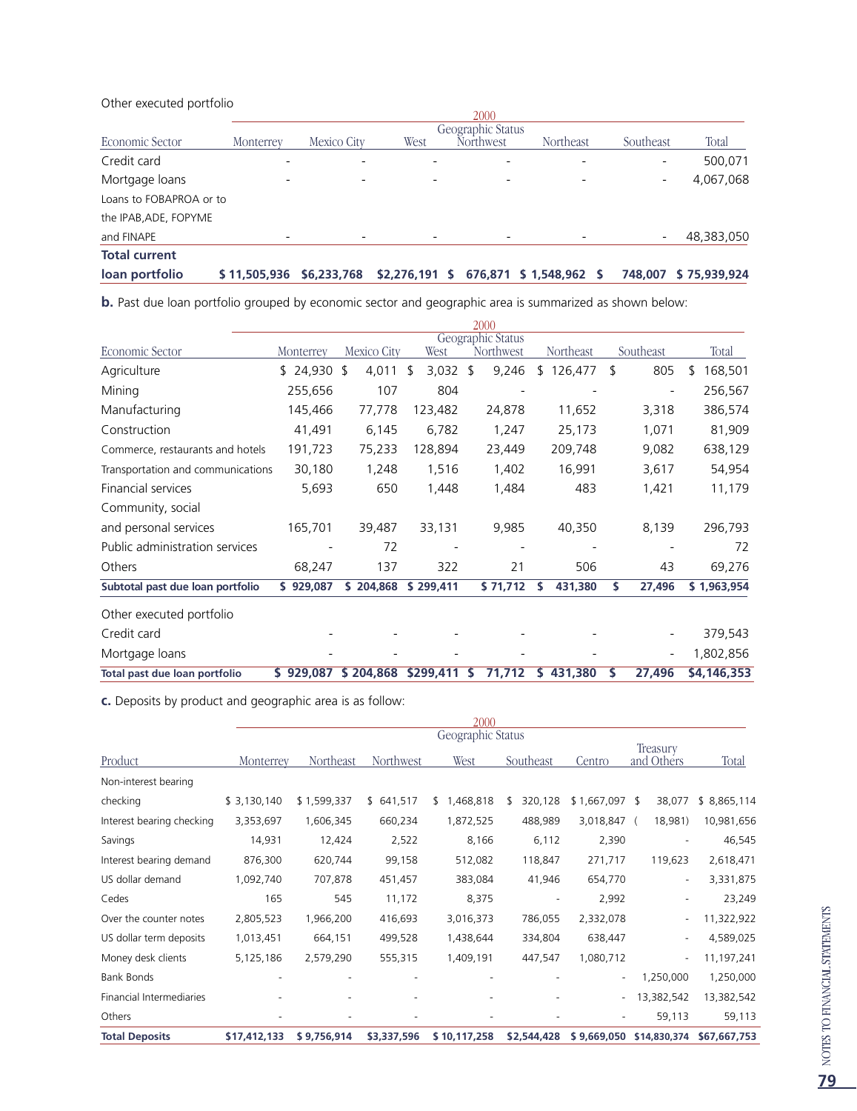#### Other executed portfolio

|                         |              |                   |                 | 2000                         |                      |                |              |  |  |  |
|-------------------------|--------------|-------------------|-----------------|------------------------------|----------------------|----------------|--------------|--|--|--|
|                         |              | Geographic Status |                 |                              |                      |                |              |  |  |  |
| Economic Sector         | Monterrey    | Mexico City       | West            | Northwest                    | Northeast            | Southeast      | Total        |  |  |  |
| Credit card             |              |                   |                 |                              |                      |                | 500,071      |  |  |  |
| Mortgage loans          |              | $\qquad \qquad$   | $\overline{a}$  | $\qquad \qquad \blacksquare$ |                      |                | 4,067,068    |  |  |  |
| Loans to FOBAPROA or to |              |                   |                 |                              |                      |                |              |  |  |  |
| the IPAB, ADE, FOPYME   |              |                   |                 |                              |                      |                |              |  |  |  |
| and FINAPE              |              |                   |                 |                              |                      |                | 48,383,050   |  |  |  |
| <b>Total current</b>    |              |                   |                 |                              |                      |                |              |  |  |  |
| loan portfolio          | \$11,505,936 | \$6,233,768       | $$2,276,191$ \$ |                              | 676,871 \$ 1,548,962 | 748,007<br>- S | \$75,939,924 |  |  |  |

**b.** Past due loan portfolio grouped by economic sector and geographic area is summarized as shown below:

|                                   |           |             |                  | 2000                           |              |    |                          |              |
|-----------------------------------|-----------|-------------|------------------|--------------------------------|--------------|----|--------------------------|--------------|
| Economic Sector                   | Monterrey | Mexico City | West             | Geographic Status<br>Northwest | Northeast    |    | Southeast                | Total        |
| Agriculture                       | \$24,930  | \$<br>4,011 | $3,032$ \$<br>\$ | 9,246                          | \$126,477    | \$ | 805                      | 168,501<br>S |
| Mining                            | 255,656   | 107         | 804              |                                |              |    |                          | 256,567      |
| Manufacturing                     | 145,466   | 77,778      | 123,482          | 24,878                         | 11,652       |    | 3,318                    | 386,574      |
| Construction                      | 41,491    | 6,145       | 6,782            | 1,247                          | 25,173       |    | 1,071                    | 81,909       |
| Commerce, restaurants and hotels  | 191,723   | 75,233      | 128,894          | 23,449                         | 209,748      |    | 9,082                    | 638,129      |
| Transportation and communications | 30,180    | 1,248       | 1,516            | 1,402                          | 16,991       |    | 3,617                    | 54,954       |
| Financial services                | 5,693     | 650         | 1,448            | 1,484                          | 483          |    | 1,421                    | 11,179       |
| Community, social                 |           |             |                  |                                |              |    |                          |              |
| and personal services             | 165,701   | 39,487      | 33,131           | 9,985                          | 40,350       |    | 8,139                    | 296,793      |
| Public administration services    |           | 72          |                  |                                |              |    |                          | 72           |
| Others                            | 68,247    | 137         | 322              | 21                             | 506          |    | 43                       | 69,276       |
| Subtotal past due loan portfolio  | \$929,087 | \$204,868   | \$299,411        | \$71,712                       | 431,380<br>S | S. | 27,496                   | \$1,963,954  |
| Other executed portfolio          |           |             |                  |                                |              |    |                          |              |
| Credit card                       |           |             |                  |                                |              |    |                          | 379,543      |
| Mortgage loans                    |           |             |                  |                                |              |    | $\overline{\phantom{0}}$ | 1,802,856    |
| Total past due loan portfolio     | \$929,087 | \$204,868   | \$299,411        | 71,712<br>S.                   | \$431,380    | s  | 27,496                   | \$4,146,353  |

**c.** Deposits by product and geographic area is as follow:

|                           | 2000              |             |             |                  |                          |                          |                          |              |
|---------------------------|-------------------|-------------|-------------|------------------|--------------------------|--------------------------|--------------------------|--------------|
|                           | Geographic Status |             |             |                  |                          |                          |                          |              |
| Product                   | Monterrey         | Northeast   | Northwest   | West             | Southeast                | Centro                   | Treasury<br>and Others   | Total        |
| Non-interest bearing      |                   |             |             |                  |                          |                          |                          |              |
| checking                  | \$3,130,140       | \$1,599,337 | \$641,517   | 1,468,818<br>\$. | 320,128<br>\$.           | \$1,667,097              | 38,077<br>S              | \$8,865,114  |
| Interest bearing checking | 3,353,697         | 1,606,345   | 660,234     | 1,872,525        | 488,989                  | 3,018,847                | 18,981)                  | 10,981,656   |
| Savings                   | 14,931            | 12,424      | 2,522       | 8,166            | 6,112                    | 2,390                    |                          | 46,545       |
| Interest bearing demand   | 876,300           | 620,744     | 99,158      | 512,082          | 118,847                  | 271,717                  | 119,623                  | 2,618,471    |
| US dollar demand          | 1,092,740         | 707,878     | 451,457     | 383,084          | 41,946                   | 654,770                  | $\overline{\phantom{a}}$ | 3,331,875    |
| Cedes                     | 165               | 545         | 11,172      | 8,375            | $\overline{\phantom{a}}$ | 2,992                    |                          | 23,249       |
| Over the counter notes    | 2,805,523         | 1,966,200   | 416,693     | 3,016,373        | 786,055                  | 2,332,078                |                          | 11,322,922   |
| US dollar term deposits   | 1,013,451         | 664,151     | 499,528     | 1,438,644        | 334,804                  | 638,447                  |                          | 4,589,025    |
| Money desk clients        | 5,125,186         | 2,579,290   | 555,315     | 1,409,191        | 447,547                  | 1,080,712                |                          | 11,197,241   |
| <b>Bank Bonds</b>         |                   |             |             |                  |                          | $\overline{\phantom{a}}$ | 1,250,000                | 1,250,000    |
| Financial Intermediaries  |                   |             |             |                  |                          | $\overline{\phantom{a}}$ | 13,382,542               | 13,382,542   |
| Others                    |                   |             |             |                  |                          |                          | 59,113                   | 59,113       |
| <b>Total Deposits</b>     | \$17,412,133      | \$9,756,914 | \$3,337,596 | \$10,117,258     | \$2,544,428              | \$9,669,050              | \$14,830,374             | \$67,667,753 |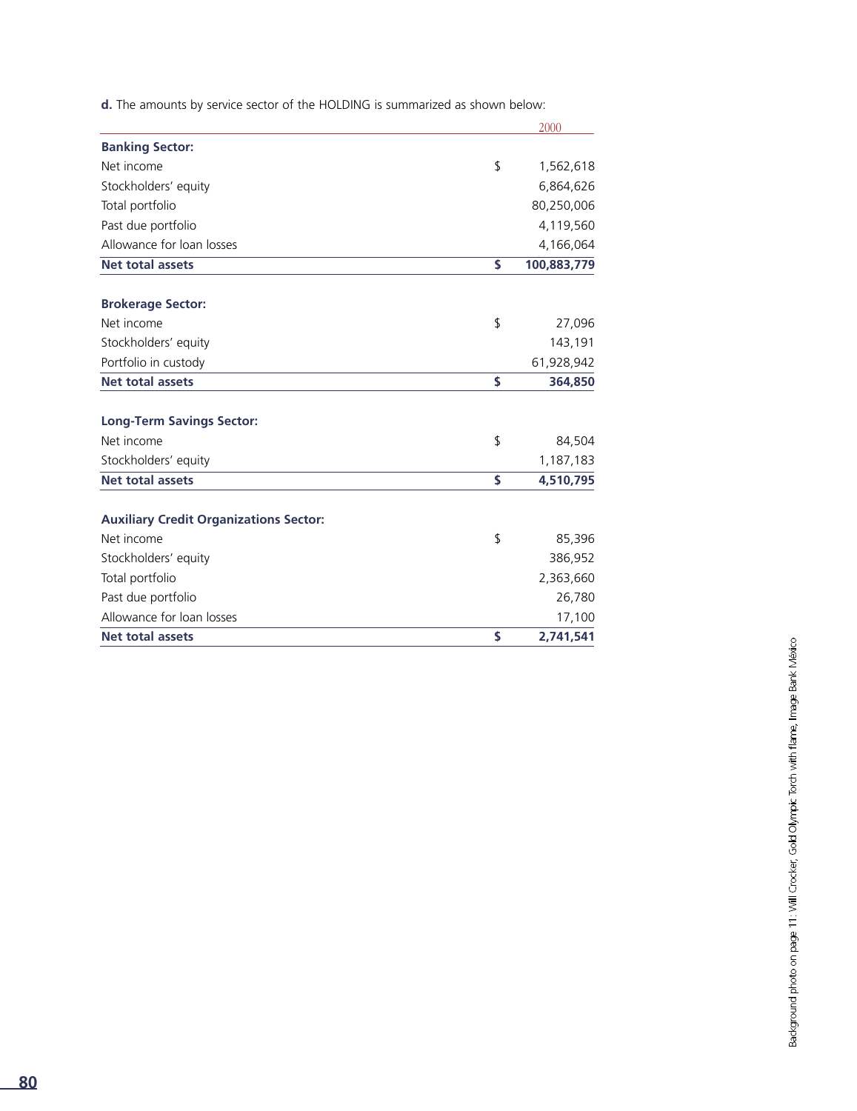**d.** The amounts by service sector of the HOLDING is summarized as shown below:

|                                               | 2000              |
|-----------------------------------------------|-------------------|
| <b>Banking Sector:</b>                        |                   |
| Net income                                    | \$<br>1,562,618   |
| Stockholders' equity                          | 6,864,626         |
| Total portfolio                               | 80,250,006        |
| Past due portfolio                            | 4,119,560         |
| Allowance for loan losses                     | 4,166,064         |
| <b>Net total assets</b>                       | \$<br>100,883,779 |
| <b>Brokerage Sector:</b>                      |                   |
| Net income                                    | \$<br>27,096      |
| Stockholders' equity                          | 143,191           |
| Portfolio in custody                          | 61,928,942        |
| <b>Net total assets</b>                       | \$<br>364,850     |
| <b>Long-Term Savings Sector:</b>              |                   |
| Net income                                    | \$<br>84,504      |
| Stockholders' equity                          | 1,187,183         |
| <b>Net total assets</b>                       | \$<br>4,510,795   |
| <b>Auxiliary Credit Organizations Sector:</b> |                   |
| Net income                                    | \$<br>85,396      |
| Stockholders' equity                          | 386,952           |
| Total portfolio                               | 2,363,660         |
| Past due portfolio                            | 26,780            |
| Allowance for loan losses                     | 17,100            |
| <b>Net total assets</b>                       | \$<br>2,741,541   |